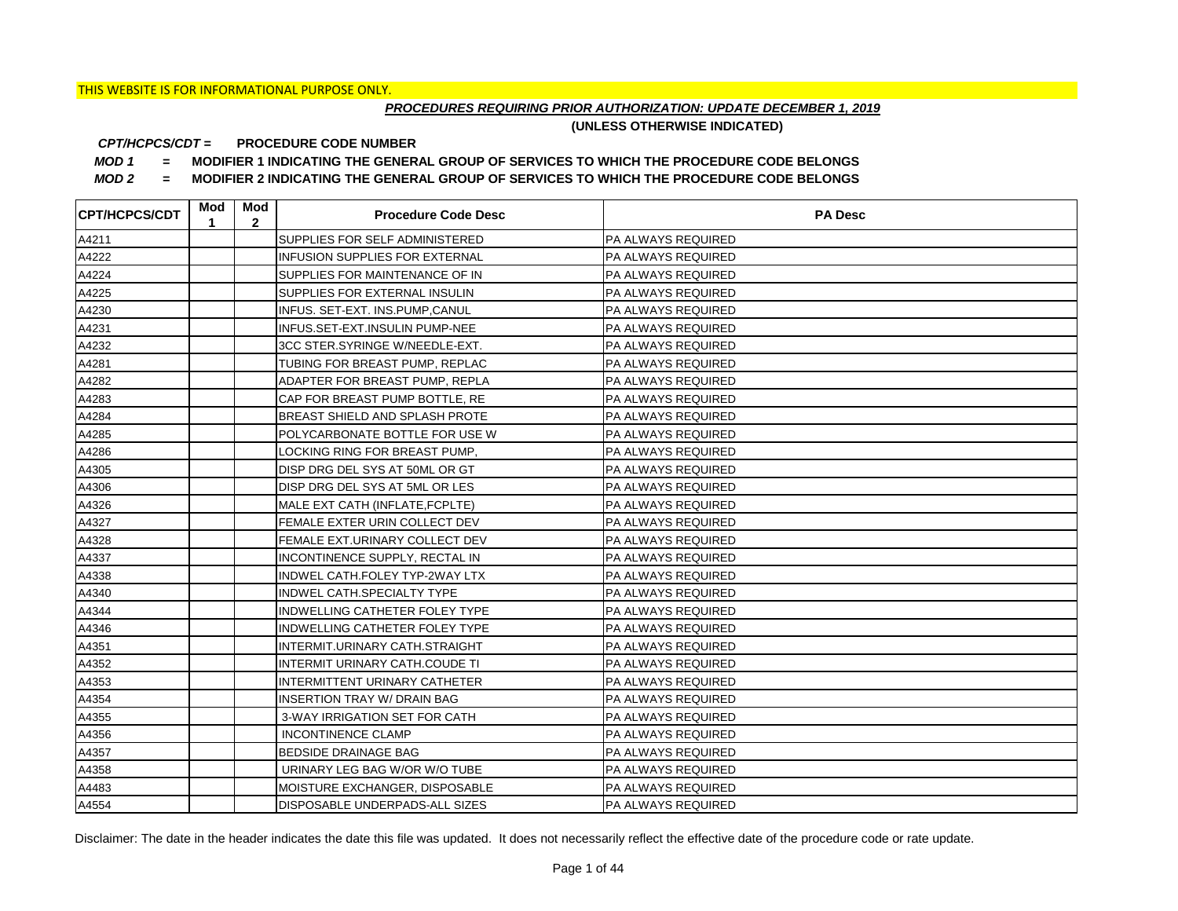# *PROCEDURES REQUIRING PRIOR AUTHORIZATION: UPDATE DECEMBER 1, 2019*

**(UNLESS OTHERWISE INDICATED)**

#### **PROCEDURE CODE NUMBER** *CPT/HCPCS/CDT =*

*MOD 1 =* **MODIFIER 1 INDICATING THE GENERAL GROUP OF SERVICES TO WHICH THE PROCEDURE CODE BELONGS**

*MOD 2 =* **MODIFIER 2 INDICATING THE GENERAL GROUP OF SERVICES TO WHICH THE PROCEDURE CODE BELONGS**

| <b>CPT/HCPCS/CDT</b> | Mod<br>1 | Mod<br>$\mathbf{2}$ | <b>Procedure Code Desc</b>            | <b>PA Desc</b>            |
|----------------------|----------|---------------------|---------------------------------------|---------------------------|
| A4211                |          |                     | <b>SUPPLIES FOR SELF ADMINISTERED</b> | <b>PA ALWAYS REQUIRED</b> |
| A4222                |          |                     | <b>INFUSION SUPPLIES FOR EXTERNAL</b> | <b>PA ALWAYS REQUIRED</b> |
| A4224                |          |                     | SUPPLIES FOR MAINTENANCE OF IN        | <b>PA ALWAYS REQUIRED</b> |
| A4225                |          |                     | SUPPLIES FOR EXTERNAL INSULIN         | PA ALWAYS REQUIRED        |
| A4230                |          |                     | <b>INFUS. SET-EXT. INS.PUMP,CANUL</b> | <b>PA ALWAYS REQUIRED</b> |
| A4231                |          |                     | <b>INFUS.SET-EXT.INSULIN PUMP-NEE</b> | <b>PA ALWAYS REQUIRED</b> |
| A4232                |          |                     | 3CC STER.SYRINGE W/NEEDLE-EXT.        | <b>PA ALWAYS REQUIRED</b> |
| A4281                |          |                     | TUBING FOR BREAST PUMP, REPLAC        | PA ALWAYS REQUIRED        |
| A4282                |          |                     | ADAPTER FOR BREAST PUMP, REPLA        | <b>PA ALWAYS REQUIRED</b> |
| A4283                |          |                     | CAP FOR BREAST PUMP BOTTLE, RE        | <b>PA ALWAYS REQUIRED</b> |
| A4284                |          |                     | BREAST SHIELD AND SPLASH PROTE        | <b>PA ALWAYS REQUIRED</b> |
| A4285                |          |                     | POLYCARBONATE BOTTLE FOR USE W        | <b>PA ALWAYS REQUIRED</b> |
| A4286                |          |                     | LOCKING RING FOR BREAST PUMP.         | <b>PA ALWAYS REQUIRED</b> |
| A4305                |          |                     | DISP DRG DEL SYS AT 50ML OR GT        | <b>PA ALWAYS REQUIRED</b> |
| A4306                |          |                     | DISP DRG DEL SYS AT 5ML OR LES        | PA ALWAYS REQUIRED        |
| A4326                |          |                     | MALE EXT CATH (INFLATE, FCPLTE)       | PA ALWAYS REQUIRED        |
| A4327                |          |                     | FEMALE EXTER URIN COLLECT DEV         | <b>PA ALWAYS REQUIRED</b> |
| A4328                |          |                     | FEMALE EXT.URINARY COLLECT DEV        | PA ALWAYS REQUIRED        |
| A4337                |          |                     | INCONTINENCE SUPPLY, RECTAL IN        | PA ALWAYS REQUIRED        |
| A4338                |          |                     | <b>INDWEL CATH.FOLEY TYP-2WAY LTX</b> | PA ALWAYS REQUIRED        |
| A4340                |          |                     | INDWEL CATH.SPECIALTY TYPE            | PA ALWAYS REQUIRED        |
| A4344                |          |                     | <b>INDWELLING CATHETER FOLEY TYPE</b> | <b>PA ALWAYS REQUIRED</b> |
| A4346                |          |                     | <b>INDWELLING CATHETER FOLEY TYPE</b> | PA ALWAYS REQUIRED        |
| A4351                |          |                     | <b>INTERMIT.URINARY CATH.STRAIGHT</b> | <b>PA ALWAYS REQUIRED</b> |
| A4352                |          |                     | <b>INTERMIT URINARY CATH.COUDE TI</b> | PA ALWAYS REQUIRED        |
| A4353                |          |                     | <b>INTERMITTENT URINARY CATHETER</b>  | PA ALWAYS REQUIRED        |
| A4354                |          |                     | <b>INSERTION TRAY W/ DRAIN BAG</b>    | PA ALWAYS REQUIRED        |
| A4355                |          |                     | 3-WAY IRRIGATION SET FOR CATH         | PA ALWAYS REQUIRED        |
| A4356                |          |                     | <b>INCONTINENCE CLAMP</b>             | PA ALWAYS REQUIRED        |
| A4357                |          |                     | <b>BEDSIDE DRAINAGE BAG</b>           | <b>PA ALWAYS REQUIRED</b> |
| A4358                |          |                     | URINARY LEG BAG W/OR W/O TUBE         | <b>PA ALWAYS REQUIRED</b> |
| A4483                |          |                     | MOISTURE EXCHANGER, DISPOSABLE        | <b>PA ALWAYS REQUIRED</b> |
| A4554                |          |                     | <b>DISPOSABLE UNDERPADS-ALL SIZES</b> | <b>PA ALWAYS REQUIRED</b> |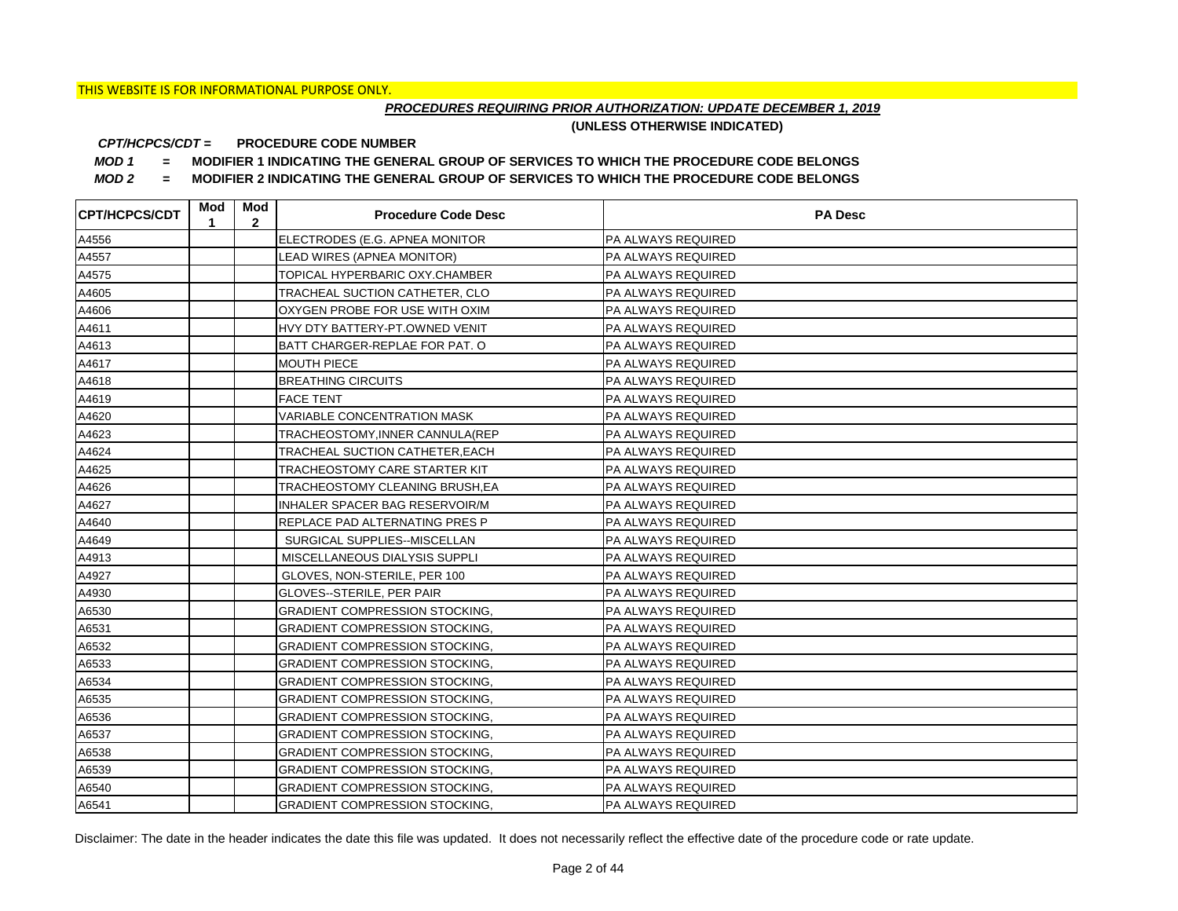# *PROCEDURES REQUIRING PRIOR AUTHORIZATION: UPDATE DECEMBER 1, 2019*

**(UNLESS OTHERWISE INDICATED)**

#### **PROCEDURE CODE NUMBER** *CPT/HCPCS/CDT =*

*MOD 1 =* **MODIFIER 1 INDICATING THE GENERAL GROUP OF SERVICES TO WHICH THE PROCEDURE CODE BELONGS**

*MOD 2 =* **MODIFIER 2 INDICATING THE GENERAL GROUP OF SERVICES TO WHICH THE PROCEDURE CODE BELONGS**

| <b>CPT/HCPCS/CDT</b> | Mod<br>1 | Mod<br>$\overline{2}$ | <b>Procedure Code Desc</b>            | <b>PA Desc</b>            |
|----------------------|----------|-----------------------|---------------------------------------|---------------------------|
| A4556                |          |                       | ELECTRODES (E.G. APNEA MONITOR        | <b>PA ALWAYS REQUIRED</b> |
| A4557                |          |                       | LEAD WIRES (APNEA MONITOR)            | <b>PA ALWAYS REQUIRED</b> |
| A4575                |          |                       | TOPICAL HYPERBARIC OXY.CHAMBER        | <b>PA ALWAYS REQUIRED</b> |
| A4605                |          |                       | TRACHEAL SUCTION CATHETER, CLO        | <b>PA ALWAYS REQUIRED</b> |
| A4606                |          |                       | OXYGEN PROBE FOR USE WITH OXIM        | PA ALWAYS REQUIRED        |
| A4611                |          |                       | HVY DTY BATTERY-PT.OWNED VENIT        | PA ALWAYS REQUIRED        |
| A4613                |          |                       | BATT CHARGER-REPLAE FOR PAT. O        | <b>PA ALWAYS REQUIRED</b> |
| A4617                |          |                       | <b>MOUTH PIECE</b>                    | <b>PA ALWAYS REQUIRED</b> |
| A4618                |          |                       | <b>BREATHING CIRCUITS</b>             | <b>PA ALWAYS REQUIRED</b> |
| A4619                |          |                       | <b>FACE TENT</b>                      | <b>PA ALWAYS REQUIRED</b> |
| A4620                |          |                       | <b>VARIABLE CONCENTRATION MASK</b>    | <b>PA ALWAYS REQUIRED</b> |
| A4623                |          |                       | TRACHEOSTOMY, INNER CANNULA (REP      | <b>PA ALWAYS REQUIRED</b> |
| A4624                |          |                       | TRACHEAL SUCTION CATHETER, EACH       | <b>PA ALWAYS REQUIRED</b> |
| A4625                |          |                       | TRACHEOSTOMY CARE STARTER KIT         | <b>PA ALWAYS REQUIRED</b> |
| A4626                |          |                       | TRACHEOSTOMY CLEANING BRUSH, EA       | PA ALWAYS REQUIRED        |
| A4627                |          |                       | INHALER SPACER BAG RESERVOIR/M        | PA ALWAYS REQUIRED        |
| A4640                |          |                       | REPLACE PAD ALTERNATING PRES P        | PA ALWAYS REQUIRED        |
| A4649                |          |                       | SURGICAL SUPPLIES--MISCELLAN          | PA ALWAYS REQUIRED        |
| A4913                |          |                       | MISCELLANEOUS DIALYSIS SUPPLI         | PA ALWAYS REQUIRED        |
| A4927                |          |                       | GLOVES, NON-STERILE, PER 100          | <b>PA ALWAYS REQUIRED</b> |
| A4930                |          |                       | GLOVES--STERILE, PER PAIR             | PA ALWAYS REQUIRED        |
| A6530                |          |                       | <b>GRADIENT COMPRESSION STOCKING,</b> | PA ALWAYS REQUIRED        |
| A6531                |          |                       | <b>GRADIENT COMPRESSION STOCKING,</b> | PA ALWAYS REQUIRED        |
| A6532                |          |                       | <b>GRADIENT COMPRESSION STOCKING</b>  | PA ALWAYS REQUIRED        |
| A6533                |          |                       | <b>GRADIENT COMPRESSION STOCKING,</b> | <b>PA ALWAYS REQUIRED</b> |
| A6534                |          |                       | <b>GRADIENT COMPRESSION STOCKING,</b> | PA ALWAYS REQUIRED        |
| A6535                |          |                       | <b>GRADIENT COMPRESSION STOCKING.</b> | PA ALWAYS REQUIRED        |
| A6536                |          |                       | <b>GRADIENT COMPRESSION STOCKING,</b> | PA ALWAYS REQUIRED        |
| A6537                |          |                       | <b>GRADIENT COMPRESSION STOCKING,</b> | PA ALWAYS REQUIRED        |
| A6538                |          |                       | <b>GRADIENT COMPRESSION STOCKING.</b> | PA ALWAYS REQUIRED        |
| A6539                |          |                       | <b>GRADIENT COMPRESSION STOCKING,</b> | PA ALWAYS REQUIRED        |
| A6540                |          |                       | <b>GRADIENT COMPRESSION STOCKING,</b> | PA ALWAYS REQUIRED        |
| A6541                |          |                       | <b>GRADIENT COMPRESSION STOCKING,</b> | <b>PA ALWAYS REQUIRED</b> |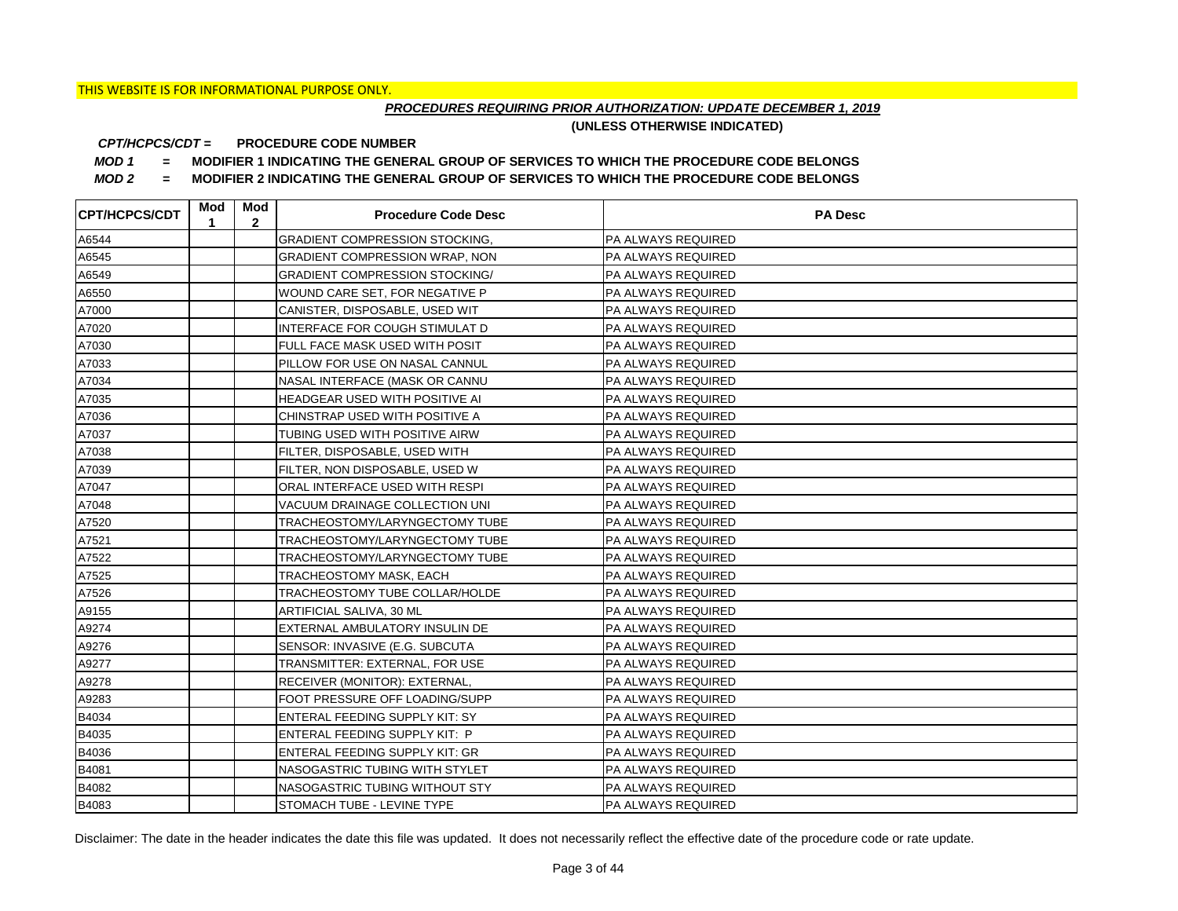# *PROCEDURES REQUIRING PRIOR AUTHORIZATION: UPDATE DECEMBER 1, 2019*

**(UNLESS OTHERWISE INDICATED)**

#### **PROCEDURE CODE NUMBER** *CPT/HCPCS/CDT =*

*MOD 1 =* **MODIFIER 1 INDICATING THE GENERAL GROUP OF SERVICES TO WHICH THE PROCEDURE CODE BELONGS**

*MOD 2 =* **MODIFIER 2 INDICATING THE GENERAL GROUP OF SERVICES TO WHICH THE PROCEDURE CODE BELONGS**

| <b>CPT/HCPCS/CDT</b> | Mod<br>1 | Mod<br>$\overline{2}$ | <b>Procedure Code Desc</b>            | <b>PA Desc</b>            |
|----------------------|----------|-----------------------|---------------------------------------|---------------------------|
| A6544                |          |                       | <b>GRADIENT COMPRESSION STOCKING,</b> | <b>PA ALWAYS REQUIRED</b> |
| A6545                |          |                       | <b>GRADIENT COMPRESSION WRAP, NON</b> | <b>PA ALWAYS REQUIRED</b> |
| A6549                |          |                       | <b>GRADIENT COMPRESSION STOCKING/</b> | PA ALWAYS REQUIRED        |
| A6550                |          |                       | WOUND CARE SET, FOR NEGATIVE P        | PA ALWAYS REQUIRED        |
| A7000                |          |                       | CANISTER, DISPOSABLE, USED WIT        | <b>PA ALWAYS REQUIRED</b> |
| A7020                |          |                       | INTERFACE FOR COUGH STIMULAT D        | PA ALWAYS REQUIRED        |
| A7030                |          |                       | FULL FACE MASK USED WITH POSIT        | <b>PA ALWAYS REQUIRED</b> |
| A7033                |          |                       | PILLOW FOR USE ON NASAL CANNUL        | <b>PA ALWAYS REQUIRED</b> |
| A7034                |          |                       | NASAL INTERFACE (MASK OR CANNU        | <b>PA ALWAYS REQUIRED</b> |
| A7035                |          |                       | HEADGEAR USED WITH POSITIVE AI        | PA ALWAYS REQUIRED        |
| A7036                |          |                       | CHINSTRAP USED WITH POSITIVE A        | <b>PA ALWAYS REQUIRED</b> |
| A7037                |          |                       | TUBING USED WITH POSITIVE AIRW        | <b>PA ALWAYS REQUIRED</b> |
| A7038                |          |                       | FILTER, DISPOSABLE, USED WITH         | <b>PA ALWAYS REQUIRED</b> |
| A7039                |          |                       | FILTER, NON DISPOSABLE, USED W        | IPA ALWAYS REQUIRED       |
| A7047                |          |                       | ORAL INTERFACE USED WITH RESPI        | PA ALWAYS REQUIRED        |
| A7048                |          |                       | <b>VACUUM DRAINAGE COLLECTION UNI</b> | PA ALWAYS REQUIRED        |
| A7520                |          |                       | TRACHEOSTOMY/LARYNGECTOMY TUBE        | <b>PA ALWAYS REQUIRED</b> |
| A7521                |          |                       | TRACHEOSTOMY/LARYNGECTOMY TUBE        | PA ALWAYS REQUIRED        |
| A7522                |          |                       | TRACHEOSTOMY/LARYNGECTOMY TUBE        | <b>PA ALWAYS REQUIRED</b> |
| A7525                |          |                       | TRACHEOSTOMY MASK, EACH               | <b>PA ALWAYS REQUIRED</b> |
| A7526                |          |                       | TRACHEOSTOMY TUBE COLLAR/HOLDE        | PA ALWAYS REQUIRED        |
| A9155                |          |                       | ARTIFICIAL SALIVA, 30 ML              | <b>PA ALWAYS REQUIRED</b> |
| A9274                |          |                       | EXTERNAL AMBULATORY INSULIN DE        | PA ALWAYS REQUIRED        |
| A9276                |          |                       | SENSOR: INVASIVE (E.G. SUBCUTA        | PA ALWAYS REQUIRED        |
| A9277                |          |                       | TRANSMITTER: EXTERNAL, FOR USE        | PA ALWAYS REQUIRED        |
| A9278                |          |                       | RECEIVER (MONITOR): EXTERNAL,         | PA ALWAYS REQUIRED        |
| A9283                |          |                       | FOOT PRESSURE OFF LOADING/SUPP        | PA ALWAYS REQUIRED        |
| B4034                |          |                       | ENTERAL FEEDING SUPPLY KIT: SY        | PA ALWAYS REQUIRED        |
| B4035                |          |                       | ENTERAL FEEDING SUPPLY KIT: P         | PA ALWAYS REQUIRED        |
| B4036                |          |                       | ENTERAL FEEDING SUPPLY KIT: GR        | <b>PA ALWAYS REQUIRED</b> |
| B4081                |          |                       | NASOGASTRIC TUBING WITH STYLET        | <b>PA ALWAYS REQUIRED</b> |
| B4082                |          |                       | NASOGASTRIC TUBING WITHOUT STY        | <b>PA ALWAYS REQUIRED</b> |
| B4083                |          |                       | STOMACH TUBE - LEVINE TYPE            | <b>PA ALWAYS REQUIRED</b> |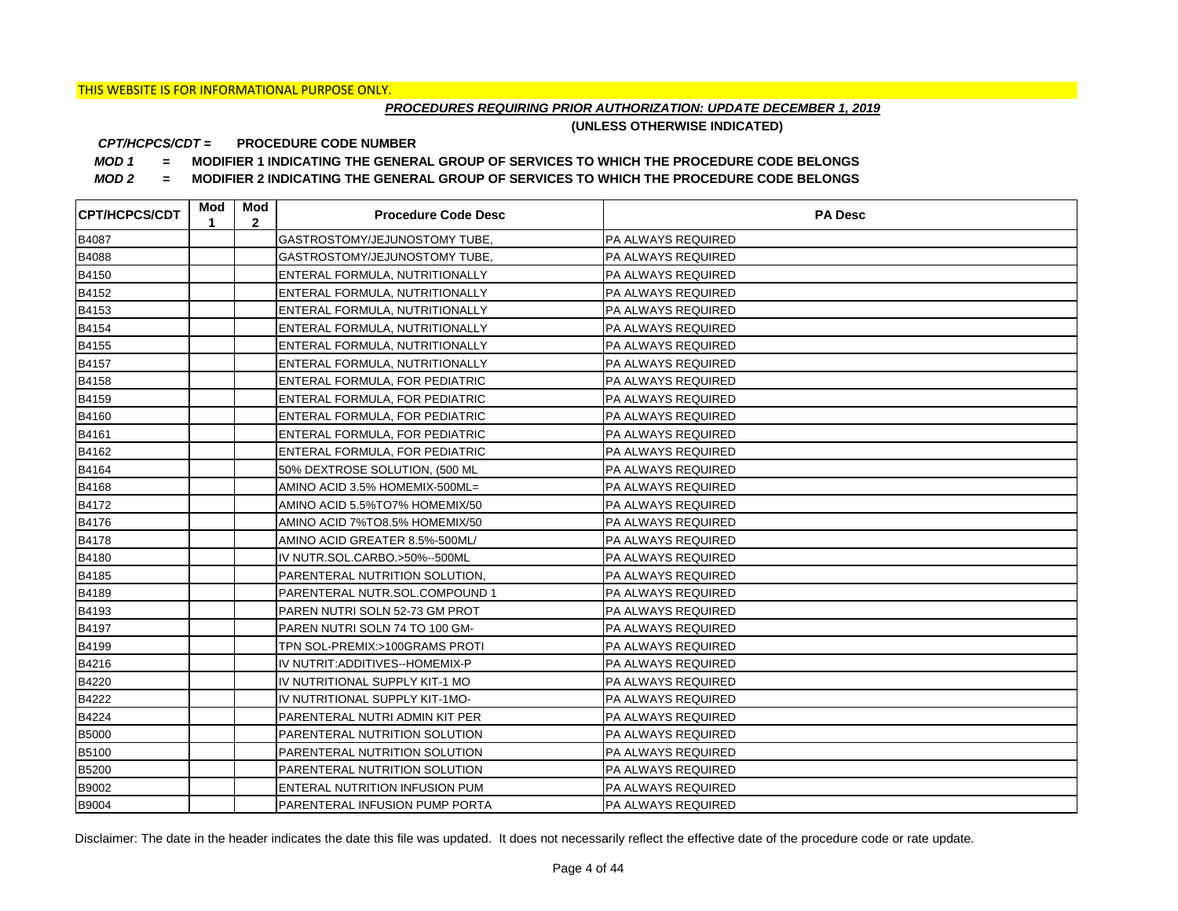# *PROCEDURES REQUIRING PRIOR AUTHORIZATION: UPDATE DECEMBER 1, 2019*

**(UNLESS OTHERWISE INDICATED)**

#### **PROCEDURE CODE NUMBER** *CPT/HCPCS/CDT =*

*MOD 1 =* **MODIFIER 1 INDICATING THE GENERAL GROUP OF SERVICES TO WHICH THE PROCEDURE CODE BELONGS**

*MOD 2 =* **MODIFIER 2 INDICATING THE GENERAL GROUP OF SERVICES TO WHICH THE PROCEDURE CODE BELONGS**

| CPT/HCPCS/CDT | Mod<br>1 | Mod<br>$\mathbf{2}$ | <b>Procedure Code Desc</b>      | <b>PA Desc</b>            |
|---------------|----------|---------------------|---------------------------------|---------------------------|
| B4087         |          |                     | GASTROSTOMY/JEJUNOSTOMY TUBE.   | PA ALWAYS REQUIRED        |
| B4088         |          |                     | GASTROSTOMY/JEJUNOSTOMY TUBE,   | <b>PA ALWAYS REQUIRED</b> |
| B4150         |          |                     | ENTERAL FORMULA, NUTRITIONALLY  | <b>PA ALWAYS REQUIRED</b> |
| B4152         |          |                     | ENTERAL FORMULA, NUTRITIONALLY  | <b>PA ALWAYS REQUIRED</b> |
| B4153         |          |                     | ENTERAL FORMULA, NUTRITIONALLY  | PA ALWAYS REQUIRED        |
| B4154         |          |                     | ENTERAL FORMULA, NUTRITIONALLY  | PA ALWAYS REQUIRED        |
| B4155         |          |                     | ENTERAL FORMULA, NUTRITIONALLY  | PA ALWAYS REQUIRED        |
| B4157         |          |                     | ENTERAL FORMULA, NUTRITIONALLY  | PA ALWAYS REQUIRED        |
| B4158         |          |                     | ENTERAL FORMULA, FOR PEDIATRIC  | PA ALWAYS REQUIRED        |
| B4159         |          |                     | ENTERAL FORMULA, FOR PEDIATRIC  | <b>PA ALWAYS REQUIRED</b> |
| B4160         |          |                     | ENTERAL FORMULA, FOR PEDIATRIC  | PA ALWAYS REQUIRED        |
| B4161         |          |                     | ENTERAL FORMULA, FOR PEDIATRIC  | PA ALWAYS REQUIRED        |
| B4162         |          |                     | ENTERAL FORMULA, FOR PEDIATRIC  | PA ALWAYS REQUIRED        |
| B4164         |          |                     | 50% DEXTROSE SOLUTION, (500 ML  | <b>PA ALWAYS REQUIRED</b> |
| B4168         |          |                     | AMINO ACID 3.5% HOMEMIX-500ML=  | <b>PA ALWAYS REQUIRED</b> |
| B4172         |          |                     | AMINO ACID 5.5%TO7% HOMEMIX/50  | <b>PA ALWAYS REQUIRED</b> |
| B4176         |          |                     | AMINO ACID 7%TO8.5% HOMEMIX/50  | PA ALWAYS REQUIRED        |
| B4178         |          |                     | AMINO ACID GREATER 8.5%-500ML/  | PA ALWAYS REQUIRED        |
| B4180         |          |                     | IV NUTR.SOL.CARBO.>50%--500ML   | <b>PA ALWAYS REQUIRED</b> |
| B4185         |          |                     | PARENTERAL NUTRITION SOLUTION,  | <b>PA ALWAYS REQUIRED</b> |
| B4189         |          |                     | PARENTERAL NUTR.SOL.COMPOUND 1  | <b>PA ALWAYS REQUIRED</b> |
| B4193         |          |                     | PAREN NUTRI SOLN 52-73 GM PROT  | <b>PA ALWAYS REQUIRED</b> |
| B4197         |          |                     | PAREN NUTRI SOLN 74 TO 100 GM-  | <b>PA ALWAYS REQUIRED</b> |
| B4199         |          |                     | TPN SOL-PREMIX:>100GRAMS PROTI  | PA ALWAYS REQUIRED        |
| B4216         |          |                     | IV NUTRIT: ADDITIVES--HOMEMIX-P | <b>PA ALWAYS REQUIRED</b> |
| B4220         |          |                     | IV NUTRITIONAL SUPPLY KIT-1 MO  | <b>PA ALWAYS REQUIRED</b> |
| B4222         |          |                     | IV NUTRITIONAL SUPPLY KIT-1MO-  | <b>PA ALWAYS REQUIRED</b> |
| B4224         |          |                     | PARENTERAL NUTRI ADMIN KIT PER  | <b>PA ALWAYS REQUIRED</b> |
| <b>B5000</b>  |          |                     | PARENTERAL NUTRITION SOLUTION   | <b>PA ALWAYS REQUIRED</b> |
| B5100         |          |                     | PARENTERAL NUTRITION SOLUTION   | PA ALWAYS REQUIRED        |
| <b>B5200</b>  |          |                     | PARENTERAL NUTRITION SOLUTION   | PA ALWAYS REQUIRED        |
| B9002         |          |                     | ENTERAL NUTRITION INFUSION PUM  | PA ALWAYS REQUIRED        |
| B9004         |          |                     | PARENTERAL INFUSION PUMP PORTA  | <b>PA ALWAYS REQUIRED</b> |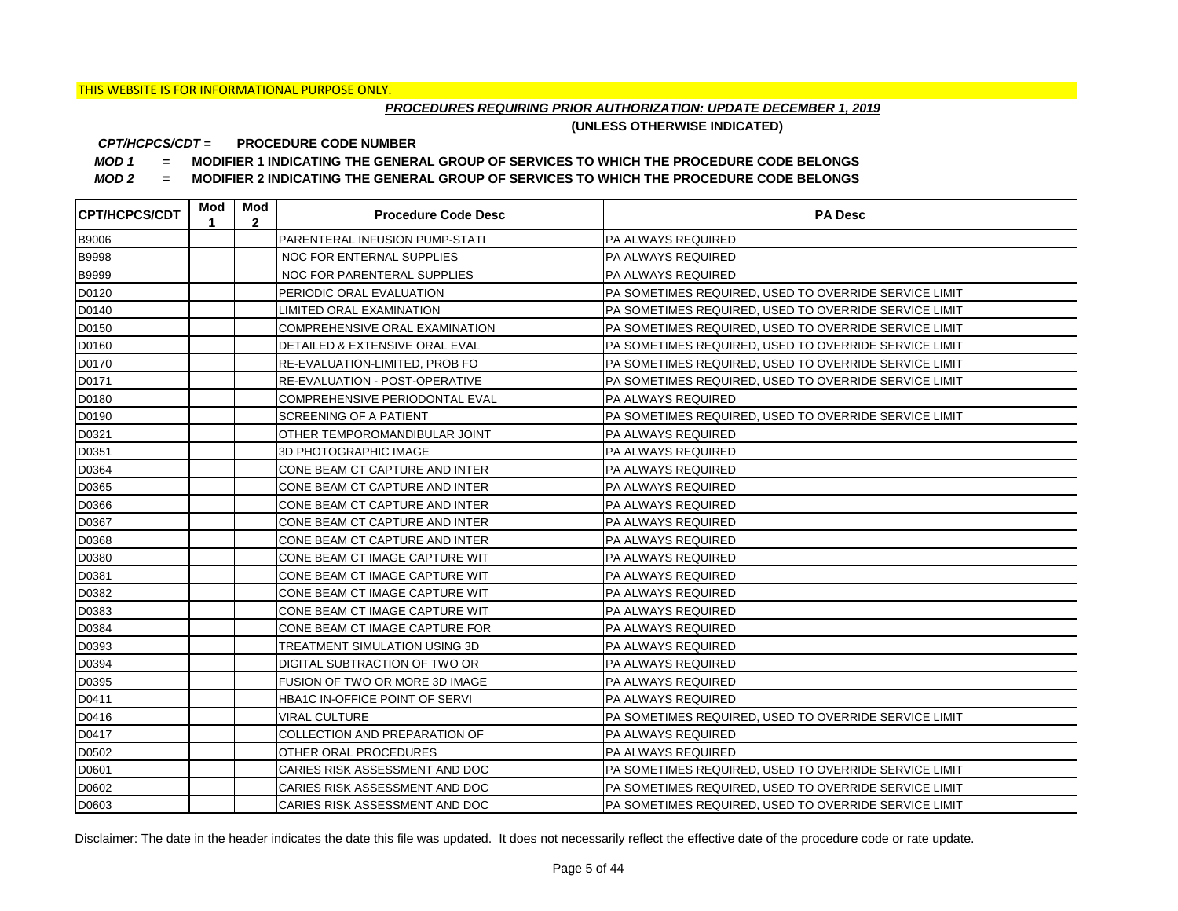# *PROCEDURES REQUIRING PRIOR AUTHORIZATION: UPDATE DECEMBER 1, 2019*

**(UNLESS OTHERWISE INDICATED)**

#### **PROCEDURE CODE NUMBER** *CPT/HCPCS/CDT =*

*MOD 1 =* **MODIFIER 1 INDICATING THE GENERAL GROUP OF SERVICES TO WHICH THE PROCEDURE CODE BELONGS**

*MOD 2 =* **MODIFIER 2 INDICATING THE GENERAL GROUP OF SERVICES TO WHICH THE PROCEDURE CODE BELONGS**

| <b>CPT/HCPCS/CDT</b> | Mod<br>1 | Mod<br>$\mathbf{2}$ | <b>Procedure Code Desc</b>     | <b>PA Desc</b>                                        |
|----------------------|----------|---------------------|--------------------------------|-------------------------------------------------------|
| B9006                |          |                     | PARENTERAL INFUSION PUMP-STATI | PA ALWAYS REQUIRED                                    |
| <b>B9998</b>         |          |                     | NOC FOR ENTERNAL SUPPLIES      | <b>PA ALWAYS REQUIRED</b>                             |
| <b>B9999</b>         |          |                     | NOC FOR PARENTERAL SUPPLIES    | <b>PA ALWAYS REQUIRED</b>                             |
| D0120                |          |                     | PERIODIC ORAL EVALUATION       | PA SOMETIMES REQUIRED, USED TO OVERRIDE SERVICE LIMIT |
| D0140                |          |                     | LIMITED ORAL EXAMINATION       | PA SOMETIMES REQUIRED, USED TO OVERRIDE SERVICE LIMIT |
| D0150                |          |                     | COMPREHENSIVE ORAL EXAMINATION | PA SOMETIMES REQUIRED, USED TO OVERRIDE SERVICE LIMIT |
| D0160                |          |                     | DETAILED & EXTENSIVE ORAL EVAL | PA SOMETIMES REQUIRED, USED TO OVERRIDE SERVICE LIMIT |
| D0170                |          |                     | RE-EVALUATION-LIMITED, PROB FO | PA SOMETIMES REQUIRED, USED TO OVERRIDE SERVICE LIMIT |
| D0171                |          |                     | RE-EVALUATION - POST-OPERATIVE | PA SOMETIMES REQUIRED, USED TO OVERRIDE SERVICE LIMIT |
| D0180                |          |                     | COMPREHENSIVE PERIODONTAL EVAL | PA ALWAYS REQUIRED                                    |
| D0190                |          |                     | SCREENING OF A PATIENT         | PA SOMETIMES REQUIRED, USED TO OVERRIDE SERVICE LIMIT |
| D0321                |          |                     | OTHER TEMPOROMANDIBULAR JOINT  | PA ALWAYS REQUIRED                                    |
| D0351                |          |                     | 3D PHOTOGRAPHIC IMAGE          | PA ALWAYS REQUIRED                                    |
| D0364                |          |                     | CONE BEAM CT CAPTURE AND INTER | <b>PA ALWAYS REQUIRED</b>                             |
| D0365                |          |                     | CONE BEAM CT CAPTURE AND INTER | <b>PA ALWAYS REQUIRED</b>                             |
| D0366                |          |                     | CONE BEAM CT CAPTURE AND INTER | <b>PA ALWAYS REQUIRED</b>                             |
| D0367                |          |                     | CONE BEAM CT CAPTURE AND INTER | <b>PA ALWAYS REQUIRED</b>                             |
| D0368                |          |                     | CONE BEAM CT CAPTURE AND INTER | <b>PA ALWAYS REQUIRED</b>                             |
| D0380                |          |                     | CONE BEAM CT IMAGE CAPTURE WIT | <b>PA ALWAYS REQUIRED</b>                             |
| D0381                |          |                     | CONE BEAM CT IMAGE CAPTURE WIT | PA ALWAYS REQUIRED                                    |
| D0382                |          |                     | CONE BEAM CT IMAGE CAPTURE WIT | <b>PA ALWAYS REQUIRED</b>                             |
| D0383                |          |                     | CONE BEAM CT IMAGE CAPTURE WIT | PA ALWAYS REQUIRED                                    |
| D0384                |          |                     | CONE BEAM CT IMAGE CAPTURE FOR | PA ALWAYS REQUIRED                                    |
| D0393                |          |                     | TREATMENT SIMULATION USING 3D  | PA ALWAYS REQUIRED                                    |
| D0394                |          |                     | DIGITAL SUBTRACTION OF TWO OR  | <b>PA ALWAYS REQUIRED</b>                             |
| D0395                |          |                     | FUSION OF TWO OR MORE 3D IMAGE | <b>PA ALWAYS REQUIRED</b>                             |
| D0411                |          |                     | HBA1C IN-OFFICE POINT OF SERVI | <b>PA ALWAYS REQUIRED</b>                             |
| D0416                |          |                     | <b>VIRAL CULTURE</b>           | PA SOMETIMES REQUIRED, USED TO OVERRIDE SERVICE LIMIT |
| D0417                |          |                     | COLLECTION AND PREPARATION OF  | <b>PA ALWAYS REQUIRED</b>                             |
| D0502                |          |                     | OTHER ORAL PROCEDURES          | PA ALWAYS REQUIRED                                    |
| D0601                |          |                     | CARIES RISK ASSESSMENT AND DOC | PA SOMETIMES REQUIRED, USED TO OVERRIDE SERVICE LIMIT |
| D0602                |          |                     | CARIES RISK ASSESSMENT AND DOC | PA SOMETIMES REQUIRED, USED TO OVERRIDE SERVICE LIMIT |
| D0603                |          |                     | CARIES RISK ASSESSMENT AND DOC | PA SOMETIMES REQUIRED, USED TO OVERRIDE SERVICE LIMIT |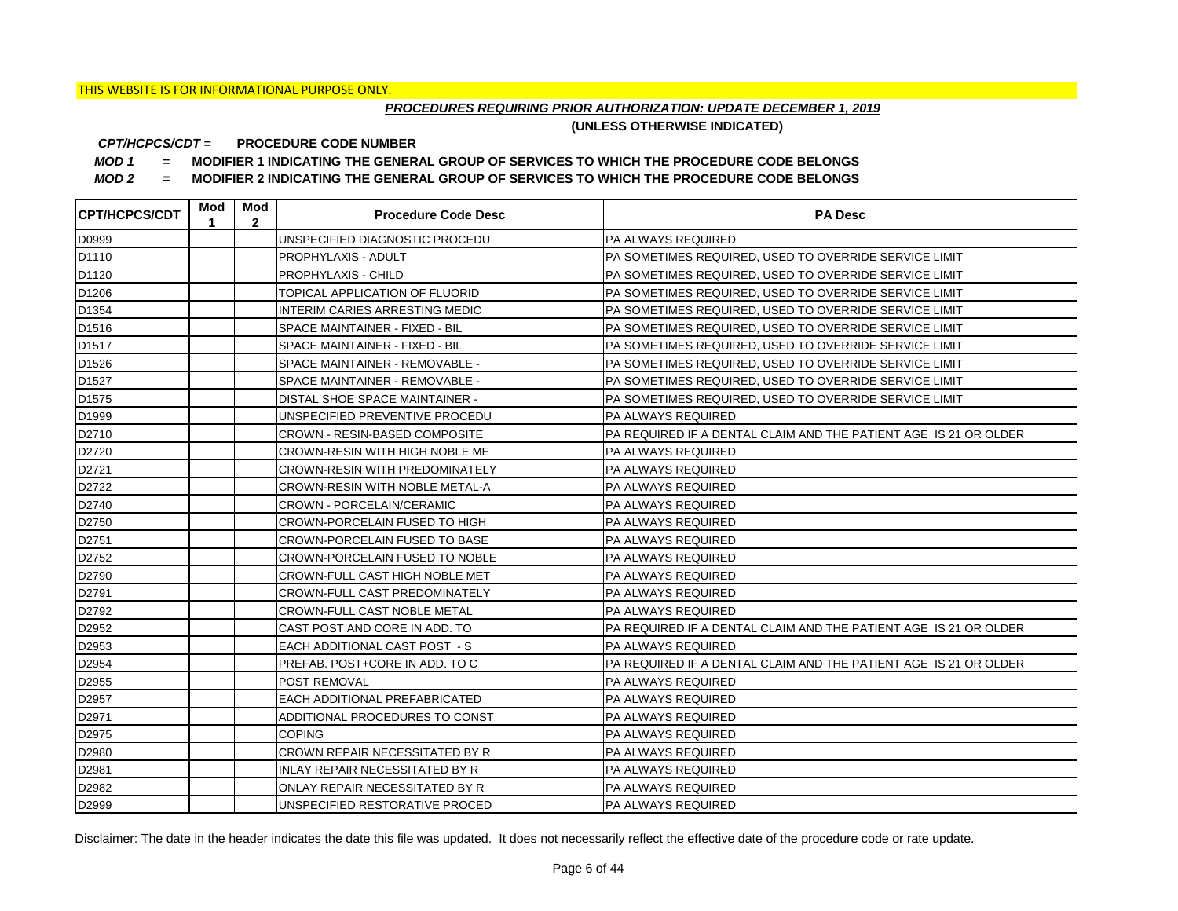# *PROCEDURES REQUIRING PRIOR AUTHORIZATION: UPDATE DECEMBER 1, 2019*

**(UNLESS OTHERWISE INDICATED)**

#### **PROCEDURE CODE NUMBER** *CPT/HCPCS/CDT =*

*MOD 1 =* **MODIFIER 1 INDICATING THE GENERAL GROUP OF SERVICES TO WHICH THE PROCEDURE CODE BELONGS**

*MOD 2 =* **MODIFIER 2 INDICATING THE GENERAL GROUP OF SERVICES TO WHICH THE PROCEDURE CODE BELONGS**

| <b>ICPT/HCPCS/CDT</b> | Mod<br>1. | Mod<br>$\mathbf{2}$ | <b>Procedure Code Desc</b>            | <b>PA Desc</b>                                                   |
|-----------------------|-----------|---------------------|---------------------------------------|------------------------------------------------------------------|
| D0999                 |           |                     | UNSPECIFIED DIAGNOSTIC PROCEDU        | <b>PA ALWAYS REQUIRED</b>                                        |
| D <sub>1110</sub>     |           |                     | PROPHYLAXIS - ADULT                   | PA SOMETIMES REQUIRED. USED TO OVERRIDE SERVICE LIMIT            |
| D1120                 |           |                     | PROPHYLAXIS - CHILD                   | PA SOMETIMES REQUIRED, USED TO OVERRIDE SERVICE LIMIT            |
| D1206                 |           |                     | TOPICAL APPLICATION OF FLUORID        | PA SOMETIMES REQUIRED, USED TO OVERRIDE SERVICE LIMIT            |
| D1354                 |           |                     | INTERIM CARIES ARRESTING MEDIC        | PA SOMETIMES REQUIRED. USED TO OVERRIDE SERVICE LIMIT            |
| D1516                 |           |                     | SPACE MAINTAINER - FIXED - BIL        | PA SOMETIMES REQUIRED, USED TO OVERRIDE SERVICE LIMIT            |
| D1517                 |           |                     | SPACE MAINTAINER - FIXED - BIL        | PA SOMETIMES REQUIRED, USED TO OVERRIDE SERVICE LIMIT            |
| D1526                 |           |                     | SPACE MAINTAINER - REMOVABLE -        | PA SOMETIMES REQUIRED, USED TO OVERRIDE SERVICE LIMIT            |
| D1527                 |           |                     | SPACE MAINTAINER - REMOVABLE -        | PA SOMETIMES REQUIRED, USED TO OVERRIDE SERVICE LIMIT            |
| D <sub>1575</sub>     |           |                     | DISTAL SHOE SPACE MAINTAINER -        | PA SOMETIMES REQUIRED, USED TO OVERRIDE SERVICE LIMIT            |
| D1999                 |           |                     | UNSPECIFIED PREVENTIVE PROCEDU        | PA ALWAYS REQUIRED                                               |
| D2710                 |           |                     | CROWN - RESIN-BASED COMPOSITE         | PA REQUIRED IF A DENTAL CLAIM AND THE PATIENT AGE IS 21 OR OLDER |
| D2720                 |           |                     | CROWN-RESIN WITH HIGH NOBLE ME        | PA ALWAYS REQUIRED                                               |
| D2721                 |           |                     | CROWN-RESIN WITH PREDOMINATELY        | <b>PA ALWAYS REQUIRED</b>                                        |
| D2722                 |           |                     | CROWN-RESIN WITH NOBLE METAL-A        | <b>PA ALWAYS REQUIRED</b>                                        |
| D2740                 |           |                     | CROWN - PORCELAIN/CERAMIC             | <b>PA ALWAYS REQUIRED</b>                                        |
| D2750                 |           |                     | CROWN-PORCELAIN FUSED TO HIGH         | IPA ALWAYS REQUIRED                                              |
| D2751                 |           |                     | CROWN-PORCELAIN FUSED TO BASE         | <b>PA ALWAYS REQUIRED</b>                                        |
| D2752                 |           |                     | CROWN-PORCELAIN FUSED TO NOBLE        | <b>PA ALWAYS REQUIRED</b>                                        |
| D2790                 |           |                     | CROWN-FULL CAST HIGH NOBLE MET        | PA ALWAYS REQUIRED                                               |
| D2791                 |           |                     | CROWN-FULL CAST PREDOMINATELY         | <b>PA ALWAYS REQUIRED</b>                                        |
| D2792                 |           |                     | CROWN-FULL CAST NOBLE METAL           | <b>PA ALWAYS REQUIRED</b>                                        |
| D2952                 |           |                     | CAST POST AND CORE IN ADD. TO         | PA REQUIRED IF A DENTAL CLAIM AND THE PATIENT AGE IS 21 OR OLDER |
| D2953                 |           |                     | EACH ADDITIONAL CAST POST - S         | <b>PA ALWAYS REQUIRED</b>                                        |
| D2954                 |           |                     | PREFAB. POST+CORE IN ADD. TO C        | PA REQUIRED IF A DENTAL CLAIM AND THE PATIENT AGE IS 21 OR OLDER |
| D2955                 |           |                     | <b>POST REMOVAL</b>                   | IPA ALWAYS REQUIRED                                              |
| D2957                 |           |                     | EACH ADDITIONAL PREFABRICATED         | <b>PA ALWAYS REQUIRED</b>                                        |
| D2971                 |           |                     | ADDITIONAL PROCEDURES TO CONST        | <b>PA ALWAYS REQUIRED</b>                                        |
| D2975                 |           |                     | <b>COPING</b>                         | <b>PA ALWAYS REQUIRED</b>                                        |
| D2980                 |           |                     | CROWN REPAIR NECESSITATED BY R        | PA ALWAYS REQUIRED                                               |
| D2981                 |           |                     | <b>INLAY REPAIR NECESSITATED BY R</b> | PA ALWAYS REQUIRED                                               |
| D2982                 |           |                     | ONLAY REPAIR NECESSITATED BY R        | <b>PA ALWAYS REQUIRED</b>                                        |
| D2999                 |           |                     | UNSPECIFIED RESTORATIVE PROCED        | <b>PA ALWAYS REQUIRED</b>                                        |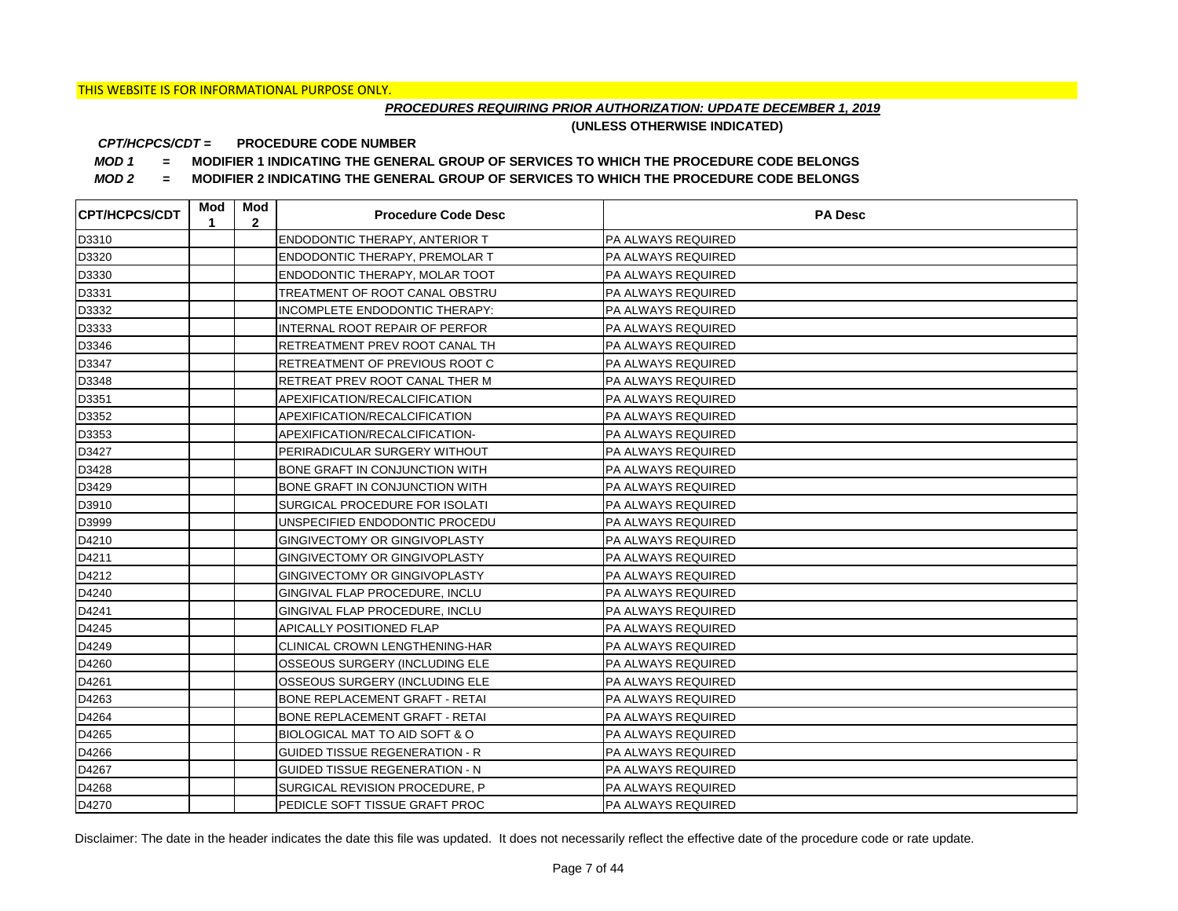# *PROCEDURES REQUIRING PRIOR AUTHORIZATION: UPDATE DECEMBER 1, 2019*

**(UNLESS OTHERWISE INDICATED)**

#### **PROCEDURE CODE NUMBER** *CPT/HCPCS/CDT =*

*MOD 1 =* **MODIFIER 1 INDICATING THE GENERAL GROUP OF SERVICES TO WHICH THE PROCEDURE CODE BELONGS**

*MOD 2 =* **MODIFIER 2 INDICATING THE GENERAL GROUP OF SERVICES TO WHICH THE PROCEDURE CODE BELONGS**

| <b>CPT/HCPCS/CDT</b> | Mod<br>1 | Mod<br>$\mathbf{2}$ | <b>Procedure Code Desc</b>            | <b>PA Desc</b>            |
|----------------------|----------|---------------------|---------------------------------------|---------------------------|
| D3310                |          |                     | ENDODONTIC THERAPY, ANTERIOR T        | <b>PA ALWAYS REQUIRED</b> |
| D3320                |          |                     | ENDODONTIC THERAPY, PREMOLAR T        | <b>PA ALWAYS REQUIRED</b> |
| D3330                |          |                     | ENDODONTIC THERAPY, MOLAR TOOT        | <b>PA ALWAYS REQUIRED</b> |
| D3331                |          |                     | TREATMENT OF ROOT CANAL OBSTRU        | <b>PA ALWAYS REQUIRED</b> |
| D3332                |          |                     | INCOMPLETE ENDODONTIC THERAPY:        | PA ALWAYS REQUIRED        |
| D3333                |          |                     | INTERNAL ROOT REPAIR OF PERFOR        | PA ALWAYS REQUIRED        |
| D3346                |          |                     | RETREATMENT PREV ROOT CANAL TH        | <b>PA ALWAYS REQUIRED</b> |
| D3347                |          |                     | RETREATMENT OF PREVIOUS ROOT C        | <b>PA ALWAYS REQUIRED</b> |
| D3348                |          |                     | RETREAT PREV ROOT CANAL THER M        | <b>PA ALWAYS REQUIRED</b> |
| D3351                |          |                     | APEXIFICATION/RECALCIFICATION         | <b>PA ALWAYS REQUIRED</b> |
| D3352                |          |                     | APEXIFICATION/RECALCIFICATION         | PA ALWAYS REQUIRED        |
| D3353                |          |                     | APEXIFICATION/RECALCIFICATION-        | <b>PA ALWAYS REQUIRED</b> |
| D3427                |          |                     | PERIRADICULAR SURGERY WITHOUT         | <b>PA ALWAYS REQUIRED</b> |
| D3428                |          |                     | BONE GRAFT IN CONJUNCTION WITH        | <b>PA ALWAYS REQUIRED</b> |
| D3429                |          |                     | BONE GRAFT IN CONJUNCTION WITH        | PA ALWAYS REQUIRED        |
| D3910                |          |                     | SURGICAL PROCEDURE FOR ISOLATI        | PA ALWAYS REQUIRED        |
| D3999                |          |                     | UNSPECIFIED ENDODONTIC PROCEDU        | PA ALWAYS REQUIRED        |
| D4210                |          |                     | GINGIVECTOMY OR GINGIVOPLASTY         | PA ALWAYS REQUIRED        |
| D4211                |          |                     | GINGIVECTOMY OR GINGIVOPLASTY         | PA ALWAYS REQUIRED        |
| D4212                |          |                     | GINGIVECTOMY OR GINGIVOPLASTY         | PA ALWAYS REQUIRED        |
| D4240                |          |                     | GINGIVAL FLAP PROCEDURE, INCLU        | PA ALWAYS REQUIRED        |
| D4241                |          |                     | GINGIVAL FLAP PROCEDURE, INCLU        | PA ALWAYS REQUIRED        |
| D4245                |          |                     | APICALLY POSITIONED FLAP              | PA ALWAYS REQUIRED        |
| D4249                |          |                     | CLINICAL CROWN LENGTHENING-HAR        | PA ALWAYS REQUIRED        |
| D4260                |          |                     | OSSEOUS SURGERY (INCLUDING ELE        | <b>PA ALWAYS REQUIRED</b> |
| D4261                |          |                     | OSSEOUS SURGERY (INCLUDING ELE        | PA ALWAYS REQUIRED        |
| D4263                |          |                     | BONE REPLACEMENT GRAFT - RETAI        | PA ALWAYS REQUIRED        |
| D4264                |          |                     | BONE REPLACEMENT GRAFT - RETAI        | PA ALWAYS REQUIRED        |
| D4265                |          |                     | BIOLOGICAL MAT TO AID SOFT & O        | PA ALWAYS REQUIRED        |
| D4266                |          |                     | <b>GUIDED TISSUE REGENERATION - R</b> | PA ALWAYS REQUIRED        |
| D4267                |          |                     | <b>GUIDED TISSUE REGENERATION - N</b> | PA ALWAYS REQUIRED        |
| D4268                |          |                     | SURGICAL REVISION PROCEDURE, P        | PA ALWAYS REQUIRED        |
| D4270                |          |                     | PEDICLE SOFT TISSUE GRAFT PROC        | <b>PA ALWAYS REQUIRED</b> |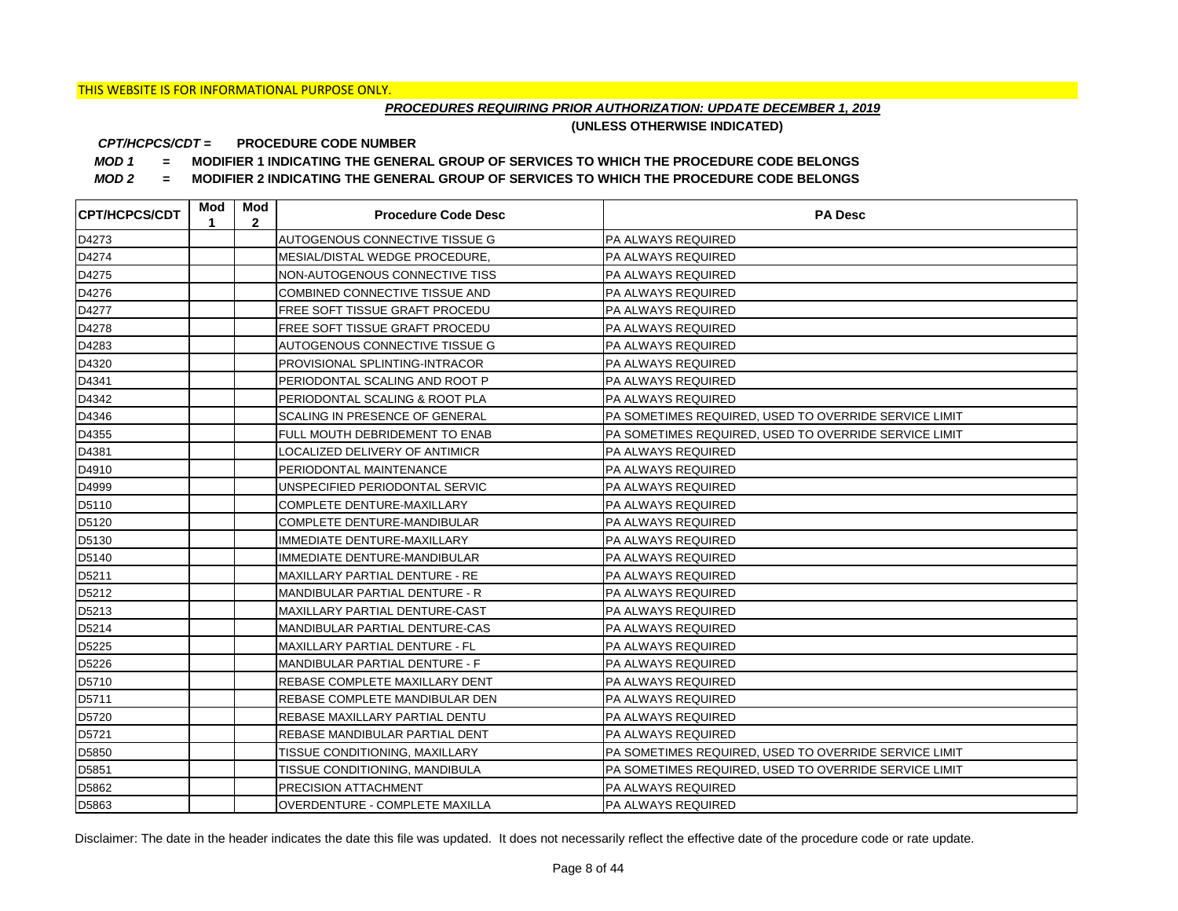# *PROCEDURES REQUIRING PRIOR AUTHORIZATION: UPDATE DECEMBER 1, 2019*

**(UNLESS OTHERWISE INDICATED)**

#### **PROCEDURE CODE NUMBER** *CPT/HCPCS/CDT =*

*MOD 1 =* **MODIFIER 1 INDICATING THE GENERAL GROUP OF SERVICES TO WHICH THE PROCEDURE CODE BELONGS**

*MOD 2 =* **MODIFIER 2 INDICATING THE GENERAL GROUP OF SERVICES TO WHICH THE PROCEDURE CODE BELONGS**

| <b>ICPT/HCPCS/CDT</b> | Mod<br>1 | Mod<br>$\mathbf{2}$ | <b>Procedure Code Desc</b>            | <b>PA Desc</b>                                        |
|-----------------------|----------|---------------------|---------------------------------------|-------------------------------------------------------|
| D4273                 |          |                     | AUTOGENOUS CONNECTIVE TISSUE G        | PA ALWAYS REQUIRED                                    |
| D4274                 |          |                     | MESIAL/DISTAL WEDGE PROCEDURE,        | <b>PA ALWAYS REQUIRED</b>                             |
| D4275                 |          |                     | NON-AUTOGENOUS CONNECTIVE TISS        | <b>PA ALWAYS REQUIRED</b>                             |
| D4276                 |          |                     | COMBINED CONNECTIVE TISSUE AND        | PA ALWAYS REQUIRED                                    |
| D4277                 |          |                     | FREE SOFT TISSUE GRAFT PROCEDU        | PA ALWAYS REQUIRED                                    |
| D4278                 |          |                     | FREE SOFT TISSUE GRAFT PROCEDU        | PA ALWAYS REQUIRED                                    |
| D4283                 |          |                     | AUTOGENOUS CONNECTIVE TISSUE G        | PA ALWAYS REQUIRED                                    |
| D4320                 |          |                     | PROVISIONAL SPLINTING-INTRACOR        | PA ALWAYS REQUIRED                                    |
| D4341                 |          |                     | PERIODONTAL SCALING AND ROOT P        | PA ALWAYS REQUIRED                                    |
| D4342                 |          |                     | PERIODONTAL SCALING & ROOT PLA        | <b>PA ALWAYS REQUIRED</b>                             |
| D4346                 |          |                     | SCALING IN PRESENCE OF GENERAL        | PA SOMETIMES REQUIRED, USED TO OVERRIDE SERVICE LIMIT |
| D4355                 |          |                     | FULL MOUTH DEBRIDEMENT TO ENAB        | PA SOMETIMES REQUIRED, USED TO OVERRIDE SERVICE LIMIT |
| D4381                 |          |                     | LOCALIZED DELIVERY OF ANTIMICR        | PA ALWAYS REQUIRED                                    |
| D4910                 |          |                     | PERIODONTAL MAINTENANCE               | <b>PA ALWAYS REQUIRED</b>                             |
| D4999                 |          |                     | UNSPECIFIED PERIODONTAL SERVIC        | IPA ALWAYS REQUIRED                                   |
| D5110                 |          |                     | COMPLETE DENTURE-MAXILLARY            | <b>PA ALWAYS REQUIRED</b>                             |
| D5120                 |          |                     | COMPLETE DENTURE-MANDIBULAR           | <b>PA ALWAYS REQUIRED</b>                             |
| D5130                 |          |                     | IMMEDIATE DENTURE-MAXILLARY           | <b>PA ALWAYS REQUIRED</b>                             |
| D5140                 |          |                     | IMMEDIATE DENTURE-MANDIBULAR          | <b>PA ALWAYS REQUIRED</b>                             |
| D5211                 |          |                     | MAXILLARY PARTIAL DENTURE - RE        | <b>PA ALWAYS REQUIRED</b>                             |
| D5212                 |          |                     | <b>MANDIBULAR PARTIAL DENTURE - R</b> | <b>PA ALWAYS REQUIRED</b>                             |
| D5213                 |          |                     | MAXILLARY PARTIAL DENTURE-CAST        | <b>PA ALWAYS REQUIRED</b>                             |
| D5214                 |          |                     | MANDIBULAR PARTIAL DENTURE-CAS        | PA ALWAYS REQUIRED                                    |
| D5225                 |          |                     | MAXILLARY PARTIAL DENTURE - FL        | PA ALWAYS REQUIRED                                    |
| D5226                 |          |                     | MANDIBULAR PARTIAL DENTURE - F        | <b>PA ALWAYS REQUIRED</b>                             |
| D5710                 |          |                     | REBASE COMPLETE MAXILLARY DENT        | <b>PA ALWAYS REQUIRED</b>                             |
| D5711                 |          |                     | REBASE COMPLETE MANDIBULAR DEN        | <b>PA ALWAYS REQUIRED</b>                             |
| D5720                 |          |                     | REBASE MAXILLARY PARTIAL DENTU        | PA ALWAYS REQUIRED                                    |
| D5721                 |          |                     | REBASE MANDIBULAR PARTIAL DENT        | <b>PA ALWAYS REQUIRED</b>                             |
| D5850                 |          |                     | TISSUE CONDITIONING, MAXILLARY        | PA SOMETIMES REQUIRED, USED TO OVERRIDE SERVICE LIMIT |
| D5851                 |          |                     | TISSUE CONDITIONING, MANDIBULA        | PA SOMETIMES REQUIRED, USED TO OVERRIDE SERVICE LIMIT |
| D5862                 |          |                     | <b>PRECISION ATTACHMENT</b>           | <b>PA ALWAYS REQUIRED</b>                             |
| D5863                 |          |                     | <b>OVERDENTURE - COMPLETE MAXILLA</b> | <b>PA ALWAYS REQUIRED</b>                             |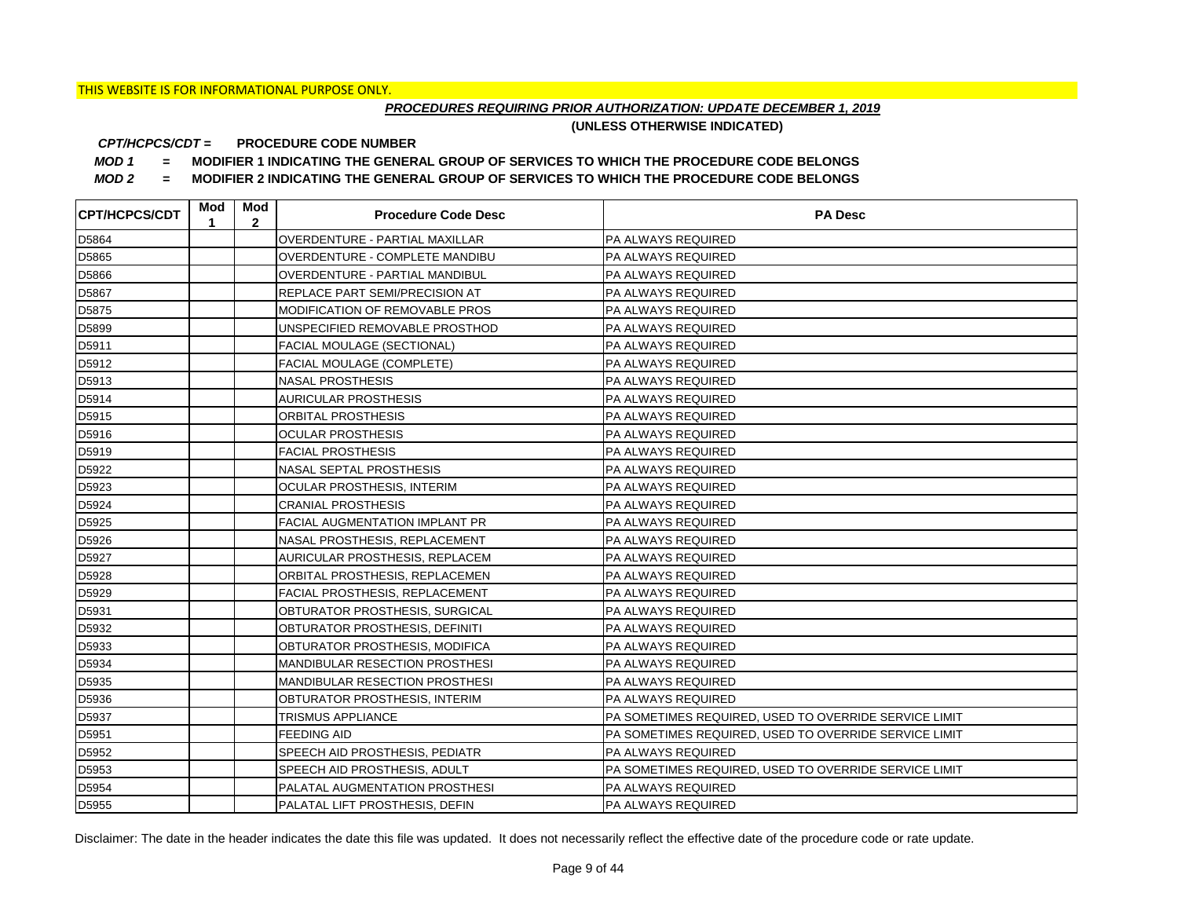# *PROCEDURES REQUIRING PRIOR AUTHORIZATION: UPDATE DECEMBER 1, 2019*

**(UNLESS OTHERWISE INDICATED)**

#### **PROCEDURE CODE NUMBER** *CPT/HCPCS/CDT =*

*MOD 1 =* **MODIFIER 1 INDICATING THE GENERAL GROUP OF SERVICES TO WHICH THE PROCEDURE CODE BELONGS**

*MOD 2 =* **MODIFIER 2 INDICATING THE GENERAL GROUP OF SERVICES TO WHICH THE PROCEDURE CODE BELONGS**

| <b>CPT/HCPCS/CDT</b> | Mod<br>1 | Mod<br>$\overline{2}$ | <b>Procedure Code Desc</b>            | <b>PA Desc</b>                                        |
|----------------------|----------|-----------------------|---------------------------------------|-------------------------------------------------------|
| D5864                |          |                       | <b>OVERDENTURE - PARTIAL MAXILLAR</b> | PA ALWAYS REQUIRED                                    |
| D5865                |          |                       | OVERDENTURE - COMPLETE MANDIBU        | PA ALWAYS REQUIRED                                    |
| D5866                |          |                       | OVERDENTURE - PARTIAL MANDIBUL        | PA ALWAYS REQUIRED                                    |
| D5867                |          |                       | REPLACE PART SEMI/PRECISION AT        | PA ALWAYS REQUIRED                                    |
| D5875                |          |                       | <b>MODIFICATION OF REMOVABLE PROS</b> | PA ALWAYS REQUIRED                                    |
| D5899                |          |                       | UNSPECIFIED REMOVABLE PROSTHOD        | PA ALWAYS REQUIRED                                    |
| D5911                |          |                       | <b>FACIAL MOULAGE (SECTIONAL)</b>     | PA ALWAYS REQUIRED                                    |
| D5912                |          |                       | <b>FACIAL MOULAGE (COMPLETE)</b>      | PA ALWAYS REQUIRED                                    |
| D5913                |          |                       | <b>NASAL PROSTHESIS</b>               | PA ALWAYS REQUIRED                                    |
| D5914                |          |                       | AURICULAR PROSTHESIS                  | PA ALWAYS REQUIRED                                    |
| D5915                |          |                       | ORBITAL PROSTHESIS                    | PA ALWAYS REQUIRED                                    |
| D5916                |          |                       | <b>OCULAR PROSTHESIS</b>              | PA ALWAYS REQUIRED                                    |
| D5919                |          |                       | <b>FACIAL PROSTHESIS</b>              | PA ALWAYS REQUIRED                                    |
| D5922                |          |                       | NASAL SEPTAL PROSTHESIS               | PA ALWAYS REQUIRED                                    |
| D5923                |          |                       | OCULAR PROSTHESIS, INTERIM            | PA ALWAYS REQUIRED                                    |
| D5924                |          |                       | <b>CRANIAL PROSTHESIS</b>             | PA ALWAYS REQUIRED                                    |
| D5925                |          |                       | <b>FACIAL AUGMENTATION IMPLANT PR</b> | PA ALWAYS REQUIRED                                    |
| D5926                |          |                       | NASAL PROSTHESIS, REPLACEMENT         | PA ALWAYS REQUIRED                                    |
| D5927                |          |                       | AURICULAR PROSTHESIS, REPLACEM        | PA ALWAYS REQUIRED                                    |
| D5928                |          |                       | ORBITAL PROSTHESIS, REPLACEMEN        | PA ALWAYS REQUIRED                                    |
| D5929                |          |                       | FACIAL PROSTHESIS, REPLACEMENT        | PA ALWAYS REQUIRED                                    |
| D5931                |          |                       | OBTURATOR PROSTHESIS, SURGICAL        | PA ALWAYS REQUIRED                                    |
| D5932                |          |                       | OBTURATOR PROSTHESIS, DEFINITI        | PA ALWAYS REQUIRED                                    |
| D5933                |          |                       | OBTURATOR PROSTHESIS, MODIFICA        | PA ALWAYS REQUIRED                                    |
| D5934                |          |                       | MANDIBULAR RESECTION PROSTHESI        | PA ALWAYS REQUIRED                                    |
| D5935                |          |                       | MANDIBULAR RESECTION PROSTHESI        | PA ALWAYS REQUIRED                                    |
| D5936                |          |                       | OBTURATOR PROSTHESIS, INTERIM         | PA ALWAYS REQUIRED                                    |
| D5937                |          |                       | TRISMUS APPLIANCE                     | PA SOMETIMES REQUIRED, USED TO OVERRIDE SERVICE LIMIT |
| D5951                |          |                       | <b>FEEDING AID</b>                    | PA SOMETIMES REQUIRED, USED TO OVERRIDE SERVICE LIMIT |
| D5952                |          |                       | SPEECH AID PROSTHESIS, PEDIATR        | PA ALWAYS REQUIRED                                    |
| D5953                |          |                       | SPEECH AID PROSTHESIS, ADULT          | PA SOMETIMES REQUIRED, USED TO OVERRIDE SERVICE LIMIT |
| D5954                |          |                       | <b>PALATAL AUGMENTATION PROSTHESI</b> | PA ALWAYS REQUIRED                                    |
| D5955                |          |                       | PALATAL LIFT PROSTHESIS, DEFIN        | <b>PA ALWAYS REQUIRED</b>                             |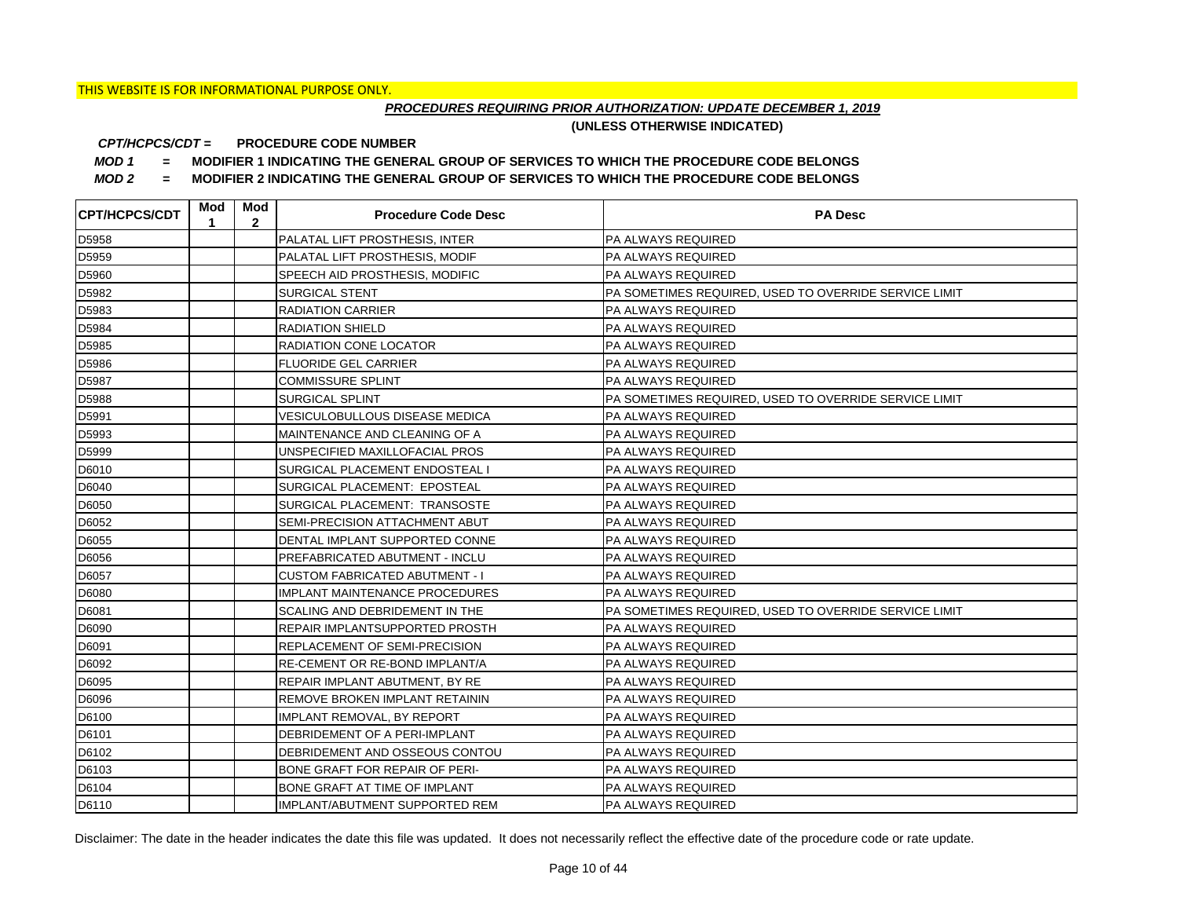# *PROCEDURES REQUIRING PRIOR AUTHORIZATION: UPDATE DECEMBER 1, 2019*

**(UNLESS OTHERWISE INDICATED)**

#### **PROCEDURE CODE NUMBER** *CPT/HCPCS/CDT =*

*MOD 1 =* **MODIFIER 1 INDICATING THE GENERAL GROUP OF SERVICES TO WHICH THE PROCEDURE CODE BELONGS**

*MOD 2 =* **MODIFIER 2 INDICATING THE GENERAL GROUP OF SERVICES TO WHICH THE PROCEDURE CODE BELONGS**

| <b>CPT/HCPCS/CDT</b> | Mod<br>1 | Mod<br>$\mathbf{2}$ | <b>Procedure Code Desc</b>            | <b>PA Desc</b>                                        |
|----------------------|----------|---------------------|---------------------------------------|-------------------------------------------------------|
| D5958                |          |                     | PALATAL LIFT PROSTHESIS, INTER        | <b>PA ALWAYS REQUIRED</b>                             |
| D5959                |          |                     | PALATAL LIFT PROSTHESIS, MODIF        | <b>PA ALWAYS REQUIRED</b>                             |
| D5960                |          |                     | SPEECH AID PROSTHESIS, MODIFIC        | <b>PA ALWAYS REQUIRED</b>                             |
| D5982                |          |                     | SURGICAL STENT                        | PA SOMETIMES REQUIRED, USED TO OVERRIDE SERVICE LIMIT |
| D5983                |          |                     | <b>RADIATION CARRIER</b>              | PA ALWAYS REQUIRED                                    |
| D5984                |          |                     | <b>RADIATION SHIELD</b>               | <b>PA ALWAYS REQUIRED</b>                             |
| D5985                |          |                     | RADIATION CONE LOCATOR                | <b>PA ALWAYS REQUIRED</b>                             |
| D5986                |          |                     | <b>FLUORIDE GEL CARRIER</b>           | <b>PA ALWAYS REQUIRED</b>                             |
| D5987                |          |                     | <b>COMMISSURE SPLINT</b>              | <b>PA ALWAYS REQUIRED</b>                             |
| D5988                |          |                     | <b>SURGICAL SPLINT</b>                | PA SOMETIMES REQUIRED, USED TO OVERRIDE SERVICE LIMIT |
| D5991                |          |                     | <b>VESICULOBULLOUS DISEASE MEDICA</b> | <b>PA ALWAYS REQUIRED</b>                             |
| D5993                |          |                     | MAINTENANCE AND CLEANING OF A         | <b>PA ALWAYS REQUIRED</b>                             |
| D5999                |          |                     | UNSPECIFIED MAXILLOFACIAL PROS        | <b>PA ALWAYS REQUIRED</b>                             |
| D6010                |          |                     | SURGICAL PLACEMENT ENDOSTEAL I        | <b>PA ALWAYS REQUIRED</b>                             |
| D6040                |          |                     | SURGICAL PLACEMENT: EPOSTEAL          | PA ALWAYS REQUIRED                                    |
| D6050                |          |                     | SURGICAL PLACEMENT: TRANSOSTE         | <b>PA ALWAYS REQUIRED</b>                             |
| D6052                |          |                     | SEMI-PRECISION ATTACHMENT ABUT        | PA ALWAYS REQUIRED                                    |
| D6055                |          |                     | DENTAL IMPLANT SUPPORTED CONNE        | PA ALWAYS REQUIRED                                    |
| D6056                |          |                     | PREFABRICATED ABUTMENT - INCLU        | PA ALWAYS REQUIRED                                    |
| D6057                |          |                     | <b>CUSTOM FABRICATED ABUTMENT - I</b> | PA ALWAYS REQUIRED                                    |
| D6080                |          |                     | <b>IMPLANT MAINTENANCE PROCEDURES</b> | PA ALWAYS REQUIRED                                    |
| D6081                |          |                     | SCALING AND DEBRIDEMENT IN THE        | PA SOMETIMES REQUIRED, USED TO OVERRIDE SERVICE LIMIT |
| D6090                |          |                     | REPAIR IMPLANTSUPPORTED PROSTH        | PA ALWAYS REQUIRED                                    |
| D6091                |          |                     | REPLACEMENT OF SEMI-PRECISION         | PA ALWAYS REQUIRED                                    |
| D6092                |          |                     | RE-CEMENT OR RE-BOND IMPLANT/A        | <b>PA ALWAYS REQUIRED</b>                             |
| D6095                |          |                     | REPAIR IMPLANT ABUTMENT, BY RE        | PA ALWAYS REQUIRED                                    |
| D6096                |          |                     | REMOVE BROKEN IMPLANT RETAININ        | PA ALWAYS REQUIRED                                    |
| D6100                |          |                     | IMPLANT REMOVAL, BY REPORT            | PA ALWAYS REQUIRED                                    |
| D6101                |          |                     | DEBRIDEMENT OF A PERI-IMPLANT         | PA ALWAYS REQUIRED                                    |
| D6102                |          |                     | DEBRIDEMENT AND OSSEOUS CONTOU        | PA ALWAYS REQUIRED                                    |
| D6103                |          |                     | BONE GRAFT FOR REPAIR OF PERI-        | PA ALWAYS REQUIRED                                    |
| D6104                |          |                     | BONE GRAFT AT TIME OF IMPLANT         | PA ALWAYS REQUIRED                                    |
| D6110                |          |                     | <b>IMPLANT/ABUTMENT SUPPORTED REM</b> | <b>PA ALWAYS REQUIRED</b>                             |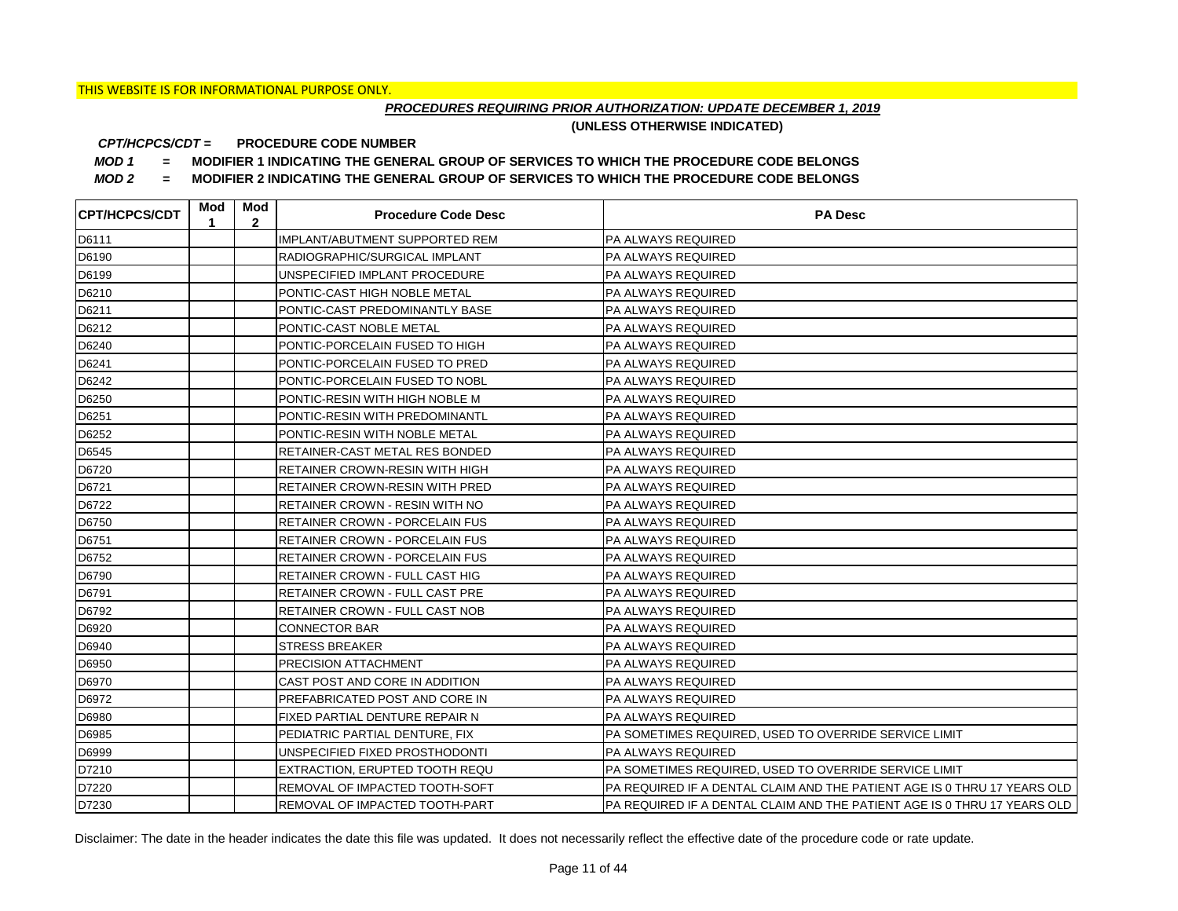# *PROCEDURES REQUIRING PRIOR AUTHORIZATION: UPDATE DECEMBER 1, 2019*

**(UNLESS OTHERWISE INDICATED)**

#### **PROCEDURE CODE NUMBER** *CPT/HCPCS/CDT =*

*MOD 1 =* **MODIFIER 1 INDICATING THE GENERAL GROUP OF SERVICES TO WHICH THE PROCEDURE CODE BELONGS**

*MOD 2 =* **MODIFIER 2 INDICATING THE GENERAL GROUP OF SERVICES TO WHICH THE PROCEDURE CODE BELONGS**

| <b>CPT/HCPCS/CDT</b> | Mod<br>1 | Mod<br>$\mathbf{2}$ | <b>Procedure Code Desc</b>            | <b>PA Desc</b>                                                           |
|----------------------|----------|---------------------|---------------------------------------|--------------------------------------------------------------------------|
| D6111                |          |                     | IMPLANT/ABUTMENT SUPPORTED REM        | <b>PA ALWAYS REQUIRED</b>                                                |
| D6190                |          |                     | RADIOGRAPHIC/SURGICAL IMPLANT         | <b>PA ALWAYS REQUIRED</b>                                                |
| D6199                |          |                     | UNSPECIFIED IMPLANT PROCEDURE         | <b>PA ALWAYS REQUIRED</b>                                                |
| D6210                |          |                     | PONTIC-CAST HIGH NOBLE METAL          | <b>PA ALWAYS REQUIRED</b>                                                |
| D6211                |          |                     | PONTIC-CAST PREDOMINANTLY BASE        | PA ALWAYS REQUIRED                                                       |
| D6212                |          |                     | PONTIC-CAST NOBLE METAL               | <b>PA ALWAYS REQUIRED</b>                                                |
| D6240                |          |                     | PONTIC-PORCELAIN FUSED TO HIGH        | <b>PA ALWAYS REQUIRED</b>                                                |
| D6241                |          |                     | PONTIC-PORCELAIN FUSED TO PRED        | <b>PA ALWAYS REQUIRED</b>                                                |
| D6242                |          |                     | PONTIC-PORCELAIN FUSED TO NOBL        | <b>PA ALWAYS REQUIRED</b>                                                |
| D6250                |          |                     | PONTIC-RESIN WITH HIGH NOBLE M        | <b>PA ALWAYS REQUIRED</b>                                                |
| D6251                |          |                     | PONTIC-RESIN WITH PREDOMINANTL        | <b>PA ALWAYS REQUIRED</b>                                                |
| D6252                |          |                     | PONTIC-RESIN WITH NOBLE METAL         | <b>PA ALWAYS REQUIRED</b>                                                |
| D6545                |          |                     | RETAINER-CAST METAL RES BONDED        | <b>PA ALWAYS REQUIRED</b>                                                |
| D6720                |          |                     | <b>RETAINER CROWN-RESIN WITH HIGH</b> | <b>PA ALWAYS REQUIRED</b>                                                |
| D6721                |          |                     | RETAINER CROWN-RESIN WITH PRED        | PA ALWAYS REQUIRED                                                       |
| D6722                |          |                     | RETAINER CROWN - RESIN WITH NO        | <b>PA ALWAYS REQUIRED</b>                                                |
| D6750                |          |                     | RETAINER CROWN - PORCELAIN FUS        | PA ALWAYS REQUIRED                                                       |
| D6751                |          |                     | RETAINER CROWN - PORCELAIN FUS        | PA ALWAYS REQUIRED                                                       |
| D6752                |          |                     | RETAINER CROWN - PORCELAIN FUS        | PA ALWAYS REQUIRED                                                       |
| D6790                |          |                     | RETAINER CROWN - FULL CAST HIG        | <b>PA ALWAYS REQUIRED</b>                                                |
| D6791                |          |                     | RETAINER CROWN - FULL CAST PRE        | PA ALWAYS REQUIRED                                                       |
| D6792                |          |                     | RETAINER CROWN - FULL CAST NOB        | PA ALWAYS REQUIRED                                                       |
| D6920                |          |                     | <b>CONNECTOR BAR</b>                  | PA ALWAYS REQUIRED                                                       |
| D6940                |          |                     | <b>STRESS BREAKER</b>                 | PA ALWAYS REQUIRED                                                       |
| D6950                |          |                     | PRECISION ATTACHMENT                  | <b>PA ALWAYS REQUIRED</b>                                                |
| D6970                |          |                     | CAST POST AND CORE IN ADDITION        | <b>PA ALWAYS REQUIRED</b>                                                |
| D6972                |          |                     | PREFABRICATED POST AND CORE IN        | PA ALWAYS REQUIRED                                                       |
| D6980                |          |                     | FIXED PARTIAL DENTURE REPAIR N        | PA ALWAYS REQUIRED                                                       |
| D6985                |          |                     | PEDIATRIC PARTIAL DENTURE, FIX        | PA SOMETIMES REQUIRED, USED TO OVERRIDE SERVICE LIMIT                    |
| D6999                |          |                     | UNSPECIFIED FIXED PROSTHODONTI        | PA ALWAYS REQUIRED                                                       |
| D7210                |          |                     | EXTRACTION, ERUPTED TOOTH REQU        | PA SOMETIMES REQUIRED, USED TO OVERRIDE SERVICE LIMIT                    |
| D7220                |          |                     | REMOVAL OF IMPACTED TOOTH-SOFT        | PA REQUIRED IF A DENTAL CLAIM AND THE PATIENT AGE IS 0 THRU 17 YEARS OLD |
| D7230                |          |                     | REMOVAL OF IMPACTED TOOTH-PART        | PA REQUIRED IF A DENTAL CLAIM AND THE PATIENT AGE IS 0 THRU 17 YEARS OLD |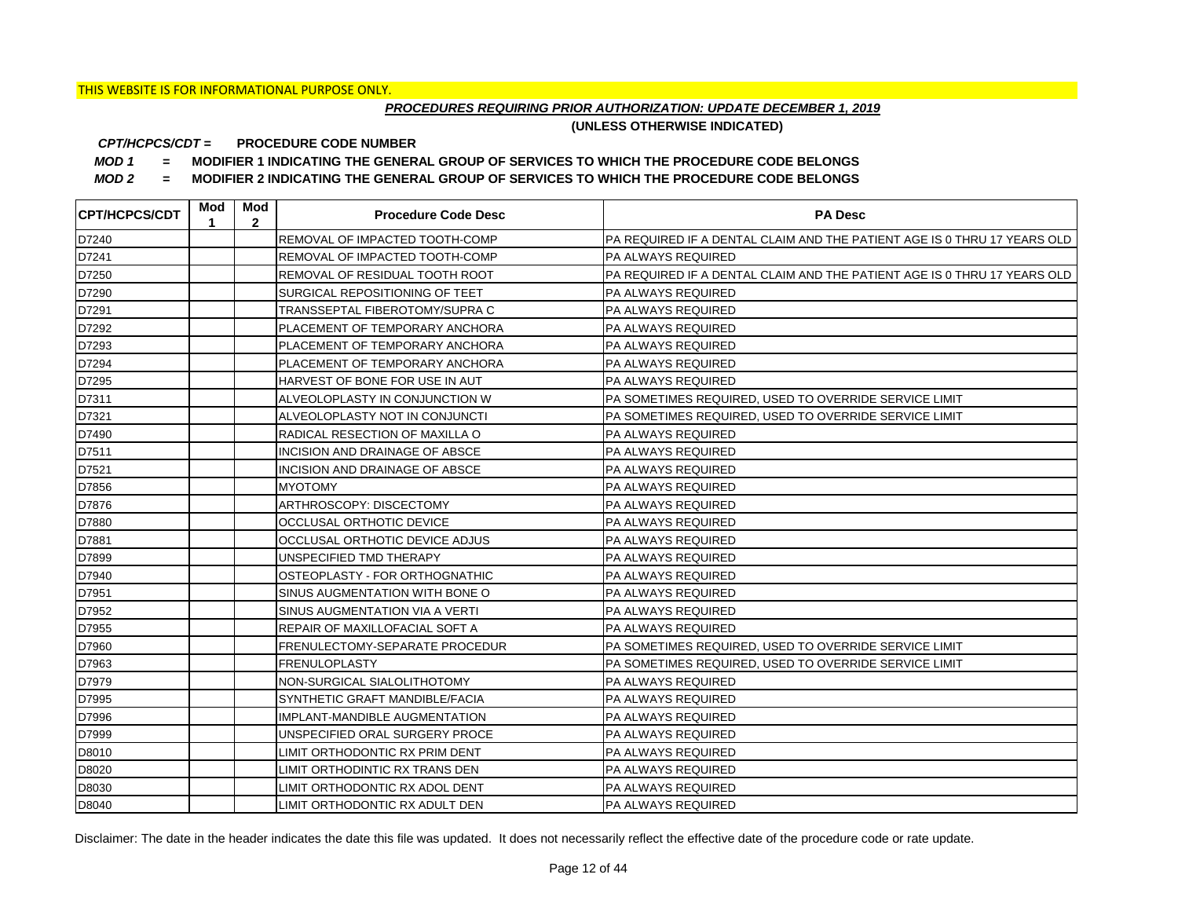# *PROCEDURES REQUIRING PRIOR AUTHORIZATION: UPDATE DECEMBER 1, 2019*

**(UNLESS OTHERWISE INDICATED)**

#### **PROCEDURE CODE NUMBER** *CPT/HCPCS/CDT =*

*MOD 1 =* **MODIFIER 1 INDICATING THE GENERAL GROUP OF SERVICES TO WHICH THE PROCEDURE CODE BELONGS**

*MOD 2 =* **MODIFIER 2 INDICATING THE GENERAL GROUP OF SERVICES TO WHICH THE PROCEDURE CODE BELONGS**

| <b>CPT/HCPCS/CDT</b> | Mod<br>1 | Mod<br>$\overline{2}$ | <b>Procedure Code Desc</b>            | <b>PA Desc</b>                                                           |
|----------------------|----------|-----------------------|---------------------------------------|--------------------------------------------------------------------------|
| D7240                |          |                       | <b>REMOVAL OF IMPACTED TOOTH-COMP</b> | PA REQUIRED IF A DENTAL CLAIM AND THE PATIENT AGE IS 0 THRU 17 YEARS OLD |
| D7241                |          |                       | REMOVAL OF IMPACTED TOOTH-COMP        | <b>PA ALWAYS REQUIRED</b>                                                |
| D7250                |          |                       | REMOVAL OF RESIDUAL TOOTH ROOT        | PA REQUIRED IF A DENTAL CLAIM AND THE PATIENT AGE IS 0 THRU 17 YEARS OLD |
| D7290                |          |                       | SURGICAL REPOSITIONING OF TEET        | <b>PA ALWAYS REQUIRED</b>                                                |
| D7291                |          |                       | TRANSSEPTAL FIBEROTOMY/SUPRA C        | PA ALWAYS REQUIRED                                                       |
| D7292                |          |                       | PLACEMENT OF TEMPORARY ANCHORA        | PA ALWAYS REQUIRED                                                       |
| D7293                |          |                       | PLACEMENT OF TEMPORARY ANCHORA        | PA ALWAYS REQUIRED                                                       |
| D7294                |          |                       | PLACEMENT OF TEMPORARY ANCHORA        | PA ALWAYS REQUIRED                                                       |
| D7295                |          |                       | HARVEST OF BONE FOR USE IN AUT        | PA ALWAYS REQUIRED                                                       |
| D7311                |          |                       | ALVEOLOPLASTY IN CONJUNCTION W        | PA SOMETIMES REQUIRED, USED TO OVERRIDE SERVICE LIMIT                    |
| D7321                |          |                       | ALVEOLOPLASTY NOT IN CONJUNCTI        | PA SOMETIMES REQUIRED, USED TO OVERRIDE SERVICE LIMIT                    |
| D7490                |          |                       | RADICAL RESECTION OF MAXILLA O        | PA ALWAYS REQUIRED                                                       |
| D7511                |          |                       | INCISION AND DRAINAGE OF ABSCE        | PA ALWAYS REQUIRED                                                       |
| D7521                |          |                       | <b>INCISION AND DRAINAGE OF ABSCE</b> | PA ALWAYS REQUIRED                                                       |
| D7856                |          |                       | <b>MYOTOMY</b>                        | PA ALWAYS REQUIRED                                                       |
| D7876                |          |                       | ARTHROSCOPY: DISCECTOMY               | PA ALWAYS REQUIRED                                                       |
| D7880                |          |                       | OCCLUSAL ORTHOTIC DEVICE              | PA ALWAYS REQUIRED                                                       |
| D7881                |          |                       | OCCLUSAL ORTHOTIC DEVICE ADJUS        | PA ALWAYS REQUIRED                                                       |
| D7899                |          |                       | UNSPECIFIED TMD THERAPY               | PA ALWAYS REQUIRED                                                       |
| D7940                |          |                       | OSTEOPLASTY - FOR ORTHOGNATHIC        | <b>PA ALWAYS REQUIRED</b>                                                |
| D7951                |          |                       | SINUS AUGMENTATION WITH BONE O        | PA ALWAYS REQUIRED                                                       |
| D7952                |          |                       | SINUS AUGMENTATION VIA A VERTI        | PA ALWAYS REQUIRED                                                       |
| D7955                |          |                       | REPAIR OF MAXILLOFACIAL SOFT A        | PA ALWAYS REQUIRED                                                       |
| D7960                |          |                       | FRENULECTOMY-SEPARATE PROCEDUR        | PA SOMETIMES REQUIRED, USED TO OVERRIDE SERVICE LIMIT                    |
| D7963                |          |                       | <b>FRENULOPLASTY</b>                  | PA SOMETIMES REQUIRED, USED TO OVERRIDE SERVICE LIMIT                    |
| D7979                |          |                       | NON-SURGICAL SIALOLITHOTOMY           | PA ALWAYS REQUIRED                                                       |
| D7995                |          |                       | SYNTHETIC GRAFT MANDIBLE/FACIA        | PA ALWAYS REQUIRED                                                       |
| D7996                |          |                       | IMPLANT-MANDIBLE AUGMENTATION         | PA ALWAYS REQUIRED                                                       |
| D7999                |          |                       | UNSPECIFIED ORAL SURGERY PROCE        | PA ALWAYS REQUIRED                                                       |
| D8010                |          |                       | LIMIT ORTHODONTIC RX PRIM DENT        | PA ALWAYS REQUIRED                                                       |
| D8020                |          |                       | LIMIT ORTHODINTIC RX TRANS DEN        | PA ALWAYS REQUIRED                                                       |
| D8030                |          |                       | LIMIT ORTHODONTIC RX ADOL DENT        | <b>PA ALWAYS REQUIRED</b>                                                |
| D8040                |          |                       | LIMIT ORTHODONTIC RX ADULT DEN        | <b>PA ALWAYS REQUIRED</b>                                                |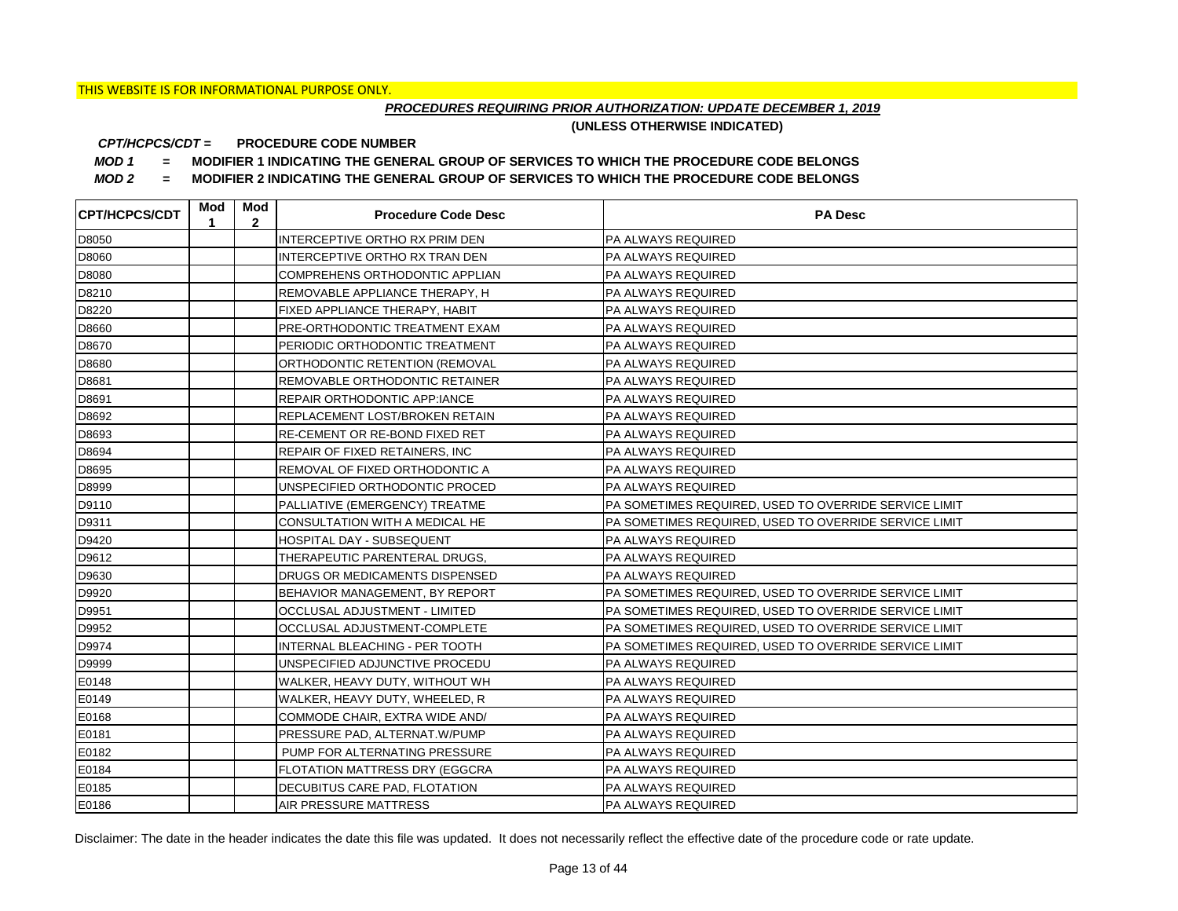# *PROCEDURES REQUIRING PRIOR AUTHORIZATION: UPDATE DECEMBER 1, 2019*

**(UNLESS OTHERWISE INDICATED)**

#### **PROCEDURE CODE NUMBER** *CPT/HCPCS/CDT =*

*MOD 1 =* **MODIFIER 1 INDICATING THE GENERAL GROUP OF SERVICES TO WHICH THE PROCEDURE CODE BELONGS**

*MOD 2 =* **MODIFIER 2 INDICATING THE GENERAL GROUP OF SERVICES TO WHICH THE PROCEDURE CODE BELONGS**

| <b>ICPT/HCPCS/CDT</b> | Mod<br>1 | Mod<br>$\mathbf{2}$ | <b>Procedure Code Desc</b>     | <b>PA Desc</b>                                        |
|-----------------------|----------|---------------------|--------------------------------|-------------------------------------------------------|
| D8050                 |          |                     | INTERCEPTIVE ORTHO RX PRIM DEN | PA ALWAYS REQUIRED                                    |
| D8060                 |          |                     | INTERCEPTIVE ORTHO RX TRAN DEN | <b>PA ALWAYS REQUIRED</b>                             |
| D8080                 |          |                     | COMPREHENS ORTHODONTIC APPLIAN | <b>PA ALWAYS REQUIRED</b>                             |
| D8210                 |          |                     | REMOVABLE APPLIANCE THERAPY, H | PA ALWAYS REQUIRED                                    |
| D8220                 |          |                     | FIXED APPLIANCE THERAPY, HABIT | PA ALWAYS REQUIRED                                    |
| D8660                 |          |                     | PRE-ORTHODONTIC TREATMENT EXAM | PA ALWAYS REQUIRED                                    |
| D8670                 |          |                     | PERIODIC ORTHODONTIC TREATMENT | PA ALWAYS REQUIRED                                    |
| D8680                 |          |                     | ORTHODONTIC RETENTION (REMOVAL | PA ALWAYS REQUIRED                                    |
| D8681                 |          |                     | REMOVABLE ORTHODONTIC RETAINER | PA ALWAYS REQUIRED                                    |
| D8691                 |          |                     | REPAIR ORTHODONTIC APP:IANCE   | <b>PA ALWAYS REQUIRED</b>                             |
| D8692                 |          |                     | REPLACEMENT LOST/BROKEN RETAIN | PA ALWAYS REQUIRED                                    |
| D8693                 |          |                     | RE-CEMENT OR RE-BOND FIXED RET | PA ALWAYS REQUIRED                                    |
| D8694                 |          |                     | REPAIR OF FIXED RETAINERS, INC | PA ALWAYS REQUIRED                                    |
| D8695                 |          |                     | REMOVAL OF FIXED ORTHODONTIC A | <b>PA ALWAYS REQUIRED</b>                             |
| D8999                 |          |                     | UNSPECIFIED ORTHODONTIC PROCED | <b>PA ALWAYS REQUIRED</b>                             |
| D9110                 |          |                     | PALLIATIVE (EMERGENCY) TREATME | PA SOMETIMES REQUIRED. USED TO OVERRIDE SERVICE LIMIT |
| D9311                 |          |                     | CONSULTATION WITH A MEDICAL HE | PA SOMETIMES REQUIRED, USED TO OVERRIDE SERVICE LIMIT |
| D9420                 |          |                     | HOSPITAL DAY - SUBSEQUENT      | <b>PA ALWAYS REQUIRED</b>                             |
| D9612                 |          |                     | THERAPEUTIC PARENTERAL DRUGS,  | <b>PA ALWAYS REQUIRED</b>                             |
| D9630                 |          |                     | DRUGS OR MEDICAMENTS DISPENSED | <b>PA ALWAYS REQUIRED</b>                             |
| D9920                 |          |                     | BEHAVIOR MANAGEMENT, BY REPORT | PA SOMETIMES REQUIRED, USED TO OVERRIDE SERVICE LIMIT |
| D9951                 |          |                     | OCCLUSAL ADJUSTMENT - LIMITED  | PA SOMETIMES REQUIRED, USED TO OVERRIDE SERVICE LIMIT |
| D9952                 |          |                     | OCCLUSAL ADJUSTMENT-COMPLETE   | PA SOMETIMES REQUIRED, USED TO OVERRIDE SERVICE LIMIT |
| D9974                 |          |                     | INTERNAL BLEACHING - PER TOOTH | PA SOMETIMES REQUIRED, USED TO OVERRIDE SERVICE LIMIT |
| D9999                 |          |                     | UNSPECIFIED ADJUNCTIVE PROCEDU | <b>PA ALWAYS REQUIRED</b>                             |
| E0148                 |          |                     | WALKER, HEAVY DUTY, WITHOUT WH | <b>PA ALWAYS REQUIRED</b>                             |
| E0149                 |          |                     | WALKER, HEAVY DUTY, WHEELED, R | <b>PA ALWAYS REQUIRED</b>                             |
| E0168                 |          |                     | COMMODE CHAIR, EXTRA WIDE AND/ | <b>PA ALWAYS REQUIRED</b>                             |
| E0181                 |          |                     | PRESSURE PAD, ALTERNAT.W/PUMP  | <b>PA ALWAYS REQUIRED</b>                             |
| E0182                 |          |                     | PUMP FOR ALTERNATING PRESSURE  | <b>PA ALWAYS REQUIRED</b>                             |
| E0184                 |          |                     | FLOTATION MATTRESS DRY (EGGCRA | PA ALWAYS REQUIRED                                    |
| E0185                 |          |                     | DECUBITUS CARE PAD, FLOTATION  | PA ALWAYS REQUIRED                                    |
| E0186                 |          |                     | AIR PRESSURE MATTRESS          | <b>PA ALWAYS REQUIRED</b>                             |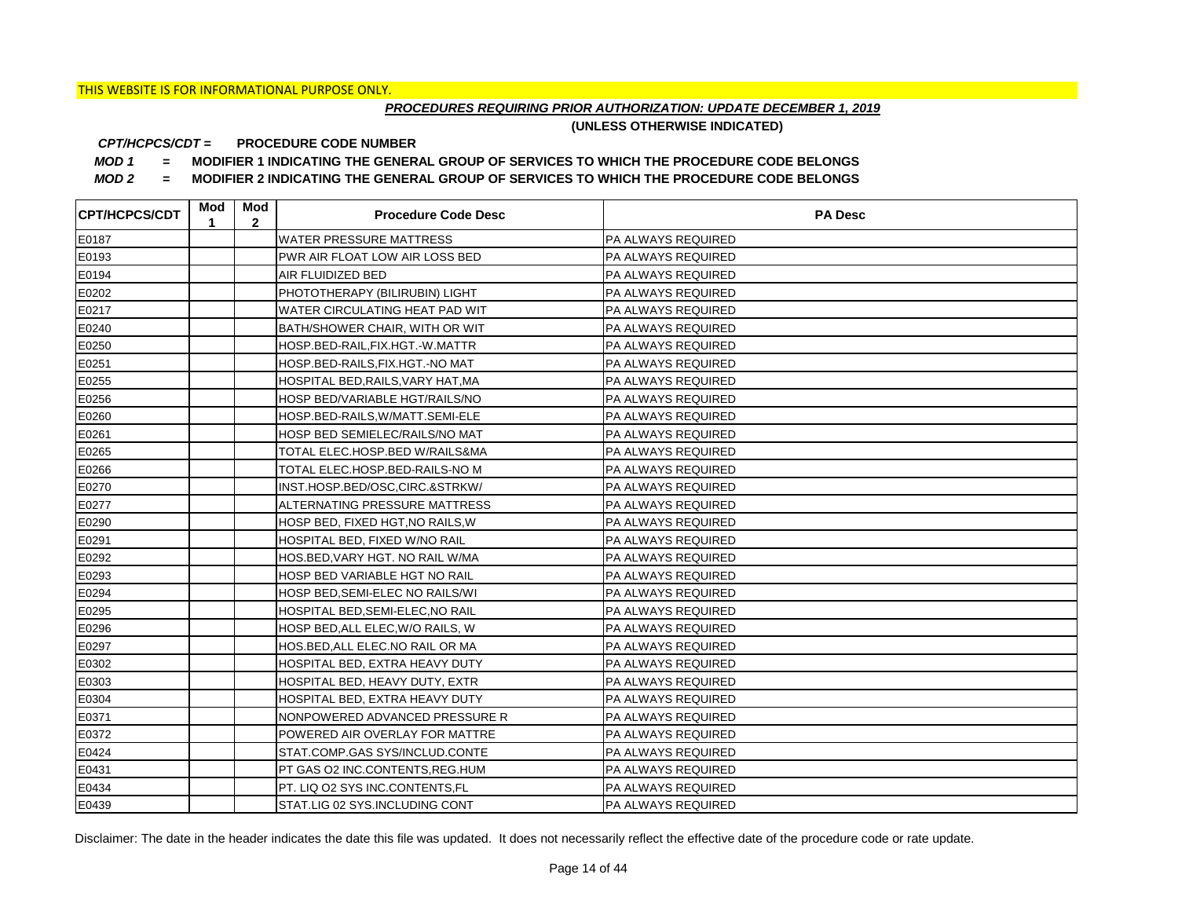# *PROCEDURES REQUIRING PRIOR AUTHORIZATION: UPDATE DECEMBER 1, 2019*

**(UNLESS OTHERWISE INDICATED)**

#### **PROCEDURE CODE NUMBER** *CPT/HCPCS/CDT =*

*MOD 1 =* **MODIFIER 1 INDICATING THE GENERAL GROUP OF SERVICES TO WHICH THE PROCEDURE CODE BELONGS**

*MOD 2 =* **MODIFIER 2 INDICATING THE GENERAL GROUP OF SERVICES TO WHICH THE PROCEDURE CODE BELONGS**

| <b>CPT/HCPCS/CDT</b> | Mod<br>1 | Mod<br>$\mathbf{2}$ | <b>Procedure Code Desc</b>        | <b>PA Desc</b>            |
|----------------------|----------|---------------------|-----------------------------------|---------------------------|
| E0187                |          |                     | <b>WATER PRESSURE MATTRESS</b>    | PA ALWAYS REQUIRED        |
| E0193                |          |                     | PWR AIR FLOAT LOW AIR LOSS BED    | PA ALWAYS REQUIRED        |
| E0194                |          |                     | AIR FLUIDIZED BED                 | PA ALWAYS REQUIRED        |
| E0202                |          |                     | PHOTOTHERAPY (BILIRUBIN) LIGHT    | PA ALWAYS REQUIRED        |
| E0217                |          |                     | WATER CIRCULATING HEAT PAD WIT    | PA ALWAYS REQUIRED        |
| E0240                |          |                     | BATH/SHOWER CHAIR, WITH OR WIT    | PA ALWAYS REQUIRED        |
| E0250                |          |                     | HOSP.BED-RAIL, FIX.HGT.-W.MATTR   | PA ALWAYS REQUIRED        |
| E0251                |          |                     | HOSP.BED-RAILS, FIX.HGT.-NO MAT   | PA ALWAYS REQUIRED        |
| E0255                |          |                     | HOSPITAL BED, RAILS, VARY HAT, MA | PA ALWAYS REQUIRED        |
| E0256                |          |                     | HOSP BED/VARIABLE HGT/RAILS/NO    | PA ALWAYS REQUIRED        |
| E0260                |          |                     | HOSP.BED-RAILS, W/MATT.SEMI-ELE   | PA ALWAYS REQUIRED        |
| E0261                |          |                     | HOSP BED SEMIELEC/RAILS/NO MAT    | PA ALWAYS REQUIRED        |
| E0265                |          |                     | TOTAL ELEC.HOSP.BED W/RAILS&MA    | PA ALWAYS REQUIRED        |
| E0266                |          |                     | TOTAL ELEC.HOSP.BED-RAILS-NO M    | PA ALWAYS REQUIRED        |
| E0270                |          |                     | INST.HOSP.BED/OSC.CIRC.&STRKW/    | PA ALWAYS REQUIRED        |
| E0277                |          |                     | ALTERNATING PRESSURE MATTRESS     | PA ALWAYS REQUIRED        |
| E0290                |          |                     | HOSP BED, FIXED HGT, NO RAILS, W  | PA ALWAYS REQUIRED        |
| E0291                |          |                     | HOSPITAL BED, FIXED W/NO RAIL     | PA ALWAYS REQUIRED        |
| E0292                |          |                     | HOS.BED, VARY HGT. NO RAIL W/MA   | PA ALWAYS REQUIRED        |
| E0293                |          |                     | HOSP BED VARIABLE HGT NO RAIL     | PA ALWAYS REQUIRED        |
| E0294                |          |                     | HOSP BED, SEMI-ELEC NO RAILS/WI   | PA ALWAYS REQUIRED        |
| E0295                |          |                     | HOSPITAL BED, SEMI-ELEC, NO RAIL  | PA ALWAYS REQUIRED        |
| E0296                |          |                     | HOSP BED, ALL ELEC, W/O RAILS, W  | PA ALWAYS REQUIRED        |
| E0297                |          |                     | HOS.BED, ALL ELEC.NO RAIL OR MA   | PA ALWAYS REQUIRED        |
| E0302                |          |                     | HOSPITAL BED, EXTRA HEAVY DUTY    | PA ALWAYS REQUIRED        |
| E0303                |          |                     | HOSPITAL BED, HEAVY DUTY, EXTR    | PA ALWAYS REQUIRED        |
| E0304                |          |                     | HOSPITAL BED, EXTRA HEAVY DUTY    | PA ALWAYS REQUIRED        |
| E0371                |          |                     | NONPOWERED ADVANCED PRESSURE R    | PA ALWAYS REQUIRED        |
| E0372                |          |                     | POWERED AIR OVERLAY FOR MATTRE    | PA ALWAYS REQUIRED        |
| E0424                |          |                     | STAT.COMP.GAS SYS/INCLUD.CONTE    | PA ALWAYS REQUIRED        |
| E0431                |          |                     | PT GAS O2 INC.CONTENTS, REG.HUM   | PA ALWAYS REQUIRED        |
| E0434                |          |                     | PT. LIQ O2 SYS INC.CONTENTS,FL    | PA ALWAYS REQUIRED        |
| E0439                |          |                     | STAT.LIG 02 SYS.INCLUDING CONT    | <b>PA ALWAYS REQUIRED</b> |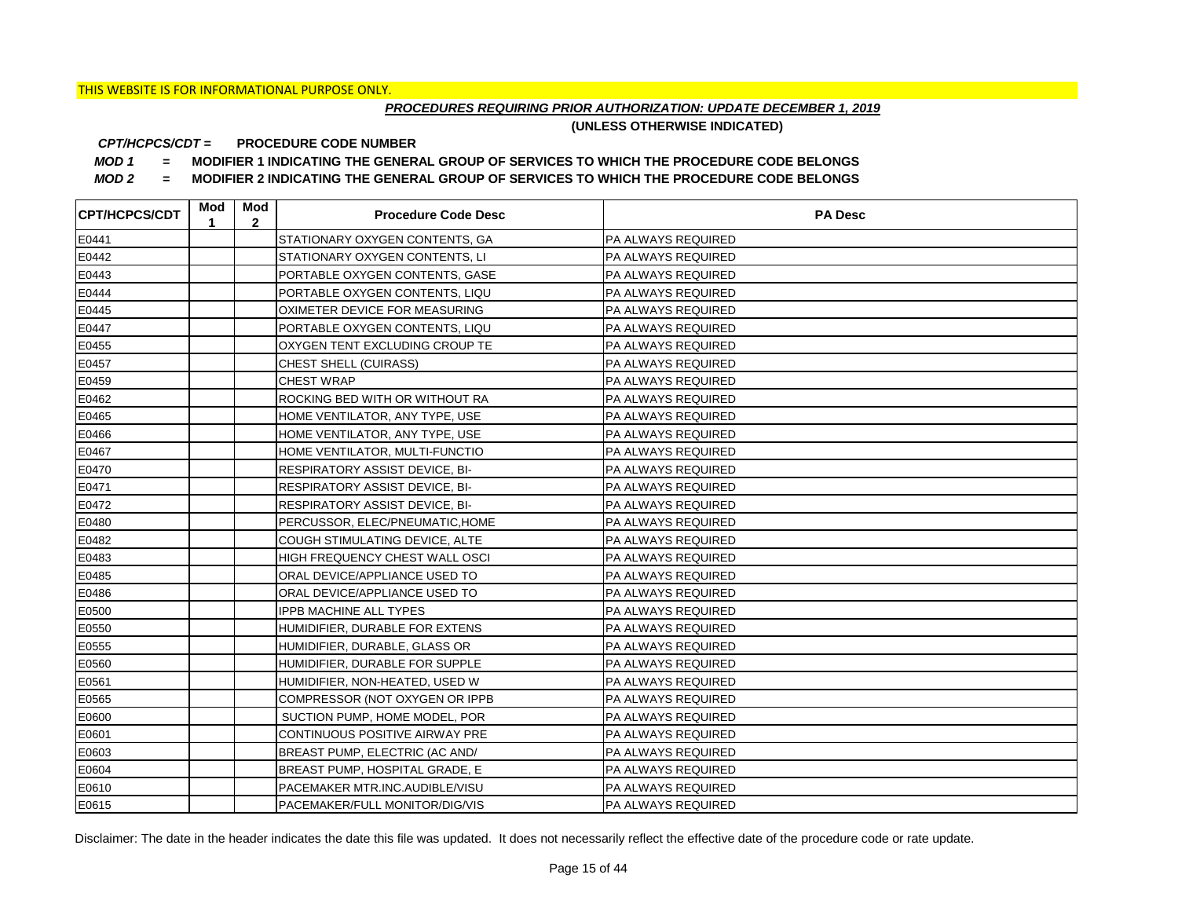# *PROCEDURES REQUIRING PRIOR AUTHORIZATION: UPDATE DECEMBER 1, 2019*

**(UNLESS OTHERWISE INDICATED)**

#### **PROCEDURE CODE NUMBER** *CPT/HCPCS/CDT =*

*MOD 1 =* **MODIFIER 1 INDICATING THE GENERAL GROUP OF SERVICES TO WHICH THE PROCEDURE CODE BELONGS**

*MOD 2 =* **MODIFIER 2 INDICATING THE GENERAL GROUP OF SERVICES TO WHICH THE PROCEDURE CODE BELONGS**

| <b>CPT/HCPCS/CDT</b> | Mod<br>1 | Mod<br>$\mathbf{2}$ | <b>Procedure Code Desc</b>            | <b>PA Desc</b>            |
|----------------------|----------|---------------------|---------------------------------------|---------------------------|
| E0441                |          |                     | STATIONARY OXYGEN CONTENTS, GA        | PA ALWAYS REQUIRED        |
| E0442                |          |                     | STATIONARY OXYGEN CONTENTS, LI        | PA ALWAYS REQUIRED        |
| E0443                |          |                     | PORTABLE OXYGEN CONTENTS, GASE        | PA ALWAYS REQUIRED        |
| E0444                |          |                     | PORTABLE OXYGEN CONTENTS, LIQU        | PA ALWAYS REQUIRED        |
| E0445                |          |                     | OXIMETER DEVICE FOR MEASURING         | PA ALWAYS REQUIRED        |
| E0447                |          |                     | PORTABLE OXYGEN CONTENTS, LIQU        | PA ALWAYS REQUIRED        |
| E0455                |          |                     | OXYGEN TENT EXCLUDING CROUP TE        | PA ALWAYS REQUIRED        |
| E0457                |          |                     | CHEST SHELL (CUIRASS)                 | PA ALWAYS REQUIRED        |
| E0459                |          |                     | <b>CHEST WRAP</b>                     | PA ALWAYS REQUIRED        |
| E0462                |          |                     | ROCKING BED WITH OR WITHOUT RA        | PA ALWAYS REQUIRED        |
| E0465                |          |                     | HOME VENTILATOR, ANY TYPE, USE        | PA ALWAYS REQUIRED        |
| E0466                |          |                     | HOME VENTILATOR, ANY TYPE, USE        | PA ALWAYS REQUIRED        |
| E0467                |          |                     | HOME VENTILATOR, MULTI-FUNCTIO        | PA ALWAYS REQUIRED        |
| E0470                |          |                     | RESPIRATORY ASSIST DEVICE, BI-        | PA ALWAYS REQUIRED        |
| E0471                |          |                     | <b>RESPIRATORY ASSIST DEVICE, BI-</b> | PA ALWAYS REQUIRED        |
| E0472                |          |                     | <b>RESPIRATORY ASSIST DEVICE, BI-</b> | PA ALWAYS REQUIRED        |
| E0480                |          |                     | PERCUSSOR, ELEC/PNEUMATIC, HOME       | PA ALWAYS REQUIRED        |
| E0482                |          |                     | COUGH STIMULATING DEVICE, ALTE        | PA ALWAYS REQUIRED        |
| E0483                |          |                     | HIGH FREQUENCY CHEST WALL OSCI        | PA ALWAYS REQUIRED        |
| E0485                |          |                     | ORAL DEVICE/APPLIANCE USED TO         | PA ALWAYS REQUIRED        |
| E0486                |          |                     | ORAL DEVICE/APPLIANCE USED TO         | PA ALWAYS REQUIRED        |
| E0500                |          |                     | <b>IPPB MACHINE ALL TYPES</b>         | PA ALWAYS REQUIRED        |
| E0550                |          |                     | HUMIDIFIER, DURABLE FOR EXTENS        | PA ALWAYS REQUIRED        |
| E0555                |          |                     | HUMIDIFIER, DURABLE, GLASS OR         | PA ALWAYS REQUIRED        |
| E0560                |          |                     | HUMIDIFIER, DURABLE FOR SUPPLE        | PA ALWAYS REQUIRED        |
| E0561                |          |                     | HUMIDIFIER, NON-HEATED, USED W        | PA ALWAYS REQUIRED        |
| E0565                |          |                     | COMPRESSOR (NOT OXYGEN OR IPPB        | PA ALWAYS REQUIRED        |
| E0600                |          |                     | SUCTION PUMP, HOME MODEL, POR         | PA ALWAYS REQUIRED        |
| E0601                |          |                     | CONTINUOUS POSITIVE AIRWAY PRE        | PA ALWAYS REQUIRED        |
| E0603                |          |                     | BREAST PUMP, ELECTRIC (AC AND/        | PA ALWAYS REQUIRED        |
| E0604                |          |                     | BREAST PUMP, HOSPITAL GRADE, E        | PA ALWAYS REQUIRED        |
| E0610                |          |                     | PACEMAKER MTR.INC.AUDIBLE/VISU        | PA ALWAYS REQUIRED        |
| E0615                |          |                     | PACEMAKER/FULL MONITOR/DIG/VIS        | <b>PA ALWAYS REQUIRED</b> |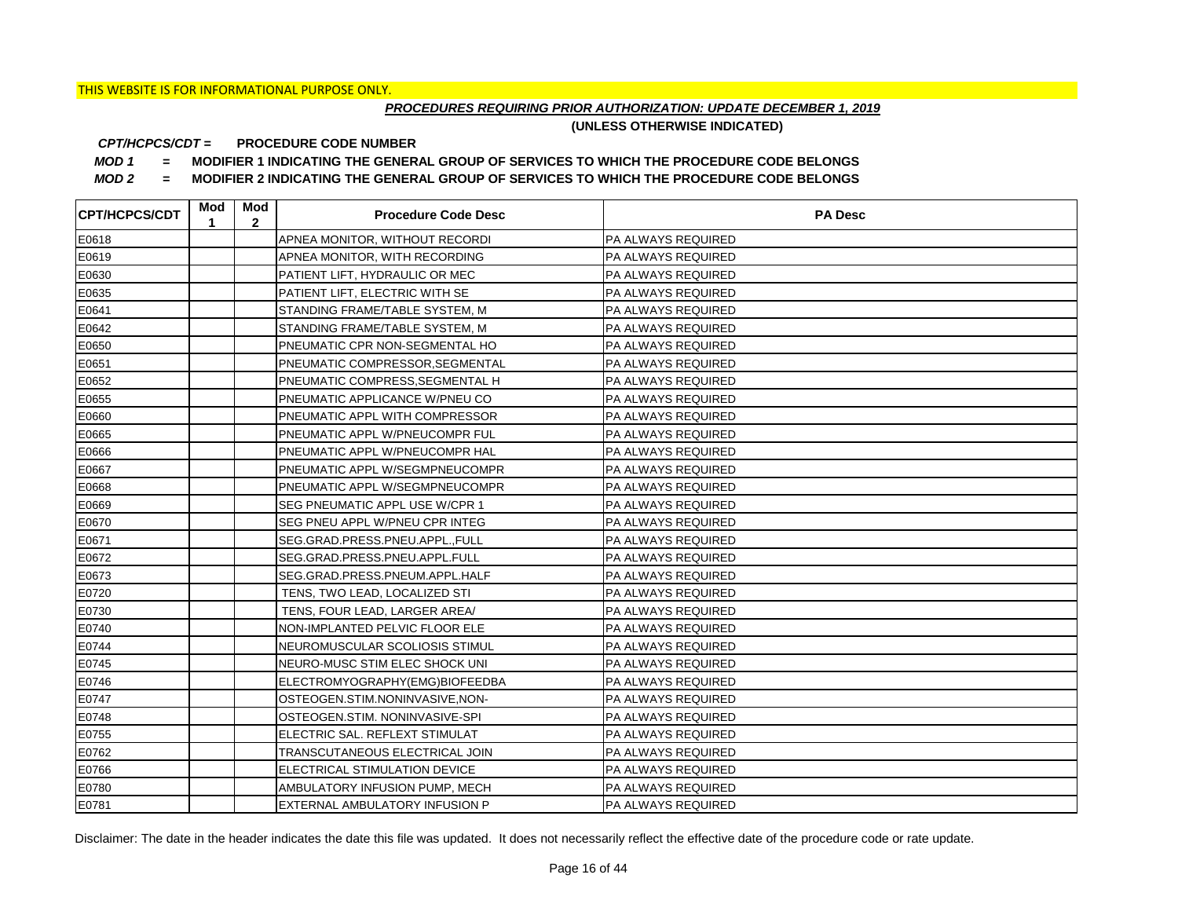# *PROCEDURES REQUIRING PRIOR AUTHORIZATION: UPDATE DECEMBER 1, 2019*

**(UNLESS OTHERWISE INDICATED)**

#### **PROCEDURE CODE NUMBER** *CPT/HCPCS/CDT =*

*MOD 1 =* **MODIFIER 1 INDICATING THE GENERAL GROUP OF SERVICES TO WHICH THE PROCEDURE CODE BELONGS**

*MOD 2 =* **MODIFIER 2 INDICATING THE GENERAL GROUP OF SERVICES TO WHICH THE PROCEDURE CODE BELONGS**

| <b>CPT/HCPCS/CDT</b> | Mod<br>1 | Mod<br>$\mathbf{2}$ | <b>Procedure Code Desc</b>      | <b>PA Desc</b>            |
|----------------------|----------|---------------------|---------------------------------|---------------------------|
| E0618                |          |                     | APNEA MONITOR, WITHOUT RECORDI  | <b>PA ALWAYS REQUIRED</b> |
| E0619                |          |                     | APNEA MONITOR, WITH RECORDING   | <b>PA ALWAYS REQUIRED</b> |
| E0630                |          |                     | PATIENT LIFT, HYDRAULIC OR MEC  | <b>PA ALWAYS REQUIRED</b> |
| E0635                |          |                     | PATIENT LIFT, ELECTRIC WITH SE  | <b>PA ALWAYS REQUIRED</b> |
| E0641                |          |                     | STANDING FRAME/TABLE SYSTEM, M  | PA ALWAYS REQUIRED        |
| E0642                |          |                     | STANDING FRAME/TABLE SYSTEM, M  | PA ALWAYS REQUIRED        |
| E0650                |          |                     | PNEUMATIC CPR NON-SEGMENTAL HO  | <b>PA ALWAYS REQUIRED</b> |
| E0651                |          |                     | PNEUMATIC COMPRESSOR, SEGMENTAL | <b>PA ALWAYS REQUIRED</b> |
| E0652                |          |                     | PNEUMATIC COMPRESS, SEGMENTAL H | <b>PA ALWAYS REQUIRED</b> |
| E0655                |          |                     | PNEUMATIC APPLICANCE W/PNEU CO  | <b>PA ALWAYS REQUIRED</b> |
| E0660                |          |                     | PNEUMATIC APPL WITH COMPRESSOR  | PA ALWAYS REQUIRED        |
| E0665                |          |                     | PNEUMATIC APPL W/PNEUCOMPR FUL  | <b>PA ALWAYS REQUIRED</b> |
| E0666                |          |                     | PNEUMATIC APPL W/PNEUCOMPR HAL  | <b>PA ALWAYS REQUIRED</b> |
| E0667                |          |                     | PNEUMATIC APPL W/SEGMPNEUCOMPR  | <b>PA ALWAYS REQUIRED</b> |
| E0668                |          |                     | PNEUMATIC APPL W/SEGMPNEUCOMPR  | PA ALWAYS REQUIRED        |
| E0669                |          |                     | SEG PNEUMATIC APPL USE W/CPR 1  | PA ALWAYS REQUIRED        |
| E0670                |          |                     | SEG PNEU APPL W/PNEU CPR INTEG  | PA ALWAYS REQUIRED        |
| E0671                |          |                     | SEG.GRAD.PRESS.PNEU.APPL.,FULL  | PA ALWAYS REQUIRED        |
| E0672                |          |                     | SEG.GRAD.PRESS.PNEU.APPL.FULL   | PA ALWAYS REQUIRED        |
| E0673                |          |                     | SEG.GRAD.PRESS.PNEUM.APPL.HALF  | PA ALWAYS REQUIRED        |
| E0720                |          |                     | TENS, TWO LEAD, LOCALIZED STI   | PA ALWAYS REQUIRED        |
| E0730                |          |                     | TENS, FOUR LEAD, LARGER AREA/   | PA ALWAYS REQUIRED        |
| E0740                |          |                     | NON-IMPLANTED PELVIC FLOOR ELE  | PA ALWAYS REQUIRED        |
| E0744                |          |                     | NEUROMUSCULAR SCOLIOSIS STIMUL  | PA ALWAYS REQUIRED        |
| E0745                |          |                     | NEURO-MUSC STIM ELEC SHOCK UNI  | <b>PA ALWAYS REQUIRED</b> |
| E0746                |          |                     | ELECTROMYOGRAPHY(EMG)BIOFEEDBA  | PA ALWAYS REQUIRED        |
| E0747                |          |                     | OSTEOGEN.STIM.NONINVASIVE,NON-  | PA ALWAYS REQUIRED        |
| E0748                |          |                     | OSTEOGEN.STIM. NONINVASIVE-SPI  | PA ALWAYS REQUIRED        |
| E0755                |          |                     | ELECTRIC SAL. REFLEXT STIMULAT  | PA ALWAYS REQUIRED        |
| E0762                |          |                     | TRANSCUTANEOUS ELECTRICAL JOIN  | PA ALWAYS REQUIRED        |
| E0766                |          |                     | ELECTRICAL STIMULATION DEVICE   | PA ALWAYS REQUIRED        |
| E0780                |          |                     | AMBULATORY INFUSION PUMP, MECH  | PA ALWAYS REQUIRED        |
| E0781                |          |                     | EXTERNAL AMBULATORY INFUSION P  | <b>PA ALWAYS REQUIRED</b> |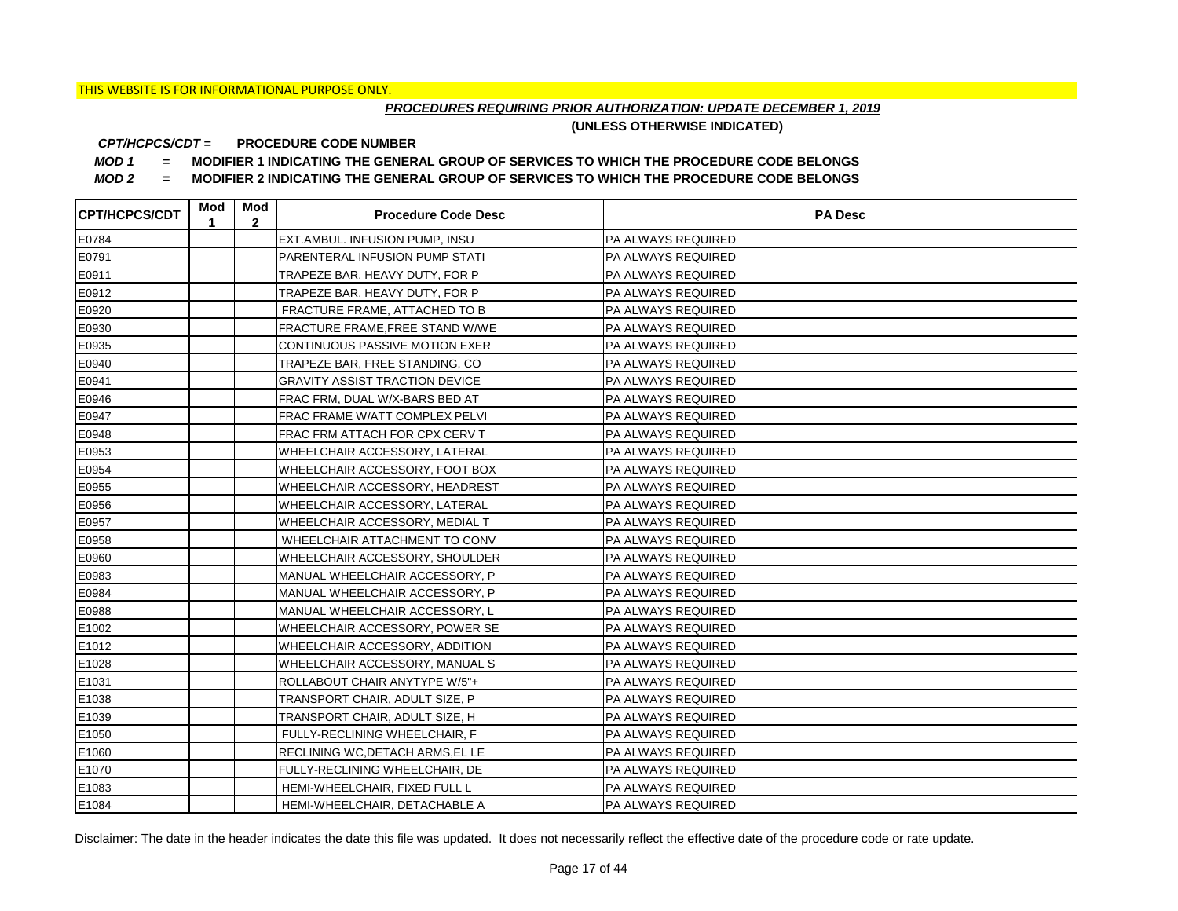# *PROCEDURES REQUIRING PRIOR AUTHORIZATION: UPDATE DECEMBER 1, 2019*

**(UNLESS OTHERWISE INDICATED)**

#### **PROCEDURE CODE NUMBER** *CPT/HCPCS/CDT =*

*MOD 1 =* **MODIFIER 1 INDICATING THE GENERAL GROUP OF SERVICES TO WHICH THE PROCEDURE CODE BELONGS**

*MOD 2 =* **MODIFIER 2 INDICATING THE GENERAL GROUP OF SERVICES TO WHICH THE PROCEDURE CODE BELONGS**

| <b>CPT/HCPCS/CDT</b> | Mod<br>1 | Mod<br>$\mathbf{2}$ | <b>Procedure Code Desc</b>            | <b>PA Desc</b>            |
|----------------------|----------|---------------------|---------------------------------------|---------------------------|
| E0784                |          |                     | <b>EXT.AMBUL. INFUSION PUMP, INSU</b> | PA ALWAYS REQUIRED        |
| E0791                |          |                     | PARENTERAL INFUSION PUMP STATI        | PA ALWAYS REQUIRED        |
| E0911                |          |                     | TRAPEZE BAR, HEAVY DUTY, FOR P        | PA ALWAYS REQUIRED        |
| E0912                |          |                     | TRAPEZE BAR, HEAVY DUTY, FOR P        | PA ALWAYS REQUIRED        |
| E0920                |          |                     | FRACTURE FRAME, ATTACHED TO B         | PA ALWAYS REQUIRED        |
| E0930                |          |                     | FRACTURE FRAME, FREE STAND W/WE       | PA ALWAYS REQUIRED        |
| E0935                |          |                     | CONTINUOUS PASSIVE MOTION EXER        | PA ALWAYS REQUIRED        |
| E0940                |          |                     | TRAPEZE BAR, FREE STANDING, CO        | PA ALWAYS REQUIRED        |
| E0941                |          |                     | <b>GRAVITY ASSIST TRACTION DEVICE</b> | PA ALWAYS REQUIRED        |
| E0946                |          |                     | FRAC FRM, DUAL W/X-BARS BED AT        | PA ALWAYS REQUIRED        |
| E0947                |          |                     | FRAC FRAME W/ATT COMPLEX PELVI        | PA ALWAYS REQUIRED        |
| E0948                |          |                     | FRAC FRM ATTACH FOR CPX CERV T        | PA ALWAYS REQUIRED        |
| E0953                |          |                     | WHEELCHAIR ACCESSORY, LATERAL         | PA ALWAYS REQUIRED        |
| E0954                |          |                     | WHEELCHAIR ACCESSORY, FOOT BOX        | PA ALWAYS REQUIRED        |
| E0955                |          |                     | WHEELCHAIR ACCESSORY, HEADREST        | PA ALWAYS REQUIRED        |
| E0956                |          |                     | WHEELCHAIR ACCESSORY, LATERAL         | PA ALWAYS REQUIRED        |
| E0957                |          |                     | WHEELCHAIR ACCESSORY, MEDIAL T        | PA ALWAYS REQUIRED        |
| E0958                |          |                     | WHEELCHAIR ATTACHMENT TO CONV         | PA ALWAYS REQUIRED        |
| E0960                |          |                     | WHEELCHAIR ACCESSORY, SHOULDER        | PA ALWAYS REQUIRED        |
| E0983                |          |                     | MANUAL WHEELCHAIR ACCESSORY, P        | PA ALWAYS REQUIRED        |
| E0984                |          |                     | MANUAL WHEELCHAIR ACCESSORY, P        | PA ALWAYS REQUIRED        |
| E0988                |          |                     | MANUAL WHEELCHAIR ACCESSORY, L        | PA ALWAYS REQUIRED        |
| E1002                |          |                     | WHEELCHAIR ACCESSORY, POWER SE        | PA ALWAYS REQUIRED        |
| E1012                |          |                     | WHEELCHAIR ACCESSORY, ADDITION        | PA ALWAYS REQUIRED        |
| E1028                |          |                     | WHEELCHAIR ACCESSORY, MANUAL S        | PA ALWAYS REQUIRED        |
| E1031                |          |                     | ROLLABOUT CHAIR ANYTYPE W/5"+         | PA ALWAYS REQUIRED        |
| E1038                |          |                     | TRANSPORT CHAIR, ADULT SIZE, P        | PA ALWAYS REQUIRED        |
| E1039                |          |                     | TRANSPORT CHAIR, ADULT SIZE, H        | PA ALWAYS REQUIRED        |
| E1050                |          |                     | FULLY-RECLINING WHEELCHAIR, F         | <b>PA ALWAYS REQUIRED</b> |
| E1060                |          |                     | RECLINING WC, DETACH ARMS, EL LE      | PA ALWAYS REQUIRED        |
| E1070                |          |                     | FULLY-RECLINING WHEELCHAIR, DE        | PA ALWAYS REQUIRED        |
| E1083                |          |                     | HEMI-WHEELCHAIR, FIXED FULL L         | PA ALWAYS REQUIRED        |
| E1084                |          |                     | HEMI-WHEELCHAIR, DETACHABLE A         | <b>PA ALWAYS REQUIRED</b> |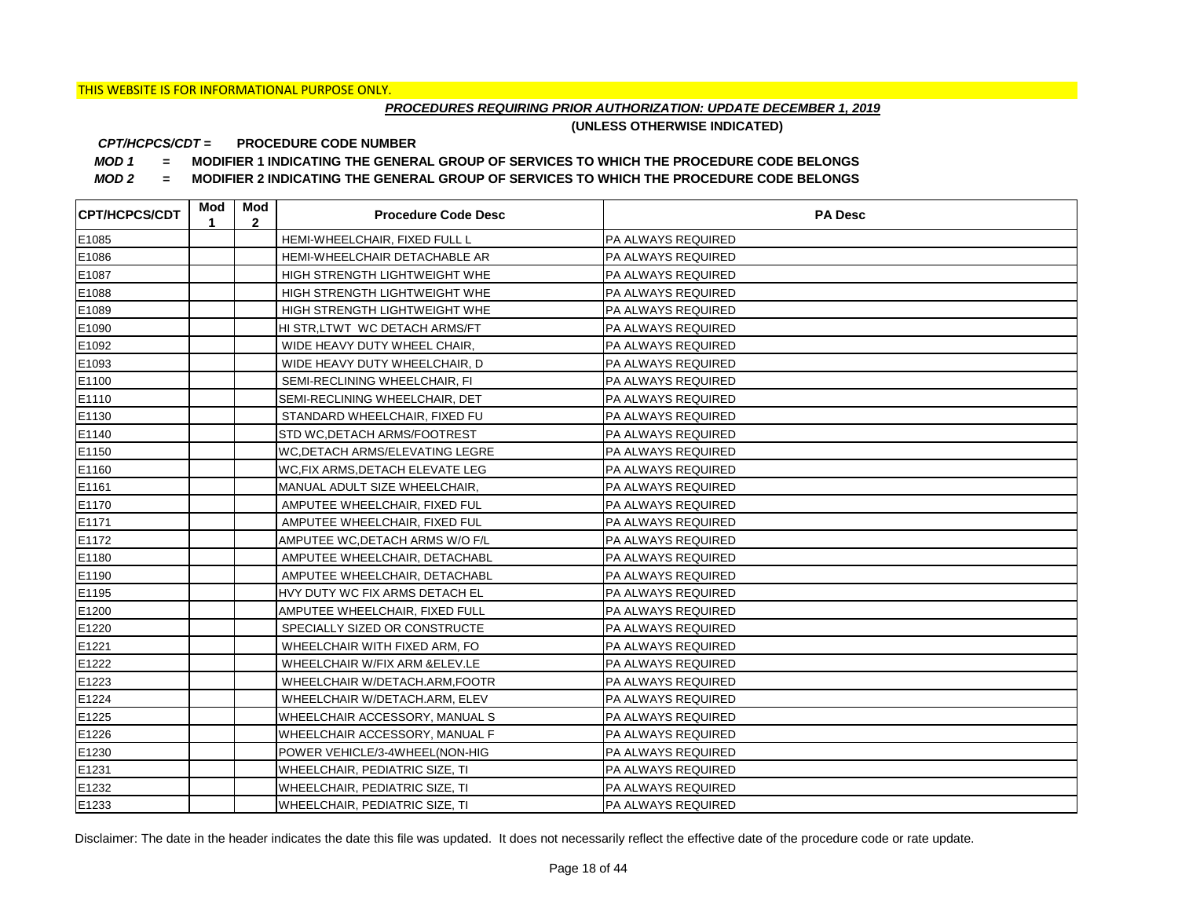# *PROCEDURES REQUIRING PRIOR AUTHORIZATION: UPDATE DECEMBER 1, 2019*

**(UNLESS OTHERWISE INDICATED)**

#### **PROCEDURE CODE NUMBER** *CPT/HCPCS/CDT =*

*MOD 1 =* **MODIFIER 1 INDICATING THE GENERAL GROUP OF SERVICES TO WHICH THE PROCEDURE CODE BELONGS**

*MOD 2 =* **MODIFIER 2 INDICATING THE GENERAL GROUP OF SERVICES TO WHICH THE PROCEDURE CODE BELONGS**

| <b>CPT/HCPCS/CDT</b> | Mod<br>1 | Mod<br>$\mathbf{2}$ | <b>Procedure Code Desc</b>            | <b>PA Desc</b>            |
|----------------------|----------|---------------------|---------------------------------------|---------------------------|
| E1085                |          |                     | HEMI-WHEELCHAIR, FIXED FULL L         | <b>PA ALWAYS REQUIRED</b> |
| E1086                |          |                     | HEMI-WHEELCHAIR DETACHABLE AR         | PA ALWAYS REQUIRED        |
| E1087                |          |                     | HIGH STRENGTH LIGHTWEIGHT WHE         | PA ALWAYS REQUIRED        |
| E1088                |          |                     | HIGH STRENGTH LIGHTWEIGHT WHE         | PA ALWAYS REQUIRED        |
| E1089                |          |                     | HIGH STRENGTH LIGHTWEIGHT WHE         | PA ALWAYS REQUIRED        |
| E1090                |          |                     | HI STR, LTWT WC DETACH ARMS/FT        | PA ALWAYS REQUIRED        |
| E1092                |          |                     | WIDE HEAVY DUTY WHEEL CHAIR,          | PA ALWAYS REQUIRED        |
| E1093                |          |                     | WIDE HEAVY DUTY WHEELCHAIR, D         | PA ALWAYS REQUIRED        |
| E1100                |          |                     | SEMI-RECLINING WHEELCHAIR, FI         | PA ALWAYS REQUIRED        |
| E1110                |          |                     | SEMI-RECLINING WHEELCHAIR, DET        | PA ALWAYS REQUIRED        |
| E1130                |          |                     | STANDARD WHEELCHAIR, FIXED FU         | PA ALWAYS REQUIRED        |
| E1140                |          |                     | STD WC, DETACH ARMS/FOOTREST          | PA ALWAYS REQUIRED        |
| E1150                |          |                     | WC.DETACH ARMS/ELEVATING LEGRE        | <b>PA ALWAYS REQUIRED</b> |
| E1160                |          |                     | WC.FIX ARMS, DETACH ELEVATE LEG       | PA ALWAYS REQUIRED        |
| E1161                |          |                     | MANUAL ADULT SIZE WHEELCHAIR,         | PA ALWAYS REQUIRED        |
| E1170                |          |                     | AMPUTEE WHEELCHAIR, FIXED FUL         | PA ALWAYS REQUIRED        |
| E1171                |          |                     | AMPUTEE WHEELCHAIR, FIXED FUL         | PA ALWAYS REQUIRED        |
| E1172                |          |                     | AMPUTEE WC, DETACH ARMS W/O F/L       | PA ALWAYS REQUIRED        |
| E1180                |          |                     | AMPUTEE WHEELCHAIR, DETACHABL         | PA ALWAYS REQUIRED        |
| E1190                |          |                     | AMPUTEE WHEELCHAIR, DETACHABL         | PA ALWAYS REQUIRED        |
| E1195                |          |                     | HVY DUTY WC FIX ARMS DETACH EL        | PA ALWAYS REQUIRED        |
| E1200                |          |                     | AMPUTEE WHEELCHAIR, FIXED FULL        | PA ALWAYS REQUIRED        |
| E1220                |          |                     | SPECIALLY SIZED OR CONSTRUCTE         | PA ALWAYS REQUIRED        |
| E1221                |          |                     | WHEELCHAIR WITH FIXED ARM, FO         | PA ALWAYS REQUIRED        |
| E1222                |          |                     | WHEELCHAIR W/FIX ARM &ELEV.LE         | PA ALWAYS REQUIRED        |
| E1223                |          |                     | WHEELCHAIR W/DETACH.ARM, FOOTR        | PA ALWAYS REQUIRED        |
| E1224                |          |                     | WHEELCHAIR W/DETACH.ARM, ELEV         | PA ALWAYS REQUIRED        |
| E1225                |          |                     | WHEELCHAIR ACCESSORY, MANUAL S        | PA ALWAYS REQUIRED        |
| E1226                |          |                     | WHEELCHAIR ACCESSORY, MANUAL F        | PA ALWAYS REQUIRED        |
| E1230                |          |                     | POWER VEHICLE/3-4WHEEL(NON-HIG        | PA ALWAYS REQUIRED        |
| E1231                |          |                     | WHEELCHAIR, PEDIATRIC SIZE, TI        | PA ALWAYS REQUIRED        |
| E1232                |          |                     | WHEELCHAIR, PEDIATRIC SIZE, TI        | PA ALWAYS REQUIRED        |
| E1233                |          |                     | <b>WHEELCHAIR, PEDIATRIC SIZE, TI</b> | <b>PA ALWAYS REQUIRED</b> |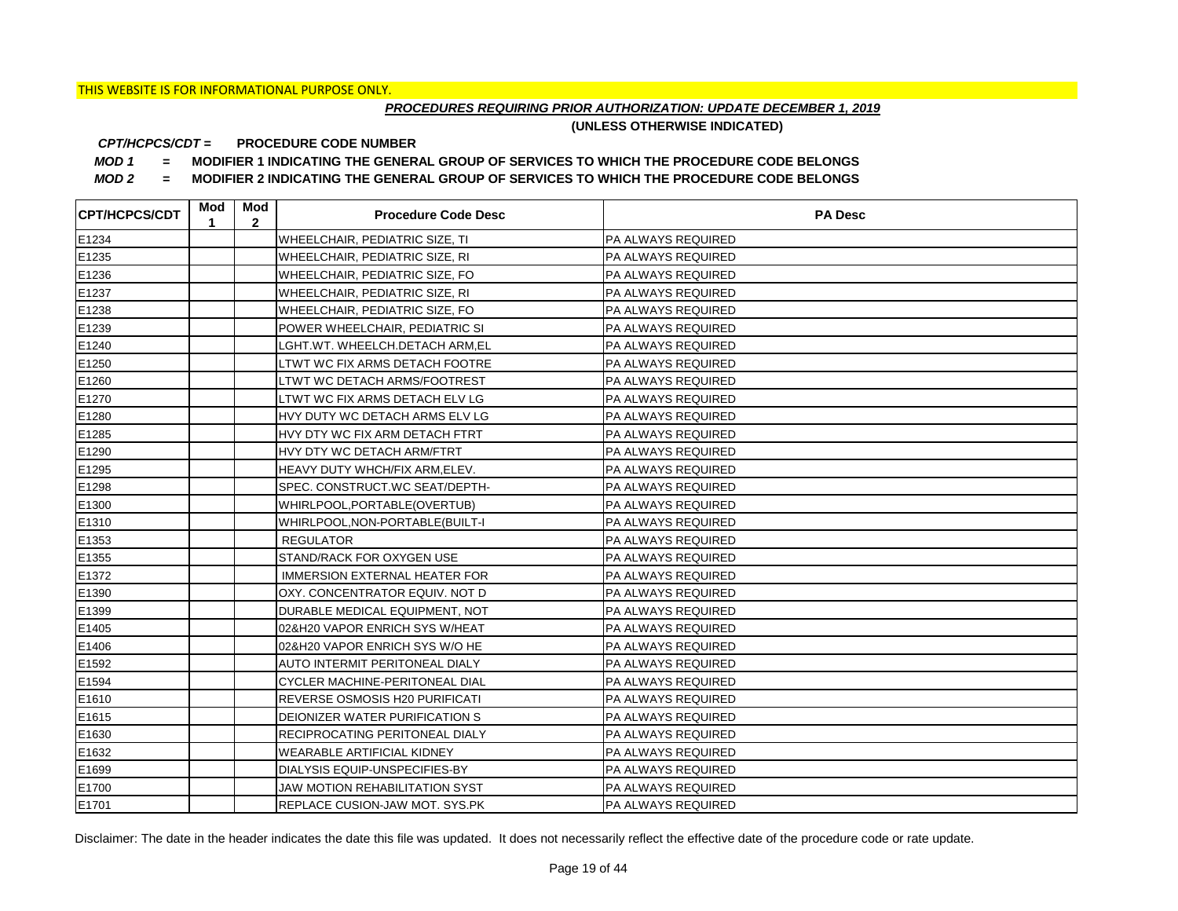# *PROCEDURES REQUIRING PRIOR AUTHORIZATION: UPDATE DECEMBER 1, 2019*

**(UNLESS OTHERWISE INDICATED)**

#### **PROCEDURE CODE NUMBER** *CPT/HCPCS/CDT =*

*MOD 1 =* **MODIFIER 1 INDICATING THE GENERAL GROUP OF SERVICES TO WHICH THE PROCEDURE CODE BELONGS**

*MOD 2 =* **MODIFIER 2 INDICATING THE GENERAL GROUP OF SERVICES TO WHICH THE PROCEDURE CODE BELONGS**

| <b>CPT/HCPCS/CDT</b> | Mod<br>1 | Mod<br>$\mathbf{2}$ | <b>Procedure Code Desc</b>            | <b>PA Desc</b>            |
|----------------------|----------|---------------------|---------------------------------------|---------------------------|
| E1234                |          |                     | WHEELCHAIR, PEDIATRIC SIZE, TI        | PA ALWAYS REQUIRED        |
| E1235                |          |                     | WHEELCHAIR, PEDIATRIC SIZE, RI        | PA ALWAYS REQUIRED        |
| E1236                |          |                     | WHEELCHAIR, PEDIATRIC SIZE, FO        | PA ALWAYS REQUIRED        |
| E1237                |          |                     | WHEELCHAIR, PEDIATRIC SIZE, RI        | PA ALWAYS REQUIRED        |
| E1238                |          |                     | WHEELCHAIR, PEDIATRIC SIZE, FO        | PA ALWAYS REQUIRED        |
| E1239                |          |                     | POWER WHEELCHAIR, PEDIATRIC SI        | PA ALWAYS REQUIRED        |
| E1240                |          |                     | LGHT.WT. WHEELCH.DETACH ARM,EL        | PA ALWAYS REQUIRED        |
| E1250                |          |                     | LTWT WC FIX ARMS DETACH FOOTRE        | PA ALWAYS REQUIRED        |
| E1260                |          |                     | LTWT WC DETACH ARMS/FOOTREST          | PA ALWAYS REQUIRED        |
| E1270                |          |                     | LTWT WC FIX ARMS DETACH ELV LG        | PA ALWAYS REQUIRED        |
| E1280                |          |                     | HVY DUTY WC DETACH ARMS ELV LG        | PA ALWAYS REQUIRED        |
| E1285                |          |                     | HVY DTY WC FIX ARM DETACH FTRT        | PA ALWAYS REQUIRED        |
| E1290                |          |                     | HVY DTY WC DETACH ARM/FTRT            | PA ALWAYS REQUIRED        |
| E1295                |          |                     | HEAVY DUTY WHCH/FIX ARM, ELEV.        | PA ALWAYS REQUIRED        |
| E1298                |          |                     | SPEC. CONSTRUCT.WC SEAT/DEPTH-        | PA ALWAYS REQUIRED        |
| E1300                |          |                     | WHIRLPOOL, PORTABLE (OVERTUB)         | PA ALWAYS REQUIRED        |
| E1310                |          |                     | WHIRLPOOL, NON-PORTABLE (BUILT-I      | PA ALWAYS REQUIRED        |
| E1353                |          |                     | <b>REGULATOR</b>                      | PA ALWAYS REQUIRED        |
| E1355                |          |                     | STAND/RACK FOR OXYGEN USE             | PA ALWAYS REQUIRED        |
| E1372                |          |                     | <b>IMMERSION EXTERNAL HEATER FOR</b>  | PA ALWAYS REQUIRED        |
| E1390                |          |                     | OXY. CONCENTRATOR EQUIV. NOT D        | PA ALWAYS REQUIRED        |
| E1399                |          |                     | DURABLE MEDICAL EQUIPMENT, NOT        | PA ALWAYS REQUIRED        |
| E1405                |          |                     | 02&H20 VAPOR ENRICH SYS W/HEAT        | PA ALWAYS REQUIRED        |
| E1406                |          |                     | 02&H20 VAPOR ENRICH SYS W/O HE        | PA ALWAYS REQUIRED        |
| E1592                |          |                     | <b>AUTO INTERMIT PERITONEAL DIALY</b> | PA ALWAYS REQUIRED        |
| E1594                |          |                     | CYCLER MACHINE-PERITONEAL DIAL        | PA ALWAYS REQUIRED        |
| E1610                |          |                     | <b>REVERSE OSMOSIS H20 PURIFICATI</b> | PA ALWAYS REQUIRED        |
| E1615                |          |                     | DEIONIZER WATER PURIFICATION S        | PA ALWAYS REQUIRED        |
| E1630                |          |                     | <b>RECIPROCATING PERITONEAL DIALY</b> | PA ALWAYS REQUIRED        |
| E1632                |          |                     | <b>WEARABLE ARTIFICIAL KIDNEY</b>     | PA ALWAYS REQUIRED        |
| E1699                |          |                     | DIALYSIS EQUIP-UNSPECIFIES-BY         | PA ALWAYS REQUIRED        |
| E1700                |          |                     | <b>JAW MOTION REHABILITATION SYST</b> | PA ALWAYS REQUIRED        |
| E1701                |          |                     | <b>REPLACE CUSION-JAW MOT. SYS.PK</b> | <b>PA ALWAYS REQUIRED</b> |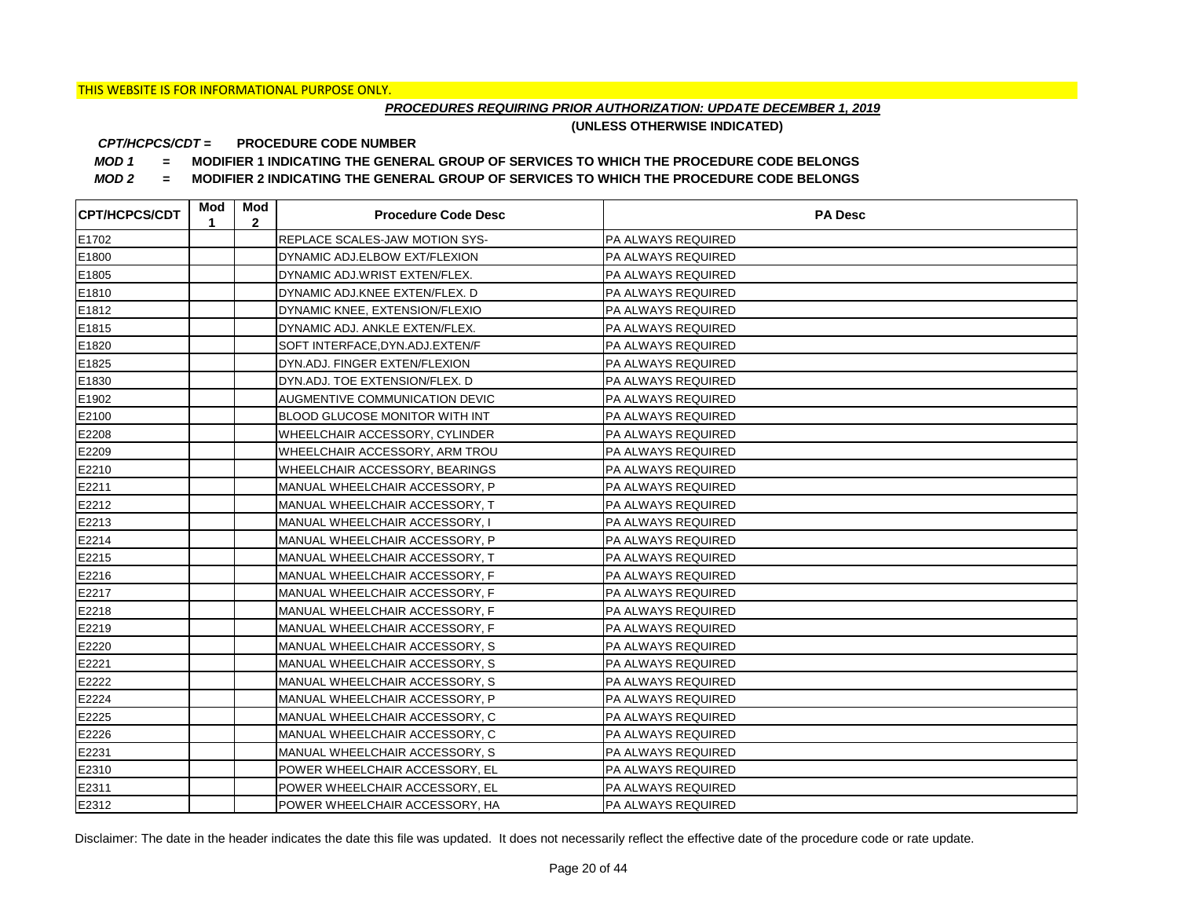# *PROCEDURES REQUIRING PRIOR AUTHORIZATION: UPDATE DECEMBER 1, 2019*

**(UNLESS OTHERWISE INDICATED)**

#### **PROCEDURE CODE NUMBER** *CPT/HCPCS/CDT =*

*MOD 1 =* **MODIFIER 1 INDICATING THE GENERAL GROUP OF SERVICES TO WHICH THE PROCEDURE CODE BELONGS**

*MOD 2 =* **MODIFIER 2 INDICATING THE GENERAL GROUP OF SERVICES TO WHICH THE PROCEDURE CODE BELONGS**

| <b>CPT/HCPCS/CDT</b> | Mod<br>1 | Mod<br>$\mathbf{2}$ | <b>Procedure Code Desc</b>            | <b>PA Desc</b>            |
|----------------------|----------|---------------------|---------------------------------------|---------------------------|
| E1702                |          |                     | <b>REPLACE SCALES-JAW MOTION SYS-</b> | PA ALWAYS REQUIRED        |
| E1800                |          |                     | DYNAMIC ADJ.ELBOW EXT/FLEXION         | PA ALWAYS REQUIRED        |
| E1805                |          |                     | DYNAMIC ADJ.WRIST EXTEN/FLEX.         | PA ALWAYS REQUIRED        |
| E1810                |          |                     | DYNAMIC ADJ.KNEE EXTEN/FLEX. D        | PA ALWAYS REQUIRED        |
| E1812                |          |                     | DYNAMIC KNEE, EXTENSION/FLEXIO        | PA ALWAYS REQUIRED        |
| E1815                |          |                     | DYNAMIC ADJ. ANKLE EXTEN/FLEX.        | PA ALWAYS REQUIRED        |
| E1820                |          |                     | SOFT INTERFACE, DYN.ADJ.EXTEN/F       | PA ALWAYS REQUIRED        |
| E1825                |          |                     | DYN.ADJ. FINGER EXTEN/FLEXION         | PA ALWAYS REQUIRED        |
| E1830                |          |                     | DYN.ADJ. TOE EXTENSION/FLEX. D        | PA ALWAYS REQUIRED        |
| E1902                |          |                     | AUGMENTIVE COMMUNICATION DEVIC        | PA ALWAYS REQUIRED        |
| E2100                |          |                     | BLOOD GLUCOSE MONITOR WITH INT        | PA ALWAYS REQUIRED        |
| E2208                |          |                     | WHEELCHAIR ACCESSORY, CYLINDER        | PA ALWAYS REQUIRED        |
| E2209                |          |                     | WHEELCHAIR ACCESSORY, ARM TROU        | PA ALWAYS REQUIRED        |
| E2210                |          |                     | WHEELCHAIR ACCESSORY, BEARINGS        | <b>PA ALWAYS REQUIRED</b> |
| E2211                |          |                     | MANUAL WHEELCHAIR ACCESSORY, P        | PA ALWAYS REQUIRED        |
| E2212                |          |                     | MANUAL WHEELCHAIR ACCESSORY, T        | PA ALWAYS REQUIRED        |
| E2213                |          |                     | MANUAL WHEELCHAIR ACCESSORY, I        | PA ALWAYS REQUIRED        |
| E2214                |          |                     | MANUAL WHEELCHAIR ACCESSORY, P        | PA ALWAYS REQUIRED        |
| E2215                |          |                     | MANUAL WHEELCHAIR ACCESSORY, T        | PA ALWAYS REQUIRED        |
| E2216                |          |                     | MANUAL WHEELCHAIR ACCESSORY, F        | PA ALWAYS REQUIRED        |
| E2217                |          |                     | MANUAL WHEELCHAIR ACCESSORY, F        | PA ALWAYS REQUIRED        |
| E2218                |          |                     | MANUAL WHEELCHAIR ACCESSORY, F        | PA ALWAYS REQUIRED        |
| E2219                |          |                     | MANUAL WHEELCHAIR ACCESSORY, F        | PA ALWAYS REQUIRED        |
| E2220                |          |                     | MANUAL WHEELCHAIR ACCESSORY, S        | PA ALWAYS REQUIRED        |
| E2221                |          |                     | MANUAL WHEELCHAIR ACCESSORY, S        | PA ALWAYS REQUIRED        |
| E2222                |          |                     | MANUAL WHEELCHAIR ACCESSORY, S        | <b>PA ALWAYS REQUIRED</b> |
| E2224                |          |                     | MANUAL WHEELCHAIR ACCESSORY, P        | PA ALWAYS REQUIRED        |
| E2225                |          |                     | MANUAL WHEELCHAIR ACCESSORY, C        | PA ALWAYS REQUIRED        |
| E2226                |          |                     | MANUAL WHEELCHAIR ACCESSORY, C        | <b>PA ALWAYS REQUIRED</b> |
| E2231                |          |                     | MANUAL WHEELCHAIR ACCESSORY, S        | PA ALWAYS REQUIRED        |
| E2310                |          |                     | POWER WHEELCHAIR ACCESSORY, EL        | PA ALWAYS REQUIRED        |
| E2311                |          |                     | POWER WHEELCHAIR ACCESSORY, EL        | PA ALWAYS REQUIRED        |
| E2312                |          |                     | POWER WHEELCHAIR ACCESSORY, HA        | <b>PA ALWAYS REQUIRED</b> |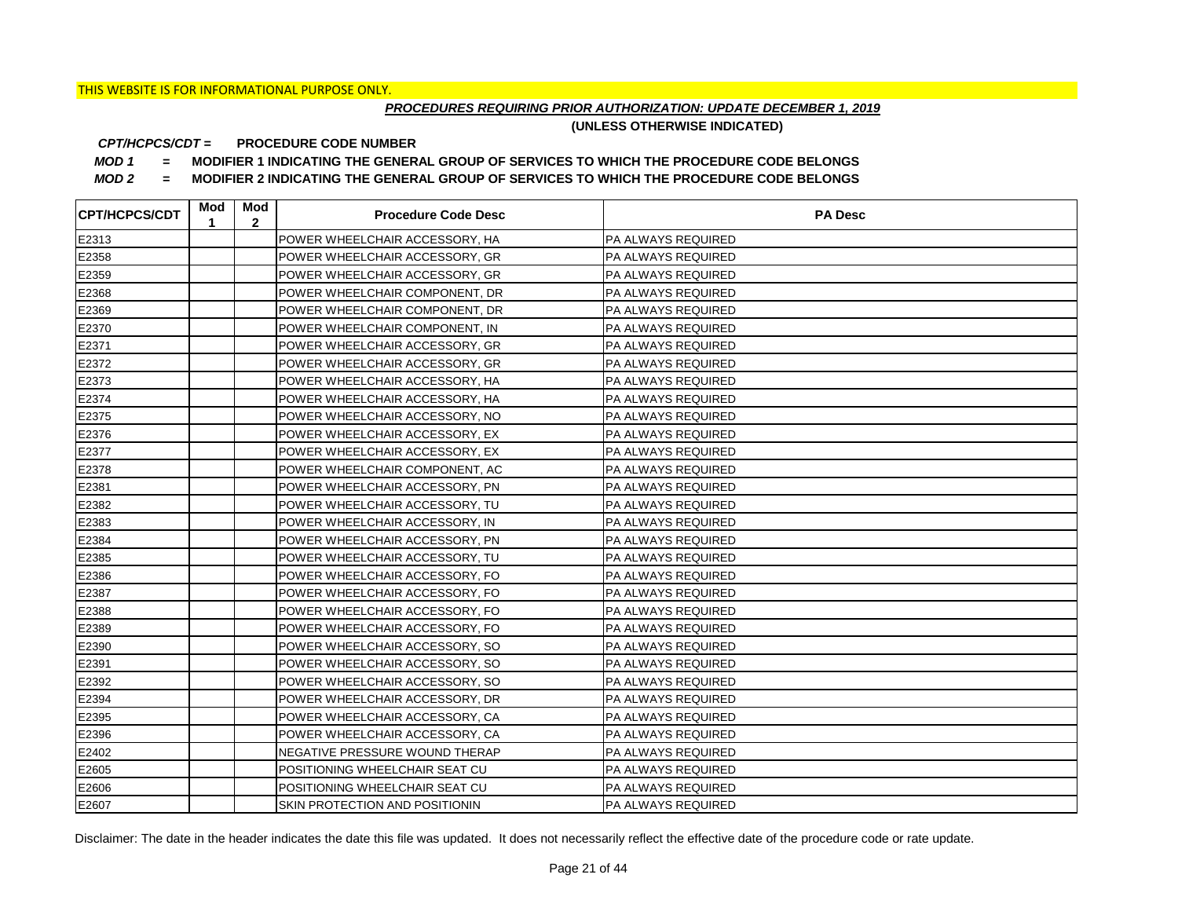# *PROCEDURES REQUIRING PRIOR AUTHORIZATION: UPDATE DECEMBER 1, 2019*

**(UNLESS OTHERWISE INDICATED)**

#### **PROCEDURE CODE NUMBER** *CPT/HCPCS/CDT =*

*MOD 1 =* **MODIFIER 1 INDICATING THE GENERAL GROUP OF SERVICES TO WHICH THE PROCEDURE CODE BELONGS**

*MOD 2 =* **MODIFIER 2 INDICATING THE GENERAL GROUP OF SERVICES TO WHICH THE PROCEDURE CODE BELONGS**

| <b>CPT/HCPCS/CDT</b> | Mod<br>1 | Mod<br>$\mathbf{2}$ | <b>Procedure Code Desc</b>     | <b>PA Desc</b>            |
|----------------------|----------|---------------------|--------------------------------|---------------------------|
| E2313                |          |                     | POWER WHEELCHAIR ACCESSORY, HA | PA ALWAYS REQUIRED        |
| E2358                |          |                     | POWER WHEELCHAIR ACCESSORY, GR | <b>PA ALWAYS REQUIRED</b> |
| E2359                |          |                     | POWER WHEELCHAIR ACCESSORY, GR | <b>PA ALWAYS REQUIRED</b> |
| E2368                |          |                     | POWER WHEELCHAIR COMPONENT, DR | <b>PA ALWAYS REQUIRED</b> |
| E2369                |          |                     | POWER WHEELCHAIR COMPONENT, DR | PA ALWAYS REQUIRED        |
| E2370                |          |                     | POWER WHEELCHAIR COMPONENT, IN | PA ALWAYS REQUIRED        |
| E2371                |          |                     | POWER WHEELCHAIR ACCESSORY, GR | PA ALWAYS REQUIRED        |
| E2372                |          |                     | POWER WHEELCHAIR ACCESSORY, GR | PA ALWAYS REQUIRED        |
| E2373                |          |                     | POWER WHEELCHAIR ACCESSORY, HA | PA ALWAYS REQUIRED        |
| E2374                |          |                     | POWER WHEELCHAIR ACCESSORY, HA | <b>PA ALWAYS REQUIRED</b> |
| E2375                |          |                     | POWER WHEELCHAIR ACCESSORY, NO | PA ALWAYS REQUIRED        |
| E2376                |          |                     | POWER WHEELCHAIR ACCESSORY, EX | PA ALWAYS REQUIRED        |
| E2377                |          |                     | POWER WHEELCHAIR ACCESSORY, EX | PA ALWAYS REQUIRED        |
| E2378                |          |                     | POWER WHEELCHAIR COMPONENT, AC | <b>PA ALWAYS REQUIRED</b> |
| E2381                |          |                     | POWER WHEELCHAIR ACCESSORY, PN | <b>PA ALWAYS REQUIRED</b> |
| E2382                |          |                     | POWER WHEELCHAIR ACCESSORY, TU | <b>PA ALWAYS REQUIRED</b> |
| E2383                |          |                     | POWER WHEELCHAIR ACCESSORY, IN | <b>PA ALWAYS REQUIRED</b> |
| E2384                |          |                     | POWER WHEELCHAIR ACCESSORY, PN | PA ALWAYS REQUIRED        |
| E2385                |          |                     | POWER WHEELCHAIR ACCESSORY, TU | <b>PA ALWAYS REQUIRED</b> |
| E2386                |          |                     | POWER WHEELCHAIR ACCESSORY, FO | <b>PA ALWAYS REQUIRED</b> |
| E2387                |          |                     | POWER WHEELCHAIR ACCESSORY, FO | <b>PA ALWAYS REQUIRED</b> |
| E2388                |          |                     | POWER WHEELCHAIR ACCESSORY, FO | <b>PA ALWAYS REQUIRED</b> |
| E2389                |          |                     | POWER WHEELCHAIR ACCESSORY, FO | <b>PA ALWAYS REQUIRED</b> |
| E2390                |          |                     | POWER WHEELCHAIR ACCESSORY, SO | PA ALWAYS REQUIRED        |
| E2391                |          |                     | POWER WHEELCHAIR ACCESSORY, SO | <b>PA ALWAYS REQUIRED</b> |
| E2392                |          |                     | POWER WHEELCHAIR ACCESSORY, SO | <b>PA ALWAYS REQUIRED</b> |
| E2394                |          |                     | POWER WHEELCHAIR ACCESSORY, DR | <b>PA ALWAYS REQUIRED</b> |
| E2395                |          |                     | POWER WHEELCHAIR ACCESSORY, CA | <b>PA ALWAYS REQUIRED</b> |
| E2396                |          |                     | POWER WHEELCHAIR ACCESSORY, CA | <b>PA ALWAYS REQUIRED</b> |
| E2402                |          |                     | NEGATIVE PRESSURE WOUND THERAP | PA ALWAYS REQUIRED        |
| E2605                |          |                     | POSITIONING WHEELCHAIR SEAT CU | PA ALWAYS REQUIRED        |
| E2606                |          |                     | POSITIONING WHEELCHAIR SEAT CU | PA ALWAYS REQUIRED        |
| E2607                |          |                     | SKIN PROTECTION AND POSITIONIN | <b>PA ALWAYS REQUIRED</b> |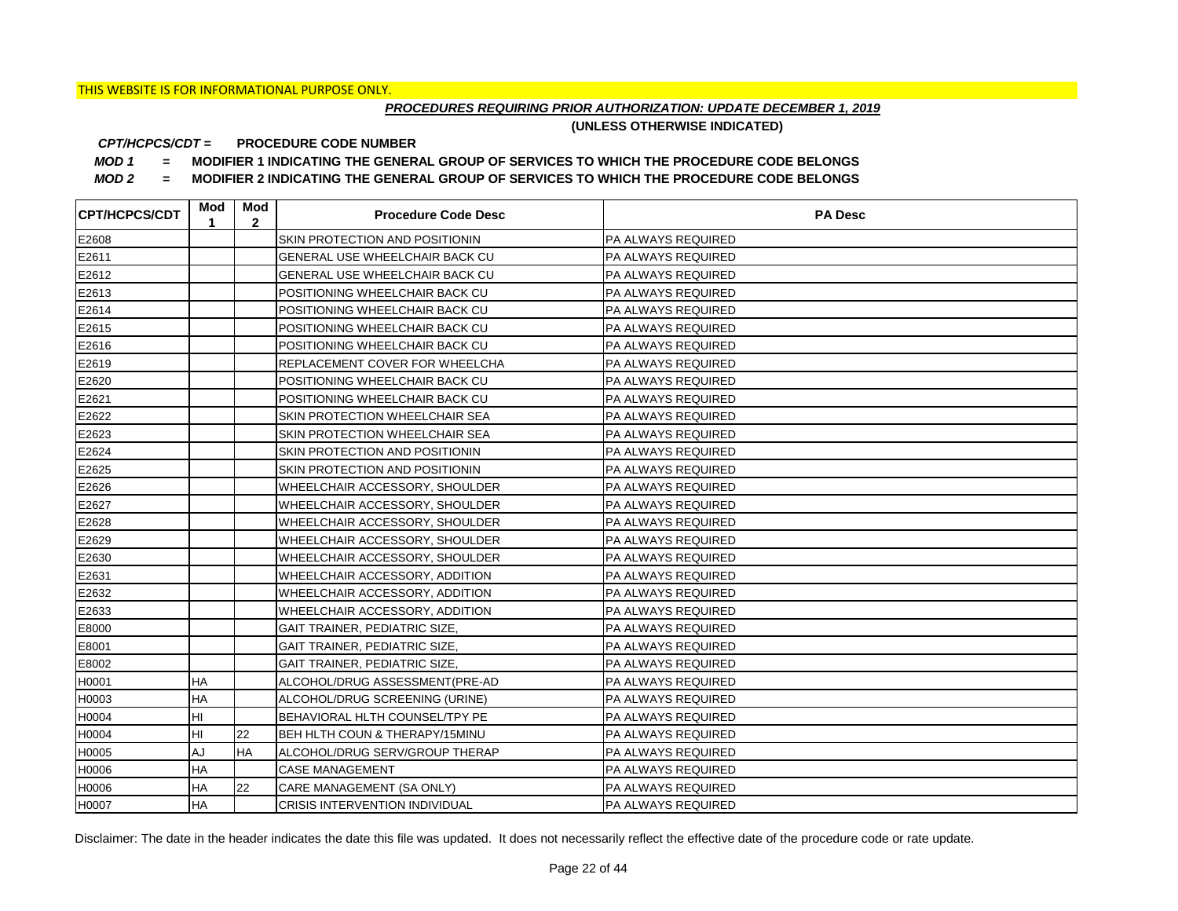# *PROCEDURES REQUIRING PRIOR AUTHORIZATION: UPDATE DECEMBER 1, 2019*

**(UNLESS OTHERWISE INDICATED)**

#### **PROCEDURE CODE NUMBER** *CPT/HCPCS/CDT =*

*MOD 1 =* **MODIFIER 1 INDICATING THE GENERAL GROUP OF SERVICES TO WHICH THE PROCEDURE CODE BELONGS**

*MOD 2 =* **MODIFIER 2 INDICATING THE GENERAL GROUP OF SERVICES TO WHICH THE PROCEDURE CODE BELONGS**

| <b>CPT/HCPCS/CDT</b> | Mod<br>1  | Mod<br>$\mathbf{2}$ | <b>Procedure Code Desc</b>     | <b>PA Desc</b>            |
|----------------------|-----------|---------------------|--------------------------------|---------------------------|
| E2608                |           |                     | SKIN PROTECTION AND POSITIONIN | <b>PA ALWAYS REQUIRED</b> |
| E2611                |           |                     | GENERAL USE WHEELCHAIR BACK CU | <b>PA ALWAYS REQUIRED</b> |
| E2612                |           |                     | GENERAL USE WHEELCHAIR BACK CU | <b>PA ALWAYS REQUIRED</b> |
| E2613                |           |                     | POSITIONING WHEELCHAIR BACK CU | <b>PA ALWAYS REQUIRED</b> |
| E2614                |           |                     | POSITIONING WHEELCHAIR BACK CU | PA ALWAYS REQUIRED        |
| E2615                |           |                     | POSITIONING WHEELCHAIR BACK CU | PA ALWAYS REQUIRED        |
| E2616                |           |                     | POSITIONING WHEELCHAIR BACK CU | <b>PA ALWAYS REQUIRED</b> |
| E2619                |           |                     | REPLACEMENT COVER FOR WHEELCHA | <b>PA ALWAYS REQUIRED</b> |
| E2620                |           |                     | POSITIONING WHEELCHAIR BACK CU | <b>PA ALWAYS REQUIRED</b> |
| E2621                |           |                     | POSITIONING WHEELCHAIR BACK CU | <b>PA ALWAYS REQUIRED</b> |
| E2622                |           |                     | SKIN PROTECTION WHEELCHAIR SEA | PA ALWAYS REQUIRED        |
| E2623                |           |                     | SKIN PROTECTION WHEELCHAIR SEA | <b>PA ALWAYS REQUIRED</b> |
| E2624                |           |                     | SKIN PROTECTION AND POSITIONIN | <b>PA ALWAYS REQUIRED</b> |
| E2625                |           |                     | SKIN PROTECTION AND POSITIONIN | <b>PA ALWAYS REQUIRED</b> |
| E2626                |           |                     | WHEELCHAIR ACCESSORY, SHOULDER | PA ALWAYS REQUIRED        |
| E2627                |           |                     | WHEELCHAIR ACCESSORY, SHOULDER | PA ALWAYS REQUIRED        |
| E2628                |           |                     | WHEELCHAIR ACCESSORY, SHOULDER | PA ALWAYS REQUIRED        |
| E2629                |           |                     | WHEELCHAIR ACCESSORY, SHOULDER | PA ALWAYS REQUIRED        |
| E2630                |           |                     | WHEELCHAIR ACCESSORY, SHOULDER | PA ALWAYS REQUIRED        |
| E2631                |           |                     | WHEELCHAIR ACCESSORY, ADDITION | <b>PA ALWAYS REQUIRED</b> |
| E2632                |           |                     | WHEELCHAIR ACCESSORY, ADDITION | PA ALWAYS REQUIRED        |
| E2633                |           |                     | WHEELCHAIR ACCESSORY, ADDITION | PA ALWAYS REQUIRED        |
| E8000                |           |                     | GAIT TRAINER, PEDIATRIC SIZE,  | PA ALWAYS REQUIRED        |
| E8001                |           |                     | GAIT TRAINER, PEDIATRIC SIZE,  | PA ALWAYS REQUIRED        |
| E8002                |           |                     | GAIT TRAINER, PEDIATRIC SIZE,  | <b>PA ALWAYS REQUIRED</b> |
| H0001                | <b>HA</b> |                     | ALCOHOL/DRUG ASSESSMENT(PRE-AD | PA ALWAYS REQUIRED        |
| H0003                | <b>HA</b> |                     | ALCOHOL/DRUG SCREENING (URINE) | PA ALWAYS REQUIRED        |
| H0004                | HI        |                     | BEHAVIORAL HLTH COUNSEL/TPY PE | PA ALWAYS REQUIRED        |
| H0004                | HI        | 22                  | BEH HLTH COUN & THERAPY/15MINU | PA ALWAYS REQUIRED        |
| H0005                | AJ        | <b>HA</b>           | ALCOHOL/DRUG SERV/GROUP THERAP | PA ALWAYS REQUIRED        |
| H0006                | HA        |                     | <b>CASE MANAGEMENT</b>         | PA ALWAYS REQUIRED        |
| H0006                | <b>HA</b> | 22                  | CARE MANAGEMENT (SA ONLY)      | PA ALWAYS REQUIRED        |
| H0007                | <b>HA</b> |                     | CRISIS INTERVENTION INDIVIDUAL | PA ALWAYS REQUIRED        |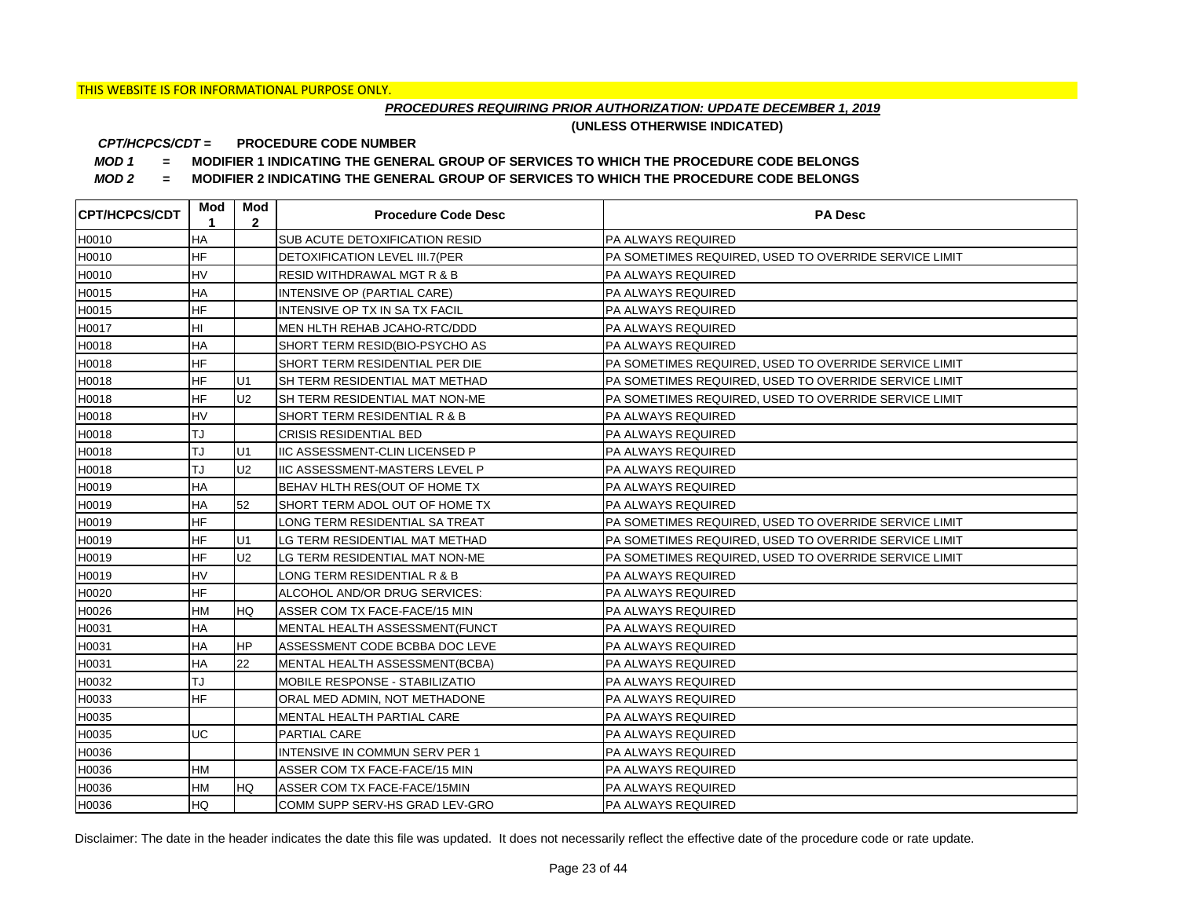# *PROCEDURES REQUIRING PRIOR AUTHORIZATION: UPDATE DECEMBER 1, 2019*

**(UNLESS OTHERWISE INDICATED)**

#### **PROCEDURE CODE NUMBER** *CPT/HCPCS/CDT =*

*MOD 1 =* **MODIFIER 1 INDICATING THE GENERAL GROUP OF SERVICES TO WHICH THE PROCEDURE CODE BELONGS**

*MOD 2 =* **MODIFIER 2 INDICATING THE GENERAL GROUP OF SERVICES TO WHICH THE PROCEDURE CODE BELONGS**

| <b>ICPT/HCPCS/CDT</b> | Mod<br>1   | Mod<br>$\mathbf{2}$ | <b>Procedure Code Desc</b>            | <b>PA Desc</b>                                         |
|-----------------------|------------|---------------------|---------------------------------------|--------------------------------------------------------|
| H0010                 | <b>HA</b>  |                     | SUB ACUTE DETOXIFICATION RESID        | <b>PA ALWAYS REQUIRED</b>                              |
| H0010                 | <b>HF</b>  |                     | DETOXIFICATION LEVEL III.7(PER        | PA SOMETIMES REQUIRED, USED TO OVERRIDE SERVICE LIMIT  |
| H0010                 | HV         |                     | <b>RESID WITHDRAWAL MGT R &amp; B</b> | <b>PA ALWAYS REQUIRED</b>                              |
| H0015                 | <b>HA</b>  |                     | INTENSIVE OP (PARTIAL CARE)           | <b>PA ALWAYS REQUIRED</b>                              |
| H0015                 | <b>HF</b>  |                     | INTENSIVE OP TX IN SA TX FACIL        | PA ALWAYS REQUIRED                                     |
| H0017                 | HI         |                     | MEN HLTH REHAB JCAHO-RTC/DDD          | PA ALWAYS REQUIRED                                     |
| H0018                 | HA         |                     | SHORT TERM RESID(BIO-PSYCHO AS        | PA ALWAYS REQUIRED                                     |
| H0018                 | <b>HF</b>  |                     | SHORT TERM RESIDENTIAL PER DIE        | PA SOMETIMES REQUIRED, USED TO OVERRIDE SERVICE LIMIT  |
| H0018                 | <b>HF</b>  | U <sub>1</sub>      | SH TERM RESIDENTIAL MAT METHAD        | PA SOMETIMES REQUIRED, USED TO OVERRIDE SERVICE LIMIT  |
| H0018                 | <b>HF</b>  | U <sub>2</sub>      | SH TERM RESIDENTIAL MAT NON-ME        | PA SOMETIMES REQUIRED, USED TO OVERRIDE SERVICE LIMIT  |
| H0018                 | HV         |                     | SHORT TERM RESIDENTIAL R & B          | PA ALWAYS REQUIRED                                     |
| H0018                 | TJ         |                     | <b>CRISIS RESIDENTIAL BED</b>         | PA ALWAYS REQUIRED                                     |
| H0018                 | TJ         | U <sub>1</sub>      | <b>IIC ASSESSMENT-CLIN LICENSED P</b> | PA ALWAYS REQUIRED                                     |
| H0018                 | TJ         | U <sub>2</sub>      | <b>IIC ASSESSMENT-MASTERS LEVEL P</b> | <b>PA ALWAYS REQUIRED</b>                              |
| H0019                 | <b>HA</b>  |                     | BEHAV HLTH RES(OUT OF HOME TX         | IPA ALWAYS REQUIRED                                    |
| H0019                 | <b>HA</b>  | 52                  | SHORT TERM ADOL OUT OF HOME TX        | <b>PA ALWAYS REQUIRED</b>                              |
| H0019                 | <b>HF</b>  |                     | LONG TERM RESIDENTIAL SA TREAT        | IPA SOMETIMES REQUIRED. USED TO OVERRIDE SERVICE LIMIT |
| H0019                 | <b>HF</b>  | U1                  | LG TERM RESIDENTIAL MAT METHAD        | PA SOMETIMES REQUIRED, USED TO OVERRIDE SERVICE LIMIT  |
| H0019                 | <b>HF</b>  | U <sub>2</sub>      | LG TERM RESIDENTIAL MAT NON-ME        | PA SOMETIMES REQUIRED, USED TO OVERRIDE SERVICE LIMIT  |
| H0019                 | <b>HV</b>  |                     | LONG TERM RESIDENTIAL R & B           | <b>PA ALWAYS REQUIRED</b>                              |
| H0020                 | <b>HF</b>  |                     | ALCOHOL AND/OR DRUG SERVICES:         | <b>PA ALWAYS REQUIRED</b>                              |
| H0026                 | <b>HM</b>  | IHQ.                | ASSER COM TX FACE-FACE/15 MIN         | PA ALWAYS REQUIRED                                     |
| H0031                 | <b>HA</b>  |                     | MENTAL HEALTH ASSESSMENT(FUNCT        | <b>PA ALWAYS REQUIRED</b>                              |
| H0031                 | HA         | <b>I</b> HP         | ASSESSMENT CODE BCBBA DOC LEVE        | <b>PA ALWAYS REQUIRED</b>                              |
| H0031                 | HA         | 22                  | MENTAL HEALTH ASSESSMENT(BCBA)        | PA ALWAYS REQUIRED                                     |
| H0032                 | TJ         |                     | <b>MOBILE RESPONSE - STABILIZATIO</b> | <b>PA ALWAYS REQUIRED</b>                              |
| H0033                 | <b>HF</b>  |                     | ORAL MED ADMIN, NOT METHADONE         | <b>PA ALWAYS REQUIRED</b>                              |
| H0035                 |            |                     | MENTAL HEALTH PARTIAL CARE            | PA ALWAYS REQUIRED                                     |
| H0035                 | UC         |                     | <b>PARTIAL CARE</b>                   | <b>PA ALWAYS REQUIRED</b>                              |
| H0036                 |            |                     | <b>INTENSIVE IN COMMUN SERV PER 1</b> | <b>PA ALWAYS REQUIRED</b>                              |
| H0036                 | HМ         |                     | ASSER COM TX FACE-FACE/15 MIN         | PA ALWAYS REQUIRED                                     |
| H0036                 | <b>HM</b>  | <b>HQ</b>           | ASSER COM TX FACE-FACE/15MIN          | PA ALWAYS REQUIRED                                     |
| H0036                 | <b>IHQ</b> |                     | COMM SUPP SERV-HS GRAD LEV-GRO        | <b>PA ALWAYS REQUIRED</b>                              |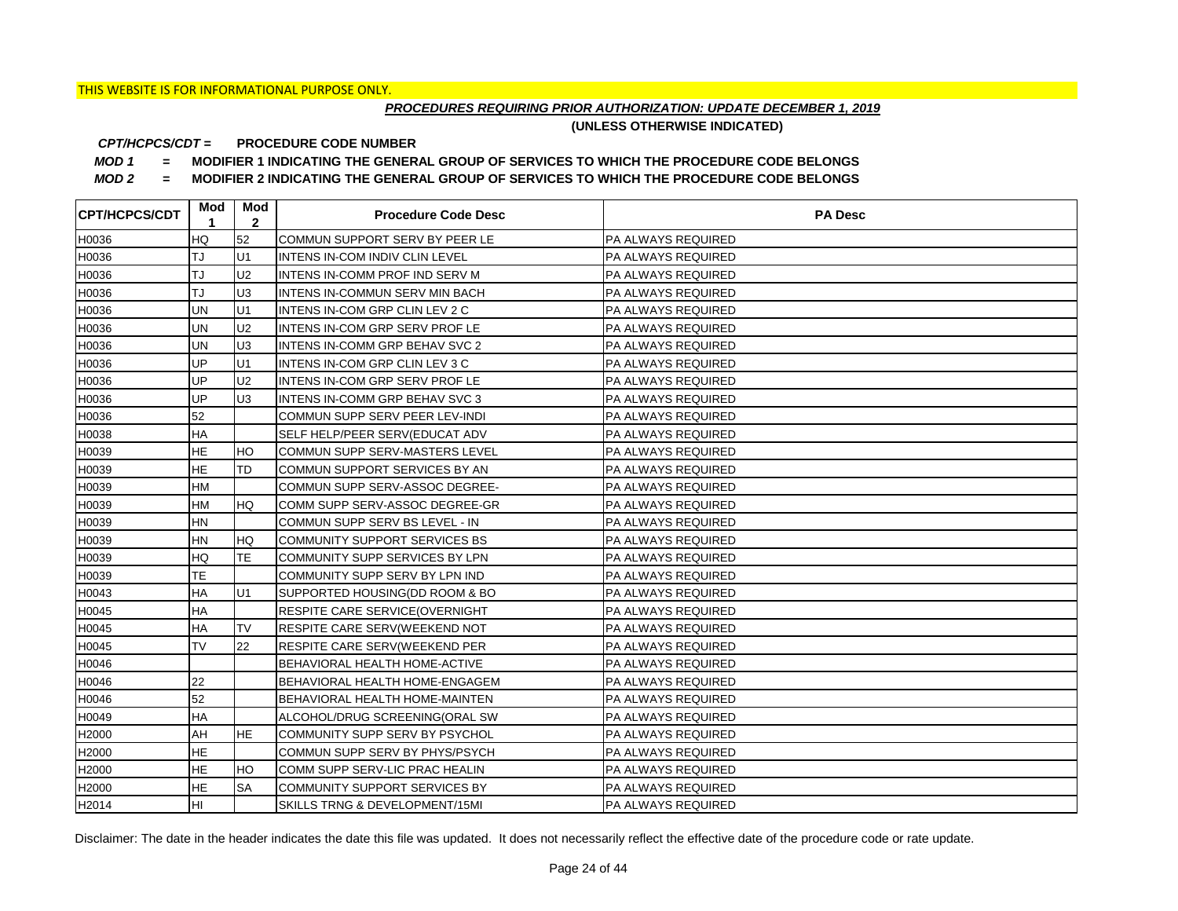# *PROCEDURES REQUIRING PRIOR AUTHORIZATION: UPDATE DECEMBER 1, 2019*

**(UNLESS OTHERWISE INDICATED)**

#### **PROCEDURE CODE NUMBER** *CPT/HCPCS/CDT =*

*MOD 1 =* **MODIFIER 1 INDICATING THE GENERAL GROUP OF SERVICES TO WHICH THE PROCEDURE CODE BELONGS**

*MOD 2 =* **MODIFIER 2 INDICATING THE GENERAL GROUP OF SERVICES TO WHICH THE PROCEDURE CODE BELONGS**

| <b>CPT/HCPCS/CDT</b> | Mod<br>1  | Mod<br>$\mathbf{2}$ | <b>Procedure Code Desc</b>           | <b>PA Desc</b>            |
|----------------------|-----------|---------------------|--------------------------------------|---------------------------|
| H0036                | HQ        | 52                  | COMMUN SUPPORT SERV BY PEER LE       | PA ALWAYS REQUIRED        |
| H0036                | TJ        | U <sub>1</sub>      | INTENS IN-COM INDIV CLIN LEVEL       | <b>PA ALWAYS REQUIRED</b> |
| H0036                | TJ        | U <sub>2</sub>      | INTENS IN-COMM PROF IND SERV M       | <b>PA ALWAYS REQUIRED</b> |
| H0036                | TJ        | U <sub>3</sub>      | INTENS IN-COMMUN SERV MIN BACH       | PA ALWAYS REQUIRED        |
| H0036                | UN.       | U1                  | INTENS IN-COM GRP CLIN LEV 2 C       | PA ALWAYS REQUIRED        |
| H0036                | UN        | U <sub>2</sub>      | INTENS IN-COM GRP SERV PROF LE       | PA ALWAYS REQUIRED        |
| H0036                | <b>UN</b> | U <sub>3</sub>      | INTENS IN-COMM GRP BEHAV SVC 2       | PA ALWAYS REQUIRED        |
| H0036                | UP        | U1                  | INTENS IN-COM GRP CLIN LEV 3 C       | PA ALWAYS REQUIRED        |
| H0036                | UP        | U <sub>2</sub>      | INTENS IN-COM GRP SERV PROF LE       | PA ALWAYS REQUIRED        |
| H0036                | <b>UP</b> | U <sub>3</sub>      | INTENS IN-COMM GRP BEHAV SVC 3       | PA ALWAYS REQUIRED        |
| H0036                | 52        |                     | COMMUN SUPP SERV PEER LEV-INDI       | PA ALWAYS REQUIRED        |
| H0038                | HA        |                     | SELF HELP/PEER SERV(EDUCAT ADV       | PA ALWAYS REQUIRED        |
| H0039                | HE        | HO                  | COMMUN SUPP SERV-MASTERS LEVEL       | <b>PA ALWAYS REQUIRED</b> |
| H0039                | <b>HE</b> | TD                  | COMMUN SUPPORT SERVICES BY AN        | <b>PA ALWAYS REQUIRED</b> |
| H0039                | <b>HM</b> |                     | COMMUN SUPP SERV-ASSOC DEGREE-       | <b>PA ALWAYS REQUIRED</b> |
| H0039                | HM        | <b>HQ</b>           | COMM SUPP SERV-ASSOC DEGREE-GR       | PA ALWAYS REQUIRED        |
| H0039                | <b>HN</b> |                     | COMMUN SUPP SERV BS LEVEL - IN       | PA ALWAYS REQUIRED        |
| H0039                | <b>HN</b> | <b>HQ</b>           | <b>COMMUNITY SUPPORT SERVICES BS</b> | PA ALWAYS REQUIRED        |
| H0039                | HQ        | <b>TE</b>           | COMMUNITY SUPP SERVICES BY LPN       | <b>PA ALWAYS REQUIRED</b> |
| H0039                | TE.       |                     | COMMUNITY SUPP SERV BY LPN IND       | <b>PA ALWAYS REQUIRED</b> |
| H0043                | <b>HA</b> | U1                  | SUPPORTED HOUSING(DD ROOM & BO       | <b>PA ALWAYS REQUIRED</b> |
| H0045                | HA        |                     | RESPITE CARE SERVICE(OVERNIGHT       | PA ALWAYS REQUIRED        |
| H0045                | НA        | <b>TV</b>           | RESPITE CARE SERV(WEEKEND NOT        | PA ALWAYS REQUIRED        |
| H0045                | <b>TV</b> | 22                  | RESPITE CARE SERV(WEEKEND PER        | <b>PA ALWAYS REQUIRED</b> |
| H0046                |           |                     | BEHAVIORAL HEALTH HOME-ACTIVE        | <b>PA ALWAYS REQUIRED</b> |
| H0046                | 22        |                     | BEHAVIORAL HEALTH HOME-ENGAGEM       | <b>PA ALWAYS REQUIRED</b> |
| H0046                | 52        |                     | BEHAVIORAL HEALTH HOME-MAINTEN       | <b>PA ALWAYS REQUIRED</b> |
| H0049                | HA        |                     | ALCOHOL/DRUG SCREENING(ORAL SW       | PA ALWAYS REQUIRED        |
| H2000                | AH        | <b>HE</b>           | COMMUNITY SUPP SERV BY PSYCHOL       | PA ALWAYS REQUIRED        |
| H2000                | <b>HE</b> |                     | COMMUN SUPP SERV BY PHYS/PSYCH       | PA ALWAYS REQUIRED        |
| H2000                | <b>HE</b> | HO                  | COMM SUPP SERV-LIC PRAC HEALIN       | PA ALWAYS REQUIRED        |
| H2000                | <b>HE</b> | <b>SA</b>           | COMMUNITY SUPPORT SERVICES BY        | PA ALWAYS REQUIRED        |
| H2014                | HI        |                     | SKILLS TRNG & DEVELOPMENT/15MI       | PA ALWAYS REQUIRED        |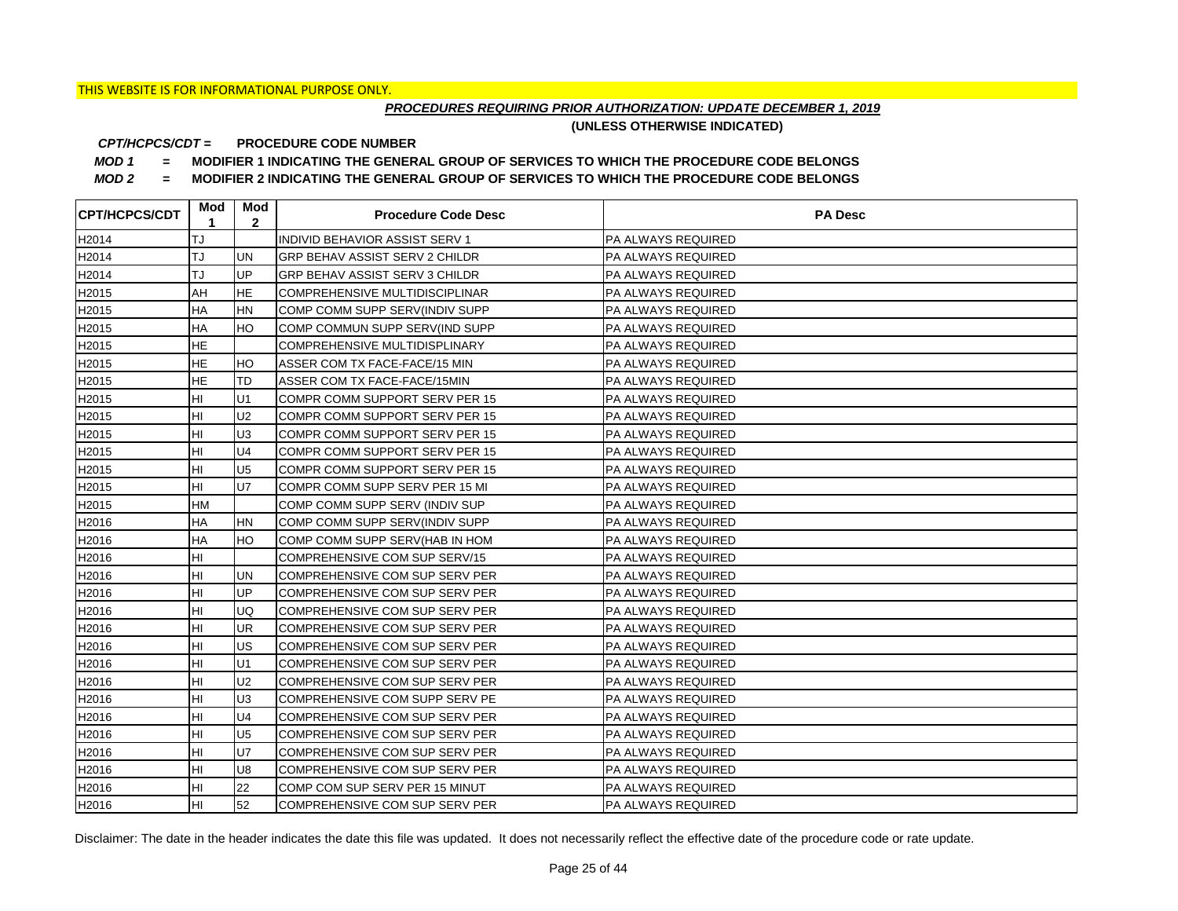# *PROCEDURES REQUIRING PRIOR AUTHORIZATION: UPDATE DECEMBER 1, 2019*

**(UNLESS OTHERWISE INDICATED)**

#### **PROCEDURE CODE NUMBER** *CPT/HCPCS/CDT =*

*MOD 1 =* **MODIFIER 1 INDICATING THE GENERAL GROUP OF SERVICES TO WHICH THE PROCEDURE CODE BELONGS**

*MOD 2 =* **MODIFIER 2 INDICATING THE GENERAL GROUP OF SERVICES TO WHICH THE PROCEDURE CODE BELONGS**

| <b>CPT/HCPCS/CDT</b> | Mod l<br>1 | Mod<br>$\overline{2}$ | <b>Procedure Code Desc</b>            | <b>PA Desc</b>     |
|----------------------|------------|-----------------------|---------------------------------------|--------------------|
| H2014                | TJ         |                       | <b>INDIVID BEHAVIOR ASSIST SERV 1</b> | PA ALWAYS REQUIRED |
| H2014                | TJ         | <b>UN</b>             | <b>GRP BEHAV ASSIST SERV 2 CHILDR</b> | PA ALWAYS REQUIRED |
| H2014                | TJ         | <b>UP</b>             | <b>GRP BEHAV ASSIST SERV 3 CHILDR</b> | PA ALWAYS REQUIRED |
| H2015                | AH         | HE.                   | <b>COMPREHENSIVE MULTIDISCIPLINAR</b> | PA ALWAYS REQUIRED |
| H2015                | <b>HA</b>  | <b>HN</b>             | COMP COMM SUPP SERV(INDIV SUPP        | PA ALWAYS REQUIRED |
| H2015                | <b>HA</b>  | HO                    | COMP COMMUN SUPP SERV(IND SUPP        | PA ALWAYS REQUIRED |
| H2015                | HE.        |                       | COMPREHENSIVE MULTIDISPLINARY         | PA ALWAYS REQUIRED |
| H2015                | HE         | HO                    | ASSER COM TX FACE-FACE/15 MIN         | PA ALWAYS REQUIRED |
| H2015                | <b>HE</b>  | TD                    | ASSER COM TX FACE-FACE/15MIN          | PA ALWAYS REQUIRED |
| H2015                | HI         | U1                    | COMPR COMM SUPPORT SERV PER 15        | PA ALWAYS REQUIRED |
| H2015                | HI         | U <sub>2</sub>        | COMPR COMM SUPPORT SERV PER 15        | PA ALWAYS REQUIRED |
| H2015                | HI         | U <sub>3</sub>        | COMPR COMM SUPPORT SERV PER 15        | PA ALWAYS REQUIRED |
| H2015                | HI         | U <sub>4</sub>        | COMPR COMM SUPPORT SERV PER 15        | PA ALWAYS REQUIRED |
| H2015                | HI         | U <sub>5</sub>        | COMPR COMM SUPPORT SERV PER 15        | PA ALWAYS REQUIRED |
| H2015                | HI         | U7                    | COMPR COMM SUPP SERV PER 15 MI        | PA ALWAYS REQUIRED |
| H2015                | HM         |                       | COMP COMM SUPP SERV (INDIV SUP        | PA ALWAYS REQUIRED |
| H2016                | HA         | <b>HN</b>             | COMP COMM SUPP SERV(INDIV SUPP        | PA ALWAYS REQUIRED |
| H2016                | <b>HA</b>  | HO                    | COMP COMM SUPP SERV(HAB IN HOM        | PA ALWAYS REQUIRED |
| H2016                | HI         |                       | COMPREHENSIVE COM SUP SERV/15         | PA ALWAYS REQUIRED |
| H2016                | HI         | <b>UN</b>             | COMPREHENSIVE COM SUP SERV PER        | PA ALWAYS REQUIRED |
| H2016                | HI         | UP                    | COMPREHENSIVE COM SUP SERV PER        | PA ALWAYS REQUIRED |
| H2016                | HI         | UQ                    | COMPREHENSIVE COM SUP SERV PER        | PA ALWAYS REQUIRED |
| H2016                | HI         | <b>UR</b>             | COMPREHENSIVE COM SUP SERV PER        | PA ALWAYS REQUIRED |
| H2016                | HI         | <b>US</b>             | COMPREHENSIVE COM SUP SERV PER        | PA ALWAYS REQUIRED |
| H2016                | HI         | U1                    | COMPREHENSIVE COM SUP SERV PER        | PA ALWAYS REQUIRED |
| H2016                | HI         | U <sub>2</sub>        | COMPREHENSIVE COM SUP SERV PER        | PA ALWAYS REQUIRED |
| H2016                | HI         | U <sub>3</sub>        | COMPREHENSIVE COM SUPP SERV PE        | PA ALWAYS REQUIRED |
| H2016                | HI         | U <sub>4</sub>        | COMPREHENSIVE COM SUP SERV PER        | PA ALWAYS REQUIRED |
| H2016                | HI         | U <sub>5</sub>        | COMPREHENSIVE COM SUP SERV PER        | PA ALWAYS REQUIRED |
| H2016                | HI         | U7                    | COMPREHENSIVE COM SUP SERV PER        | PA ALWAYS REQUIRED |
| H2016                | HI         | U <sub>8</sub>        | COMPREHENSIVE COM SUP SERV PER        | PA ALWAYS REQUIRED |
| H2016                | HI         | 22                    | COMP COM SUP SERV PER 15 MINUT        | PA ALWAYS REQUIRED |
| H2016                | Iнı        | 52                    | COMPREHENSIVE COM SUP SERV PER        | PA ALWAYS REQUIRED |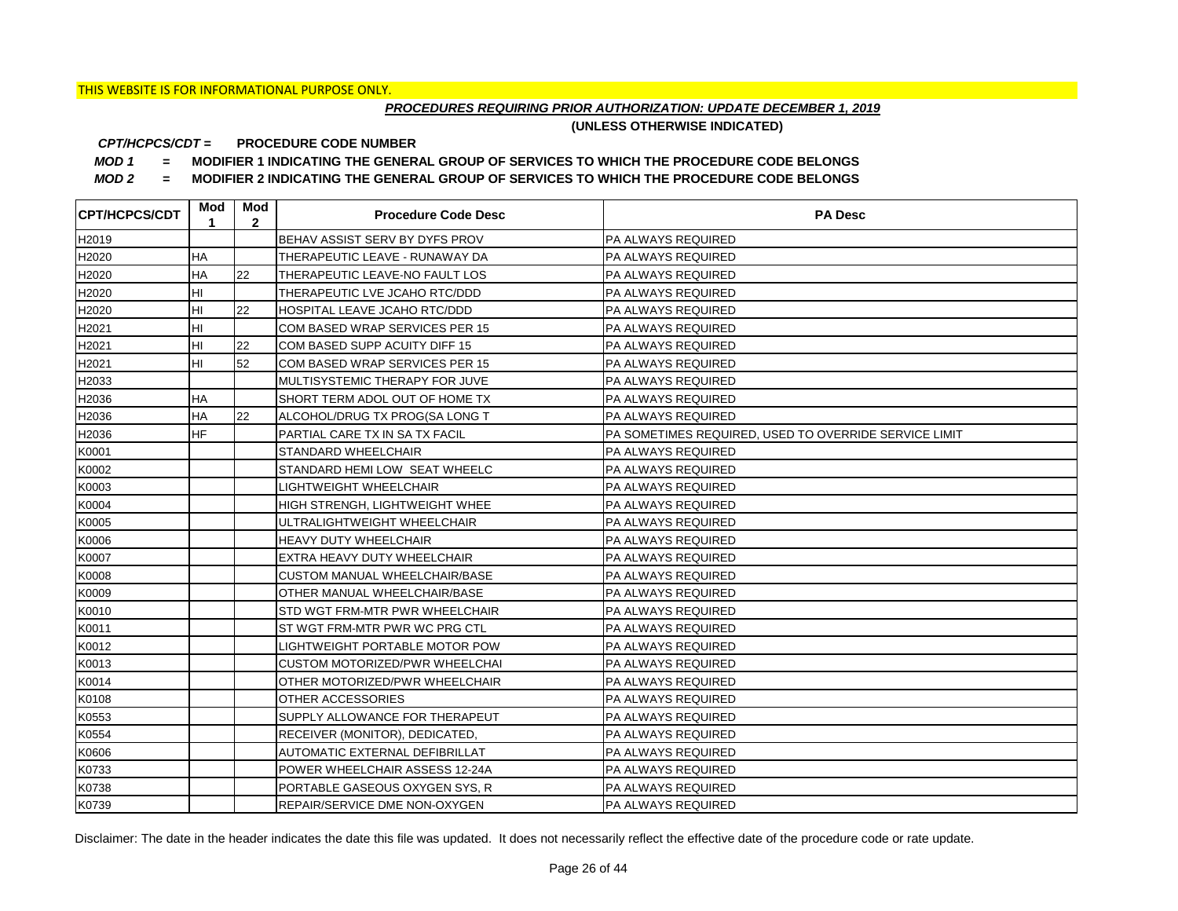# *PROCEDURES REQUIRING PRIOR AUTHORIZATION: UPDATE DECEMBER 1, 2019*

**(UNLESS OTHERWISE INDICATED)**

#### **PROCEDURE CODE NUMBER** *CPT/HCPCS/CDT =*

*MOD 1 =* **MODIFIER 1 INDICATING THE GENERAL GROUP OF SERVICES TO WHICH THE PROCEDURE CODE BELONGS**

*MOD 2 =* **MODIFIER 2 INDICATING THE GENERAL GROUP OF SERVICES TO WHICH THE PROCEDURE CODE BELONGS**

| <b>CPT/HCPCS/CDT</b> | Mod<br>1  | Mod<br>$\overline{2}$ | <b>Procedure Code Desc</b>            | <b>PA Desc</b>                                        |
|----------------------|-----------|-----------------------|---------------------------------------|-------------------------------------------------------|
| H2019                |           |                       | BEHAV ASSIST SERV BY DYFS PROV        | <b>PA ALWAYS REQUIRED</b>                             |
| H2020                | HA        |                       | THERAPEUTIC LEAVE - RUNAWAY DA        | PA ALWAYS REQUIRED                                    |
| H2020                | <b>HA</b> | 22                    | THERAPEUTIC LEAVE-NO FAULT LOS        | <b>PA ALWAYS REQUIRED</b>                             |
| H2020                | HI        |                       | THERAPEUTIC LVE JCAHO RTC/DDD         | PA ALWAYS REQUIRED                                    |
| H2020                | HI        | 22                    | HOSPITAL LEAVE JCAHO RTC/DDD          | PA ALWAYS REQUIRED                                    |
| H2021                | HI        |                       | COM BASED WRAP SERVICES PER 15        | <b>PA ALWAYS REQUIRED</b>                             |
| H2021                | HI        | 22                    | COM BASED SUPP ACUITY DIFF 15         | <b>PA ALWAYS REQUIRED</b>                             |
| H2021                | HI        | 52                    | COM BASED WRAP SERVICES PER 15        | <b>PA ALWAYS REQUIRED</b>                             |
| H2033                |           |                       | MULTISYSTEMIC THERAPY FOR JUVE        | <b>PA ALWAYS REQUIRED</b>                             |
| H2036                | HA        |                       | SHORT TERM ADOL OUT OF HOME TX        | <b>PA ALWAYS REQUIRED</b>                             |
| H2036                | <b>HA</b> | 22                    | ALCOHOL/DRUG TX PROG(SA LONG T        | PA ALWAYS REQUIRED                                    |
| H2036                | <b>HF</b> |                       | PARTIAL CARE TX IN SA TX FACIL        | PA SOMETIMES REQUIRED, USED TO OVERRIDE SERVICE LIMIT |
| K0001                |           |                       | STANDARD WHEELCHAIR                   | <b>PA ALWAYS REQUIRED</b>                             |
| K0002                |           |                       | STANDARD HEMI LOW SEAT WHEELC         | PA ALWAYS REQUIRED                                    |
| K0003                |           |                       | <b>LIGHTWEIGHT WHEELCHAIR</b>         | PA ALWAYS REQUIRED                                    |
| K0004                |           |                       | HIGH STRENGH, LIGHTWEIGHT WHEE        | PA ALWAYS REQUIRED                                    |
| K0005                |           |                       | ULTRALIGHTWEIGHT WHEELCHAIR           | PA ALWAYS REQUIRED                                    |
| K0006                |           |                       | HEAVY DUTY WHEELCHAIR                 | PA ALWAYS REQUIRED                                    |
| K0007                |           |                       | EXTRA HEAVY DUTY WHEELCHAIR           | PA ALWAYS REQUIRED                                    |
| K0008                |           |                       | <b>CUSTOM MANUAL WHEELCHAIR/BASE</b>  | <b>PA ALWAYS REQUIRED</b>                             |
| K0009                |           |                       | OTHER MANUAL WHEELCHAIR/BASE          | PA ALWAYS REQUIRED                                    |
| K0010                |           |                       | STD WGT FRM-MTR PWR WHEELCHAIR        | PA ALWAYS REQUIRED                                    |
| K0011                |           |                       | ST WGT FRM-MTR PWR WC PRG CTL         | PA ALWAYS REQUIRED                                    |
| K0012                |           |                       | LIGHTWEIGHT PORTABLE MOTOR POW        | PA ALWAYS REQUIRED                                    |
| K0013                |           |                       | <b>CUSTOM MOTORIZED/PWR WHEELCHAI</b> | <b>PA ALWAYS REQUIRED</b>                             |
| K0014                |           |                       | OTHER MOTORIZED/PWR WHEELCHAIR        | PA ALWAYS REQUIRED                                    |
| K0108                |           |                       | OTHER ACCESSORIES                     | PA ALWAYS REQUIRED                                    |
| K0553                |           |                       | SUPPLY ALLOWANCE FOR THERAPEUT        | PA ALWAYS REQUIRED                                    |
| K0554                |           |                       | RECEIVER (MONITOR), DEDICATED,        | PA ALWAYS REQUIRED                                    |
| K0606                |           |                       | AUTOMATIC EXTERNAL DEFIBRILLAT        | PA ALWAYS REQUIRED                                    |
| K0733                |           |                       | POWER WHEELCHAIR ASSESS 12-24A        | PA ALWAYS REQUIRED                                    |
| K0738                |           |                       | PORTABLE GASEOUS OXYGEN SYS, R        | PA ALWAYS REQUIRED                                    |
| K0739                |           |                       | REPAIR/SERVICE DME NON-OXYGEN         | PA ALWAYS REQUIRED                                    |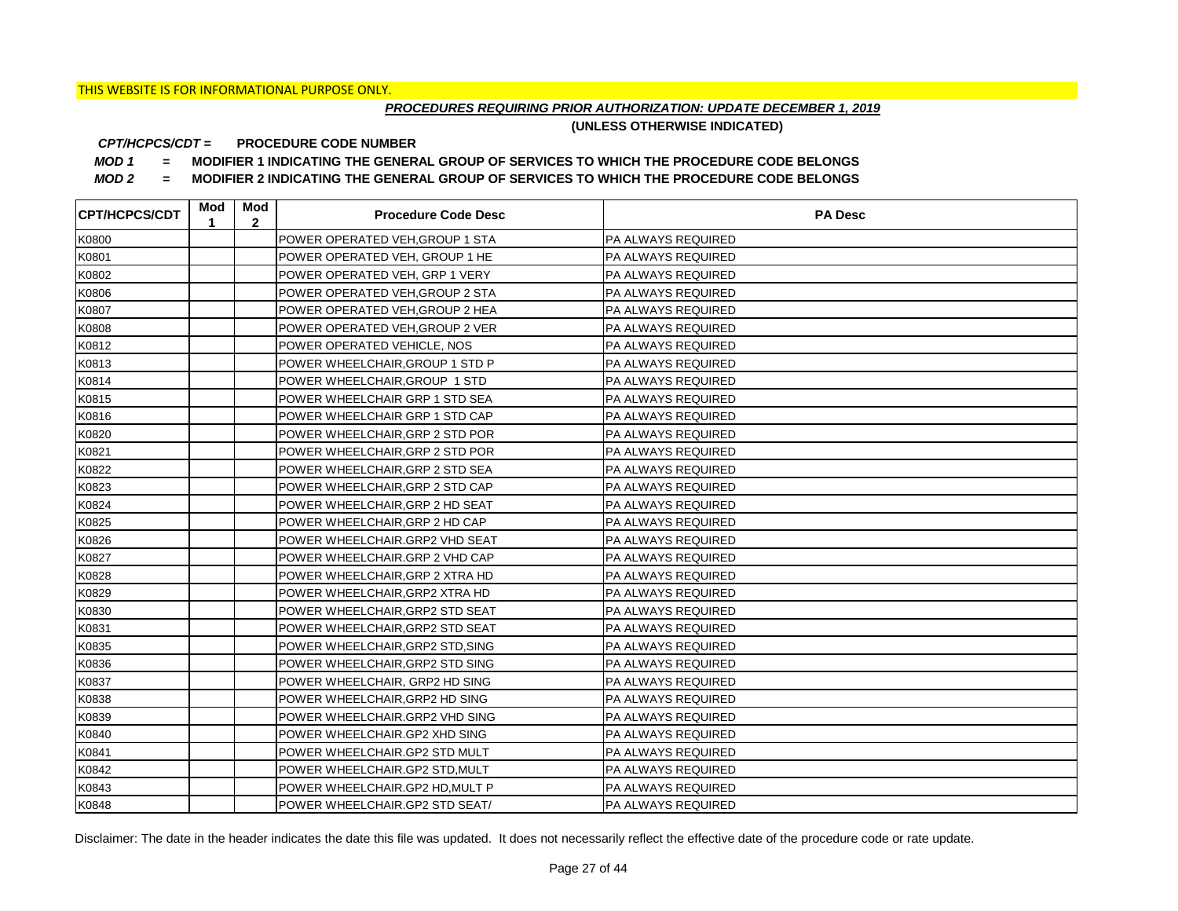# *PROCEDURES REQUIRING PRIOR AUTHORIZATION: UPDATE DECEMBER 1, 2019*

**(UNLESS OTHERWISE INDICATED)**

#### **PROCEDURE CODE NUMBER** *CPT/HCPCS/CDT =*

*MOD 1 =* **MODIFIER 1 INDICATING THE GENERAL GROUP OF SERVICES TO WHICH THE PROCEDURE CODE BELONGS**

*MOD 2 =* **MODIFIER 2 INDICATING THE GENERAL GROUP OF SERVICES TO WHICH THE PROCEDURE CODE BELONGS**

| <b>CPT/HCPCS/CDT</b> | Mod<br>1 | Mod<br>$\mathbf{2}$ | <b>Procedure Code Desc</b>       | <b>PA Desc</b>            |
|----------------------|----------|---------------------|----------------------------------|---------------------------|
| K0800                |          |                     | POWER OPERATED VEH, GROUP 1 STA  | <b>PA ALWAYS REQUIRED</b> |
| K0801                |          |                     | POWER OPERATED VEH, GROUP 1 HE   | <b>PA ALWAYS REQUIRED</b> |
| K0802                |          |                     | POWER OPERATED VEH, GRP 1 VERY   | <b>PA ALWAYS REQUIRED</b> |
| K0806                |          |                     | POWER OPERATED VEH, GROUP 2 STA  | <b>PA ALWAYS REQUIRED</b> |
| K0807                |          |                     | POWER OPERATED VEH, GROUP 2 HEA  | PA ALWAYS REQUIRED        |
| K0808                |          |                     | POWER OPERATED VEH, GROUP 2 VER  | <b>PA ALWAYS REQUIRED</b> |
| K0812                |          |                     | POWER OPERATED VEHICLE, NOS      | <b>PA ALWAYS REQUIRED</b> |
| K0813                |          |                     | POWER WHEELCHAIR, GROUP 1 STD P  | <b>PA ALWAYS REQUIRED</b> |
| K0814                |          |                     | POWER WHEELCHAIR, GROUP 1 STD    | <b>PA ALWAYS REQUIRED</b> |
| K0815                |          |                     | POWER WHEELCHAIR GRP 1 STD SEA   | <b>PA ALWAYS REQUIRED</b> |
| K0816                |          |                     | POWER WHEELCHAIR GRP 1 STD CAP   | <b>PA ALWAYS REQUIRED</b> |
| K0820                |          |                     | POWER WHEELCHAIR, GRP 2 STD POR  | <b>PA ALWAYS REQUIRED</b> |
| K0821                |          |                     | POWER WHEELCHAIR, GRP 2 STD POR  | <b>PA ALWAYS REQUIRED</b> |
| K0822                |          |                     | POWER WHEELCHAIR, GRP 2 STD SEA  | <b>PA ALWAYS REQUIRED</b> |
| K0823                |          |                     | POWER WHEELCHAIR, GRP 2 STD CAP  | PA ALWAYS REQUIRED        |
| K0824                |          |                     | POWER WHEELCHAIR, GRP 2 HD SEAT  | <b>PA ALWAYS REQUIRED</b> |
| K0825                |          |                     | POWER WHEELCHAIR, GRP 2 HD CAP   | <b>PA ALWAYS REQUIRED</b> |
| K0826                |          |                     | POWER WHEELCHAIR.GRP2 VHD SEAT   | PA ALWAYS REQUIRED        |
| K0827                |          |                     | POWER WHEELCHAIR.GRP 2 VHD CAP   | PA ALWAYS REQUIRED        |
| K0828                |          |                     | POWER WHEELCHAIR, GRP 2 XTRA HD  | <b>PA ALWAYS REQUIRED</b> |
| K0829                |          |                     | POWER WHEELCHAIR, GRP2 XTRA HD   | PA ALWAYS REQUIRED        |
| K0830                |          |                     | POWER WHEELCHAIR, GRP2 STD SEAT  | <b>PA ALWAYS REQUIRED</b> |
| K0831                |          |                     | POWER WHEELCHAIR, GRP2 STD SEAT  | PA ALWAYS REQUIRED        |
| K0835                |          |                     | POWER WHEELCHAIR, GRP2 STD, SING | PA ALWAYS REQUIRED        |
| K0836                |          |                     | POWER WHEELCHAIR, GRP2 STD SING  | <b>PA ALWAYS REQUIRED</b> |
| K0837                |          |                     | POWER WHEELCHAIR, GRP2 HD SING   | <b>PA ALWAYS REQUIRED</b> |
| K0838                |          |                     | POWER WHEELCHAIR, GRP2 HD SING   | PA ALWAYS REQUIRED        |
| K0839                |          |                     | POWER WHEELCHAIR.GRP2 VHD SING   | PA ALWAYS REQUIRED        |
| K0840                |          |                     | POWER WHEELCHAIR.GP2 XHD SING    | PA ALWAYS REQUIRED        |
| K0841                |          |                     | POWER WHEELCHAIR.GP2 STD MULT    | PA ALWAYS REQUIRED        |
| K0842                |          |                     | POWER WHEELCHAIR.GP2 STD, MULT   | PA ALWAYS REQUIRED        |
| K0843                |          |                     | POWER WHEELCHAIR.GP2 HD, MULT P  | PA ALWAYS REQUIRED        |
| K0848                |          |                     | POWER WHEELCHAIR.GP2 STD SEAT/   | <b>PA ALWAYS REQUIRED</b> |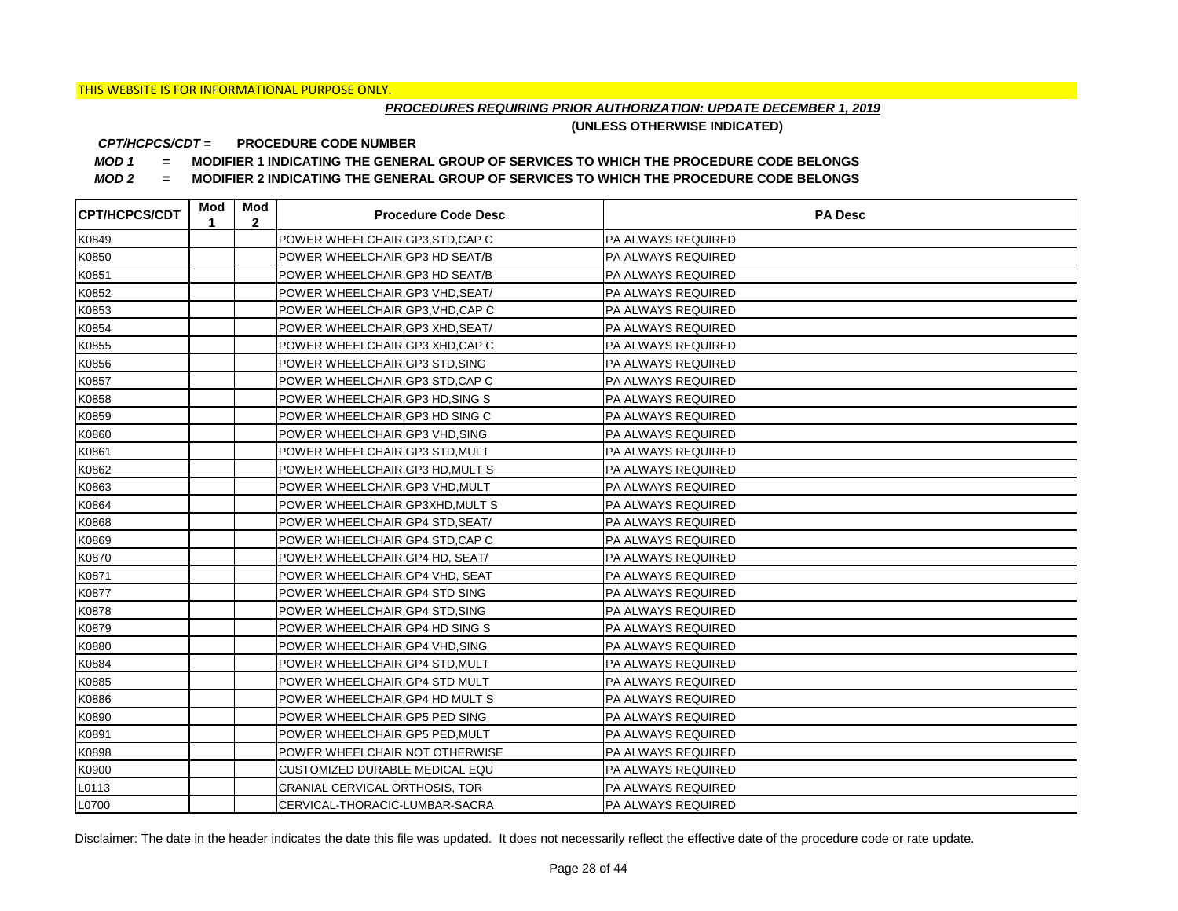# *PROCEDURES REQUIRING PRIOR AUTHORIZATION: UPDATE DECEMBER 1, 2019*

**(UNLESS OTHERWISE INDICATED)**

#### **PROCEDURE CODE NUMBER** *CPT/HCPCS/CDT =*

*MOD 1 =* **MODIFIER 1 INDICATING THE GENERAL GROUP OF SERVICES TO WHICH THE PROCEDURE CODE BELONGS**

*MOD 2 =* **MODIFIER 2 INDICATING THE GENERAL GROUP OF SERVICES TO WHICH THE PROCEDURE CODE BELONGS**

| <b>CPT/HCPCS/CDT</b> | Mod<br>1 | Mod<br>$\mathbf{2}$ | <b>Procedure Code Desc</b>        | <b>PA Desc</b>            |
|----------------------|----------|---------------------|-----------------------------------|---------------------------|
| K0849                |          |                     | POWER WHEELCHAIR.GP3,STD,CAP C    | PA ALWAYS REQUIRED        |
| K0850                |          |                     | POWER WHEELCHAIR.GP3 HD SEAT/B    | <b>PA ALWAYS REQUIRED</b> |
| K0851                |          |                     | POWER WHEELCHAIR, GP3 HD SEAT/B   | <b>PA ALWAYS REQUIRED</b> |
| K0852                |          |                     | POWER WHEELCHAIR, GP3 VHD, SEAT/  | <b>PA ALWAYS REQUIRED</b> |
| K0853                |          |                     | POWER WHEELCHAIR, GP3, VHD, CAP C | PA ALWAYS REQUIRED        |
| K0854                |          |                     | POWER WHEELCHAIR, GP3 XHD, SEAT/  | PA ALWAYS REQUIRED        |
| K0855                |          |                     | POWER WHEELCHAIR, GP3 XHD, CAP C  | PA ALWAYS REQUIRED        |
| K0856                |          |                     | POWER WHEELCHAIR, GP3 STD, SING   | <b>PA ALWAYS REQUIRED</b> |
| K0857                |          |                     | POWER WHEELCHAIR, GP3 STD, CAP C  | PA ALWAYS REQUIRED        |
| K0858                |          |                     | POWER WHEELCHAIR, GP3 HD, SING S  | PA ALWAYS REQUIRED        |
| K0859                |          |                     | POWER WHEELCHAIR, GP3 HD SING C   | PA ALWAYS REQUIRED        |
| K0860                |          |                     | POWER WHEELCHAIR, GP3 VHD, SING   | PA ALWAYS REQUIRED        |
| K0861                |          |                     | POWER WHEELCHAIR, GP3 STD, MULT   | PA ALWAYS REQUIRED        |
| K0862                |          |                     | POWER WHEELCHAIR, GP3 HD, MULT S  | <b>PA ALWAYS REQUIRED</b> |
| K0863                |          |                     | POWER WHEELCHAIR, GP3 VHD, MULT   | IPA ALWAYS REQUIRED       |
| K0864                |          |                     | POWER WHEELCHAIR, GP3XHD, MULT S  | <b>PA ALWAYS REQUIRED</b> |
| K0868                |          |                     | POWER WHEELCHAIR, GP4 STD, SEAT/  | <b>PA ALWAYS REQUIRED</b> |
| K0869                |          |                     | POWER WHEELCHAIR, GP4 STD, CAP C  | PA ALWAYS REQUIRED        |
| K0870                |          |                     | POWER WHEELCHAIR, GP4 HD, SEAT/   | <b>PA ALWAYS REQUIRED</b> |
| K0871                |          |                     | POWER WHEELCHAIR, GP4 VHD, SEAT   | <b>PA ALWAYS REQUIRED</b> |
| K0877                |          |                     | POWER WHEELCHAIR, GP4 STD SING    | <b>PA ALWAYS REQUIRED</b> |
| K0878                |          |                     | POWER WHEELCHAIR, GP4 STD, SING   | <b>PA ALWAYS REQUIRED</b> |
| K0879                |          |                     | POWER WHEELCHAIR, GP4 HD SING S   | <b>PA ALWAYS REQUIRED</b> |
| K0880                |          |                     | POWER WHEELCHAIR.GP4 VHD, SING    | <b>PA ALWAYS REQUIRED</b> |
| K0884                |          |                     | POWER WHEELCHAIR, GP4 STD, MULT   | <b>PA ALWAYS REQUIRED</b> |
| K0885                |          |                     | POWER WHEELCHAIR, GP4 STD MULT    | <b>PA ALWAYS REQUIRED</b> |
| K0886                |          |                     | POWER WHEELCHAIR, GP4 HD MULT S   | <b>PA ALWAYS REQUIRED</b> |
| K0890                |          |                     | POWER WHEELCHAIR, GP5 PED SING    | <b>PA ALWAYS REQUIRED</b> |
| K0891                |          |                     | POWER WHEELCHAIR, GP5 PED, MULT   | <b>PA ALWAYS REQUIRED</b> |
| K0898                |          |                     | POWER WHEELCHAIR NOT OTHERWISE    | <b>PA ALWAYS REQUIRED</b> |
| K0900                |          |                     | CUSTOMIZED DURABLE MEDICAL EQU    | PA ALWAYS REQUIRED        |
| L0113                |          |                     | CRANIAL CERVICAL ORTHOSIS, TOR    | PA ALWAYS REQUIRED        |
| L0700                |          |                     | CERVICAL-THORACIC-LUMBAR-SACRA    | <b>PA ALWAYS REQUIRED</b> |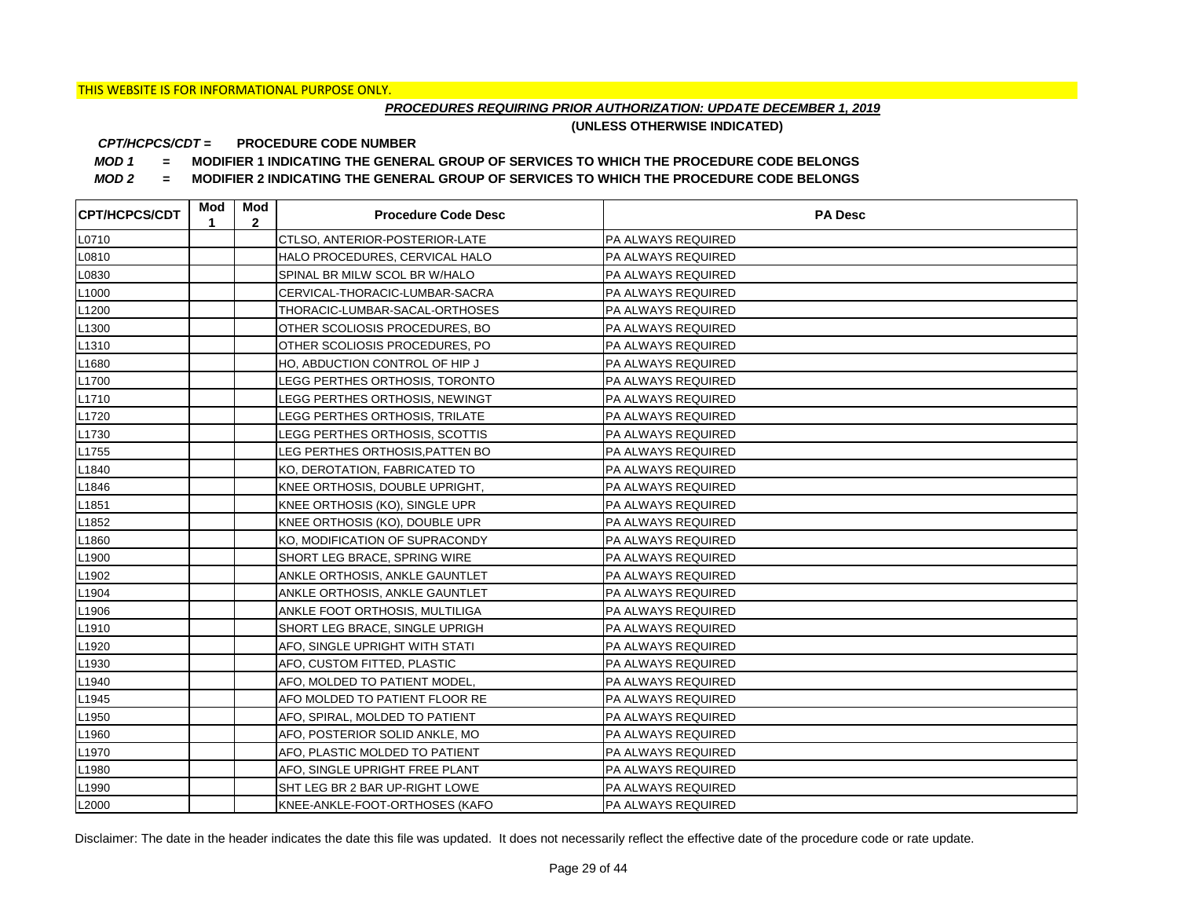# *PROCEDURES REQUIRING PRIOR AUTHORIZATION: UPDATE DECEMBER 1, 2019*

**(UNLESS OTHERWISE INDICATED)**

#### **PROCEDURE CODE NUMBER** *CPT/HCPCS/CDT =*

*MOD 1 =* **MODIFIER 1 INDICATING THE GENERAL GROUP OF SERVICES TO WHICH THE PROCEDURE CODE BELONGS**

*MOD 2 =* **MODIFIER 2 INDICATING THE GENERAL GROUP OF SERVICES TO WHICH THE PROCEDURE CODE BELONGS**

| <b>CPT/HCPCS/CDT</b> | Mod<br>1 | Mod<br>$\mathbf{2}$ | <b>Procedure Code Desc</b>            | <b>PA Desc</b>            |
|----------------------|----------|---------------------|---------------------------------------|---------------------------|
| L0710                |          |                     | <b>CTLSO, ANTERIOR-POSTERIOR-LATE</b> | PA ALWAYS REQUIRED        |
| L0810                |          |                     | HALO PROCEDURES, CERVICAL HALO        | PA ALWAYS REQUIRED        |
| L0830                |          |                     | SPINAL BR MILW SCOL BR W/HALO         | PA ALWAYS REQUIRED        |
| L1000                |          |                     | CERVICAL-THORACIC-LUMBAR-SACRA        | PA ALWAYS REQUIRED        |
| L1200                |          |                     | THORACIC-LUMBAR-SACAL-ORTHOSES        | PA ALWAYS REQUIRED        |
| L1300                |          |                     | OTHER SCOLIOSIS PROCEDURES, BO        | PA ALWAYS REQUIRED        |
| L1310                |          |                     | OTHER SCOLIOSIS PROCEDURES, PO        | PA ALWAYS REQUIRED        |
| L1680                |          |                     | HO, ABDUCTION CONTROL OF HIP J        | PA ALWAYS REQUIRED        |
| L1700                |          |                     | LEGG PERTHES ORTHOSIS, TORONTO        | PA ALWAYS REQUIRED        |
| L1710                |          |                     | LEGG PERTHES ORTHOSIS, NEWINGT        | PA ALWAYS REQUIRED        |
| L1720                |          |                     | LEGG PERTHES ORTHOSIS, TRILATE        | PA ALWAYS REQUIRED        |
| L1730                |          |                     | LEGG PERTHES ORTHOSIS, SCOTTIS        | PA ALWAYS REQUIRED        |
| L1755                |          |                     | LEG PERTHES ORTHOSIS, PATTEN BO       | PA ALWAYS REQUIRED        |
| L1840                |          |                     | KO, DEROTATION, FABRICATED TO         | PA ALWAYS REQUIRED        |
| L1846                |          |                     | KNEE ORTHOSIS, DOUBLE UPRIGHT,        | PA ALWAYS REQUIRED        |
| L <sub>1851</sub>    |          |                     | KNEE ORTHOSIS (KO), SINGLE UPR        | PA ALWAYS REQUIRED        |
| L1852                |          |                     | KNEE ORTHOSIS (KO), DOUBLE UPR        | PA ALWAYS REQUIRED        |
| L1860                |          |                     | KO, MODIFICATION OF SUPRACONDY        | PA ALWAYS REQUIRED        |
| L <sub>1900</sub>    |          |                     | SHORT LEG BRACE, SPRING WIRE          | PA ALWAYS REQUIRED        |
| L <sub>1902</sub>    |          |                     | ANKLE ORTHOSIS, ANKLE GAUNTLET        | PA ALWAYS REQUIRED        |
| L1904                |          |                     | ANKLE ORTHOSIS, ANKLE GAUNTLET        | PA ALWAYS REQUIRED        |
| L1906                |          |                     | ANKLE FOOT ORTHOSIS, MULTILIGA        | PA ALWAYS REQUIRED        |
| L <sub>1910</sub>    |          |                     | SHORT LEG BRACE, SINGLE UPRIGH        | PA ALWAYS REQUIRED        |
| L <sub>1920</sub>    |          |                     | AFO, SINGLE UPRIGHT WITH STATI        | PA ALWAYS REQUIRED        |
| L <sub>1930</sub>    |          |                     | AFO, CUSTOM FITTED, PLASTIC           | PA ALWAYS REQUIRED        |
| L <sub>1940</sub>    |          |                     | AFO, MOLDED TO PATIENT MODEL,         | PA ALWAYS REQUIRED        |
| L1945                |          |                     | AFO MOLDED TO PATIENT FLOOR RE        | PA ALWAYS REQUIRED        |
| L <sub>1950</sub>    |          |                     | AFO, SPIRAL, MOLDED TO PATIENT        | PA ALWAYS REQUIRED        |
| L1960                |          |                     | AFO, POSTERIOR SOLID ANKLE, MO        | PA ALWAYS REQUIRED        |
| L <sub>1970</sub>    |          |                     | AFO, PLASTIC MOLDED TO PATIENT        | PA ALWAYS REQUIRED        |
| L1980                |          |                     | AFO, SINGLE UPRIGHT FREE PLANT        | PA ALWAYS REQUIRED        |
| L1990                |          |                     | SHT LEG BR 2 BAR UP-RIGHT LOWE        | PA ALWAYS REQUIRED        |
| L2000                |          |                     | KNEE-ANKLE-FOOT-ORTHOSES (KAFO        | <b>PA ALWAYS REQUIRED</b> |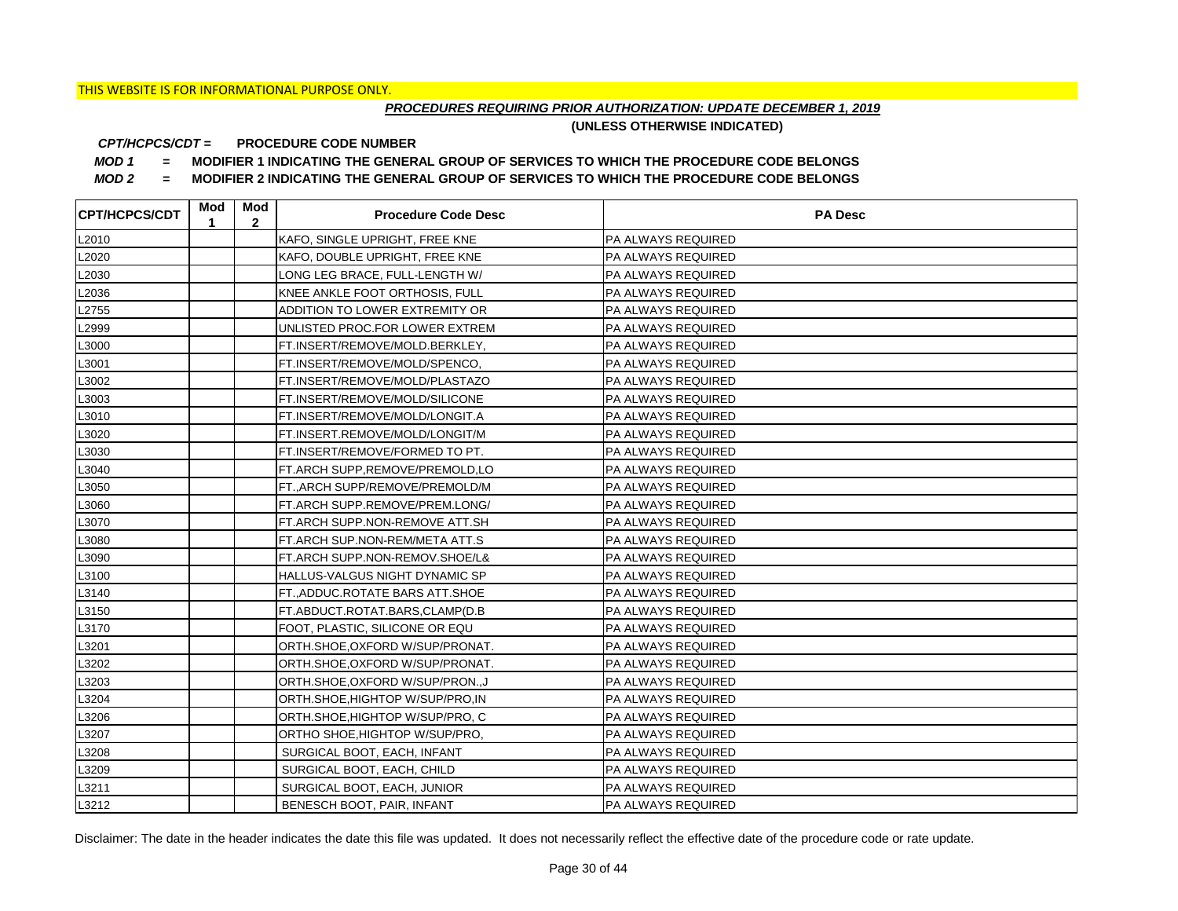# *PROCEDURES REQUIRING PRIOR AUTHORIZATION: UPDATE DECEMBER 1, 2019*

**(UNLESS OTHERWISE INDICATED)**

#### **PROCEDURE CODE NUMBER** *CPT/HCPCS/CDT =*

*MOD 1 =* **MODIFIER 1 INDICATING THE GENERAL GROUP OF SERVICES TO WHICH THE PROCEDURE CODE BELONGS**

*MOD 2 =* **MODIFIER 2 INDICATING THE GENERAL GROUP OF SERVICES TO WHICH THE PROCEDURE CODE BELONGS**

| <b>CPT/HCPCS/CDT</b> | Mod<br>1 | Mod<br>$\mathbf{2}$ | <b>Procedure Code Desc</b>       | <b>PA Desc</b>            |
|----------------------|----------|---------------------|----------------------------------|---------------------------|
| L2010                |          |                     | KAFO, SINGLE UPRIGHT, FREE KNE   | PA ALWAYS REQUIRED        |
| L2020                |          |                     | KAFO, DOUBLE UPRIGHT, FREE KNE   | PA ALWAYS REQUIRED        |
| L2030                |          |                     | LONG LEG BRACE, FULL-LENGTH W/   | PA ALWAYS REQUIRED        |
| L2036                |          |                     | KNEE ANKLE FOOT ORTHOSIS, FULL   | PA ALWAYS REQUIRED        |
| L2755                |          |                     | ADDITION TO LOWER EXTREMITY OR   | PA ALWAYS REQUIRED        |
| L2999                |          |                     | UNLISTED PROC.FOR LOWER EXTREM   | PA ALWAYS REQUIRED        |
| L3000                |          |                     | FT.INSERT/REMOVE/MOLD.BERKLEY,   | PA ALWAYS REQUIRED        |
| L3001                |          |                     | FT.INSERT/REMOVE/MOLD/SPENCO,    | PA ALWAYS REQUIRED        |
| L3002                |          |                     | FT.INSERT/REMOVE/MOLD/PLASTAZO   | PA ALWAYS REQUIRED        |
| L3003                |          |                     | FT.INSERT/REMOVE/MOLD/SILICONE   | PA ALWAYS REQUIRED        |
| L3010                |          |                     | FT.INSERT/REMOVE/MOLD/LONGIT.A   | PA ALWAYS REQUIRED        |
| L3020                |          |                     | FT.INSERT.REMOVE/MOLD/LONGIT/M   | PA ALWAYS REQUIRED        |
| L3030                |          |                     | FT.INSERT/REMOVE/FORMED TO PT.   | PA ALWAYS REQUIRED        |
| L3040                |          |                     | FT.ARCH SUPP,REMOVE/PREMOLD,LO   | <b>PA ALWAYS REQUIRED</b> |
| L3050                |          |                     | FT., ARCH SUPP/REMOVE/PREMOLD/M  | PA ALWAYS REQUIRED        |
| L3060                |          |                     | FT.ARCH SUPP.REMOVE/PREM.LONG/   | PA ALWAYS REQUIRED        |
| L3070                |          |                     | FT.ARCH SUPP.NON-REMOVE ATT.SH   | PA ALWAYS REQUIRED        |
| L3080                |          |                     | FT.ARCH SUP.NON-REM/META ATT.S   | PA ALWAYS REQUIRED        |
| L3090                |          |                     | FT.ARCH SUPP.NON-REMOV.SHOE/L&   | PA ALWAYS REQUIRED        |
| L3100                |          |                     | HALLUS-VALGUS NIGHT DYNAMIC SP   | PA ALWAYS REQUIRED        |
| L3140                |          |                     | FT., ADDUC.ROTATE BARS ATT.SHOE  | PA ALWAYS REQUIRED        |
| L3150                |          |                     | FT.ABDUCT.ROTAT.BARS,CLAMP(D.B   | PA ALWAYS REQUIRED        |
| L3170                |          |                     | FOOT, PLASTIC, SILICONE OR EQU   | PA ALWAYS REQUIRED        |
| L3201                |          |                     | ORTH.SHOE, OXFORD W/SUP/PRONAT.  | PA ALWAYS REQUIRED        |
| L3202                |          |                     | ORTH.SHOE,OXFORD W/SUP/PRONAT.   | PA ALWAYS REQUIRED        |
| L3203                |          |                     | ORTH.SHOE, OXFORD W/SUP/PRON., J | PA ALWAYS REQUIRED        |
| L3204                |          |                     | ORTH.SHOE, HIGHTOP W/SUP/PRO, IN | PA ALWAYS REQUIRED        |
| L3206                |          |                     | ORTH.SHOE, HIGHTOP W/SUP/PRO, C  | PA ALWAYS REQUIRED        |
| L3207                |          |                     | ORTHO SHOE, HIGHTOP W/SUP/PRO,   | PA ALWAYS REQUIRED        |
| L3208                |          |                     | SURGICAL BOOT, EACH, INFANT      | PA ALWAYS REQUIRED        |
| L3209                |          |                     | SURGICAL BOOT, EACH, CHILD       | PA ALWAYS REQUIRED        |
| L3211                |          |                     | SURGICAL BOOT, EACH, JUNIOR      | PA ALWAYS REQUIRED        |
| L3212                |          |                     | BENESCH BOOT, PAIR, INFANT       | <b>PA ALWAYS REQUIRED</b> |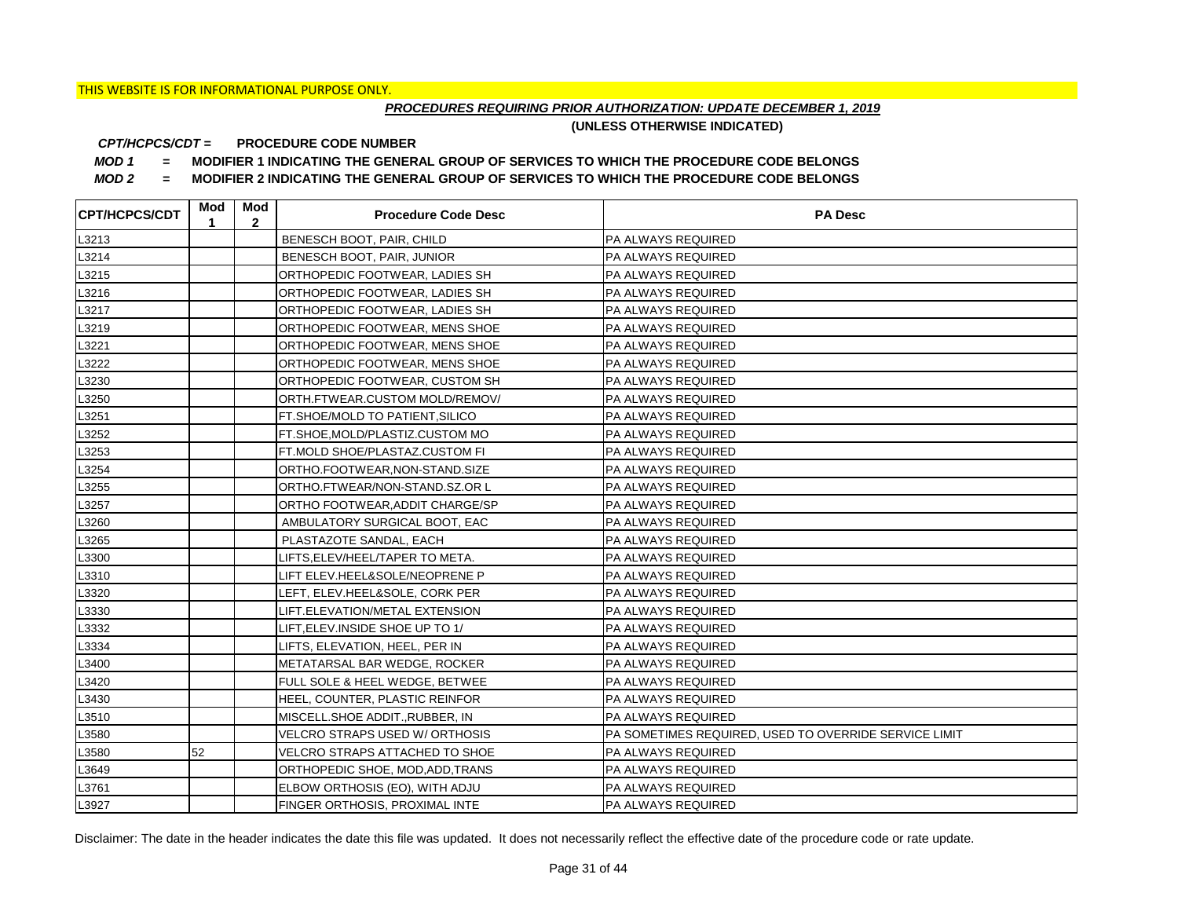# *PROCEDURES REQUIRING PRIOR AUTHORIZATION: UPDATE DECEMBER 1, 2019*

**(UNLESS OTHERWISE INDICATED)**

#### **PROCEDURE CODE NUMBER** *CPT/HCPCS/CDT =*

*MOD 1 =* **MODIFIER 1 INDICATING THE GENERAL GROUP OF SERVICES TO WHICH THE PROCEDURE CODE BELONGS**

*MOD 2 =* **MODIFIER 2 INDICATING THE GENERAL GROUP OF SERVICES TO WHICH THE PROCEDURE CODE BELONGS**

| <b>CPT/HCPCS/CDT</b> | Mod<br>1 | Mod<br>$\mathbf{2}$ | <b>Procedure Code Desc</b>       | <b>PA Desc</b>                                        |
|----------------------|----------|---------------------|----------------------------------|-------------------------------------------------------|
| L3213                |          |                     | BENESCH BOOT, PAIR, CHILD        | PA ALWAYS REQUIRED                                    |
| L3214                |          |                     | BENESCH BOOT, PAIR, JUNIOR       | PA ALWAYS REQUIRED                                    |
| L3215                |          |                     | ORTHOPEDIC FOOTWEAR, LADIES SH   | PA ALWAYS REQUIRED                                    |
| L3216                |          |                     | ORTHOPEDIC FOOTWEAR, LADIES SH   | PA ALWAYS REQUIRED                                    |
| L3217                |          |                     | ORTHOPEDIC FOOTWEAR, LADIES SH   | PA ALWAYS REQUIRED                                    |
| L3219                |          |                     | ORTHOPEDIC FOOTWEAR, MENS SHOE   | PA ALWAYS REQUIRED                                    |
| L3221                |          |                     | ORTHOPEDIC FOOTWEAR, MENS SHOE   | PA ALWAYS REQUIRED                                    |
| L3222                |          |                     | ORTHOPEDIC FOOTWEAR, MENS SHOE   | PA ALWAYS REQUIRED                                    |
| L3230                |          |                     | ORTHOPEDIC FOOTWEAR, CUSTOM SH   | PA ALWAYS REQUIRED                                    |
| L3250                |          |                     | ORTH.FTWEAR.CUSTOM MOLD/REMOV/   | PA ALWAYS REQUIRED                                    |
| L3251                |          |                     | FT.SHOE/MOLD TO PATIENT, SILICO  | PA ALWAYS REQUIRED                                    |
| L3252                |          |                     | FT.SHOE, MOLD/PLASTIZ.CUSTOM MO  | PA ALWAYS REQUIRED                                    |
| L3253                |          |                     | FT.MOLD SHOE/PLASTAZ.CUSTOM FI   | PA ALWAYS REQUIRED                                    |
| L3254                |          |                     | ORTHO.FOOTWEAR, NON-STAND.SIZE   | PA ALWAYS REQUIRED                                    |
| L3255                |          |                     | ORTHO.FTWEAR/NON-STAND.SZ.OR L   | PA ALWAYS REQUIRED                                    |
| L3257                |          |                     | ORTHO FOOTWEAR, ADDIT CHARGE/SP  | PA ALWAYS REQUIRED                                    |
| L3260                |          |                     | AMBULATORY SURGICAL BOOT, EAC    | PA ALWAYS REQUIRED                                    |
| L3265                |          |                     | PLASTAZOTE SANDAL, EACH          | PA ALWAYS REQUIRED                                    |
| L3300                |          |                     | LIFTS,ELEV/HEEL/TAPER TO META.   | PA ALWAYS REQUIRED                                    |
| L3310                |          |                     | LIFT ELEV.HEEL&SOLE/NEOPRENE P   | PA ALWAYS REQUIRED                                    |
| L3320                |          |                     | LEFT, ELEV.HEEL&SOLE, CORK PER   | PA ALWAYS REQUIRED                                    |
| L3330                |          |                     | LIFT.ELEVATION/METAL EXTENSION   | PA ALWAYS REQUIRED                                    |
| L3332                |          |                     | LIFT, ELEV. INSIDE SHOE UP TO 1/ | PA ALWAYS REQUIRED                                    |
| L3334                |          |                     | LIFTS, ELEVATION, HEEL, PER IN   | PA ALWAYS REQUIRED                                    |
| L3400                |          |                     | METATARSAL BAR WEDGE, ROCKER     | PA ALWAYS REQUIRED                                    |
| L3420                |          |                     | FULL SOLE & HEEL WEDGE, BETWEE   | PA ALWAYS REQUIRED                                    |
| L3430                |          |                     | HEEL, COUNTER, PLASTIC REINFOR   | PA ALWAYS REQUIRED                                    |
| L3510                |          |                     | MISCELL.SHOE ADDIT., RUBBER, IN  | PA ALWAYS REQUIRED                                    |
| L3580                |          |                     | VELCRO STRAPS USED W/ ORTHOSIS   | PA SOMETIMES REQUIRED, USED TO OVERRIDE SERVICE LIMIT |
| L3580                | 52       |                     | VELCRO STRAPS ATTACHED TO SHOE   | PA ALWAYS REQUIRED                                    |
| L3649                |          |                     | ORTHOPEDIC SHOE, MOD, ADD, TRANS | PA ALWAYS REQUIRED                                    |
| L3761                |          |                     | ELBOW ORTHOSIS (EO), WITH ADJU   | PA ALWAYS REQUIRED                                    |
| L3927                |          |                     | FINGER ORTHOSIS, PROXIMAL INTE   | <b>PA ALWAYS REQUIRED</b>                             |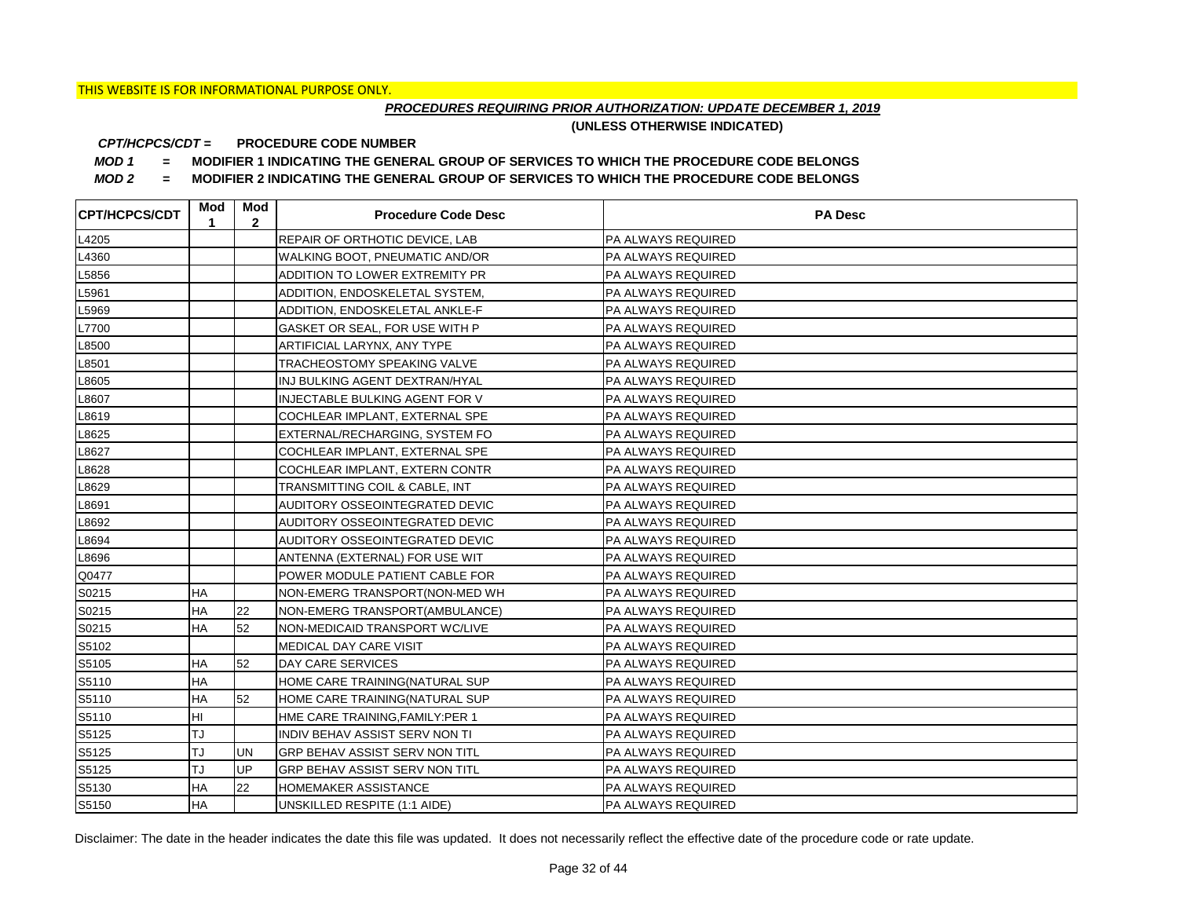# *PROCEDURES REQUIRING PRIOR AUTHORIZATION: UPDATE DECEMBER 1, 2019*

**(UNLESS OTHERWISE INDICATED)**

#### **PROCEDURE CODE NUMBER** *CPT/HCPCS/CDT =*

*MOD 1 =* **MODIFIER 1 INDICATING THE GENERAL GROUP OF SERVICES TO WHICH THE PROCEDURE CODE BELONGS**

*MOD 2 =* **MODIFIER 2 INDICATING THE GENERAL GROUP OF SERVICES TO WHICH THE PROCEDURE CODE BELONGS**

| <b>CPT/HCPCS/CDT</b> | Mod<br>1  | Mod<br>$\overline{2}$ | <b>Procedure Code Desc</b>            | <b>PA Desc</b>            |
|----------------------|-----------|-----------------------|---------------------------------------|---------------------------|
| L4205                |           |                       | <b>REPAIR OF ORTHOTIC DEVICE, LAB</b> | PA ALWAYS REQUIRED        |
| L4360                |           |                       | WALKING BOOT, PNEUMATIC AND/OR        | PA ALWAYS REQUIRED        |
| L5856                |           |                       | ADDITION TO LOWER EXTREMITY PR        | PA ALWAYS REQUIRED        |
| L5961                |           |                       | ADDITION, ENDOSKELETAL SYSTEM,        | PA ALWAYS REQUIRED        |
| L5969                |           |                       | ADDITION, ENDOSKELETAL ANKLE-F        | PA ALWAYS REQUIRED        |
| L7700                |           |                       | GASKET OR SEAL, FOR USE WITH P        | PA ALWAYS REQUIRED        |
| L8500                |           |                       | ARTIFICIAL LARYNX, ANY TYPE           | PA ALWAYS REQUIRED        |
| L8501                |           |                       | TRACHEOSTOMY SPEAKING VALVE           | PA ALWAYS REQUIRED        |
| L8605                |           |                       | INJ BULKING AGENT DEXTRAN/HYAL        | PA ALWAYS REQUIRED        |
| L8607                |           |                       | INJECTABLE BULKING AGENT FOR V        | PA ALWAYS REQUIRED        |
| L8619                |           |                       | COCHLEAR IMPLANT, EXTERNAL SPE        | PA ALWAYS REQUIRED        |
| L8625                |           |                       | EXTERNAL/RECHARGING, SYSTEM FO        | PA ALWAYS REQUIRED        |
| L8627                |           |                       | COCHLEAR IMPLANT, EXTERNAL SPE        | <b>PA ALWAYS REQUIRED</b> |
| L8628                |           |                       | COCHLEAR IMPLANT, EXTERN CONTR        | PA ALWAYS REQUIRED        |
| L8629                |           |                       | TRANSMITTING COIL & CABLE, INT        | PA ALWAYS REQUIRED        |
| L8691                |           |                       | AUDITORY OSSEOINTEGRATED DEVIC        | PA ALWAYS REQUIRED        |
| L8692                |           |                       | AUDITORY OSSEOINTEGRATED DEVIC        | PA ALWAYS REQUIRED        |
| L8694                |           |                       | AUDITORY OSSEOINTEGRATED DEVIC        | PA ALWAYS REQUIRED        |
| L8696                |           |                       | ANTENNA (EXTERNAL) FOR USE WIT        | PA ALWAYS REQUIRED        |
| Q0477                |           |                       | POWER MODULE PATIENT CABLE FOR        | PA ALWAYS REQUIRED        |
| S0215                | <b>HA</b> |                       | NON-EMERG TRANSPORT(NON-MED WH        | PA ALWAYS REQUIRED        |
| S0215                | HA        | 22                    | NON-EMERG TRANSPORT(AMBULANCE)        | PA ALWAYS REQUIRED        |
| S0215                | <b>HA</b> | 52                    | NON-MEDICAID TRANSPORT WC/LIVE        | PA ALWAYS REQUIRED        |
| S5102                |           |                       | MEDICAL DAY CARE VISIT                | PA ALWAYS REQUIRED        |
| S5105                | НA        | 52                    | DAY CARE SERVICES                     | PA ALWAYS REQUIRED        |
| S5110                | <b>HA</b> |                       | HOME CARE TRAINING(NATURAL SUP        | PA ALWAYS REQUIRED        |
| S5110                | HA        | 52                    | HOME CARE TRAINING(NATURAL SUP        | PA ALWAYS REQUIRED        |
| S5110                | HI        |                       | HME CARE TRAINING, FAMILY: PER 1      | PA ALWAYS REQUIRED        |
| S5125                | TJ        |                       | INDIV BEHAV ASSIST SERV NON TI        | PA ALWAYS REQUIRED        |
| S5125                | TJ        | <b>UN</b>             | GRP BEHAV ASSIST SERV NON TITL        | PA ALWAYS REQUIRED        |
| S5125                | TJ        | <b>UP</b>             | GRP BEHAV ASSIST SERV NON TITL        | PA ALWAYS REQUIRED        |
| S5130                | <b>HA</b> | 22                    | HOMEMAKER ASSISTANCE                  | PA ALWAYS REQUIRED        |
| S5150                | <b>HA</b> |                       | UNSKILLED RESPITE (1:1 AIDE)          | PA ALWAYS REQUIRED        |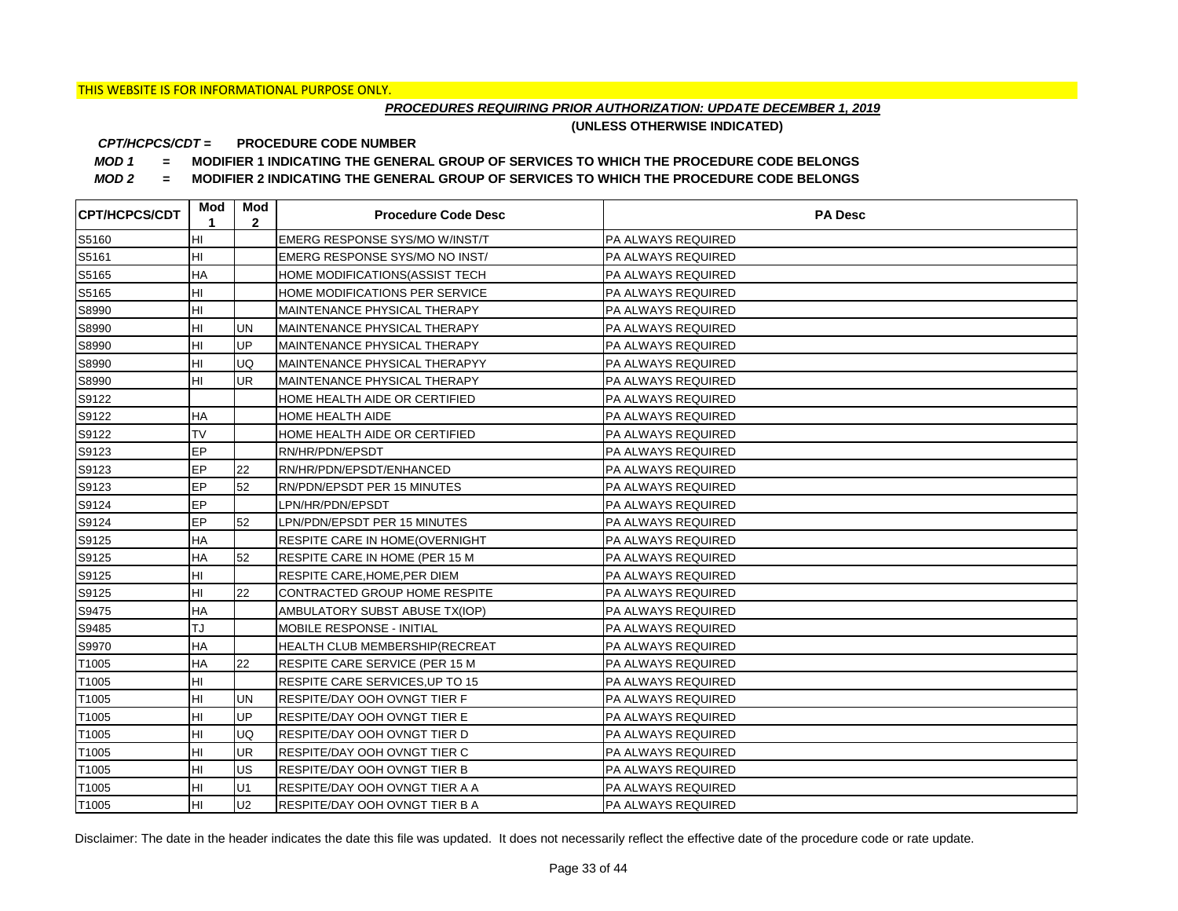# *PROCEDURES REQUIRING PRIOR AUTHORIZATION: UPDATE DECEMBER 1, 2019*

**(UNLESS OTHERWISE INDICATED)**

#### **PROCEDURE CODE NUMBER** *CPT/HCPCS/CDT =*

*MOD 1 =* **MODIFIER 1 INDICATING THE GENERAL GROUP OF SERVICES TO WHICH THE PROCEDURE CODE BELONGS**

*MOD 2 =* **MODIFIER 2 INDICATING THE GENERAL GROUP OF SERVICES TO WHICH THE PROCEDURE CODE BELONGS**

| <b>CPT/HCPCS/CDT</b> | Mod<br>1  | Mod<br>$\mathbf{2}$ | <b>Procedure Code Desc</b>      | <b>PA Desc</b>            |
|----------------------|-----------|---------------------|---------------------------------|---------------------------|
| S5160                | HI        |                     | EMERG RESPONSE SYS/MO W/INST/T  | <b>PA ALWAYS REQUIRED</b> |
| S5161                | HI        |                     | EMERG RESPONSE SYS/MO NO INST/  | PA ALWAYS REQUIRED        |
| S5165                | HA        |                     | HOME MODIFICATIONS (ASSIST TECH | PA ALWAYS REQUIRED        |
| S5165                | HI        |                     | HOME MODIFICATIONS PER SERVICE  | PA ALWAYS REQUIRED        |
| S8990                | HI        |                     | MAINTENANCE PHYSICAL THERAPY    | PA ALWAYS REQUIRED        |
| S8990                | HI        | <b>UN</b>           | MAINTENANCE PHYSICAL THERAPY    | <b>PA ALWAYS REQUIRED</b> |
| S8990                | HI        | UP                  | MAINTENANCE PHYSICAL THERAPY    | PA ALWAYS REQUIRED        |
| S8990                | HI        | UQ                  | MAINTENANCE PHYSICAL THERAPYY   | PA ALWAYS REQUIRED        |
| S8990                | HI        | <b>UR</b>           | MAINTENANCE PHYSICAL THERAPY    | PA ALWAYS REQUIRED        |
| S9122                |           |                     | HOME HEALTH AIDE OR CERTIFIED   | PA ALWAYS REQUIRED        |
| S9122                | HA        |                     | HOME HEALTH AIDE                | PA ALWAYS REQUIRED        |
| S9122                | <b>TV</b> |                     | HOME HEALTH AIDE OR CERTIFIED   | PA ALWAYS REQUIRED        |
| S9123                | EP        |                     | RN/HR/PDN/EPSDT                 | <b>PA ALWAYS REQUIRED</b> |
| S9123                | EP        | 22                  | RN/HR/PDN/EPSDT/ENHANCED        | PA ALWAYS REQUIRED        |
| S9123                | EP        | 52                  | RN/PDN/EPSDT PER 15 MINUTES     | PA ALWAYS REQUIRED        |
| S9124                | EP        |                     | LPN/HR/PDN/EPSDT                | PA ALWAYS REQUIRED        |
| S9124                | <b>EP</b> | 52                  | LPN/PDN/EPSDT PER 15 MINUTES    | PA ALWAYS REQUIRED        |
| S9125                | <b>HA</b> |                     | RESPITE CARE IN HOME(OVERNIGHT  | PA ALWAYS REQUIRED        |
| S9125                | HA        | 52                  | RESPITE CARE IN HOME (PER 15 M  | PA ALWAYS REQUIRED        |
| S9125                | HI        |                     | RESPITE CARE, HOME, PER DIEM    | PA ALWAYS REQUIRED        |
| S9125                | HI        | 22                  | CONTRACTED GROUP HOME RESPITE   | PA ALWAYS REQUIRED        |
| S9475                | HA        |                     | AMBULATORY SUBST ABUSE TX(IOP)  | PA ALWAYS REQUIRED        |
| S9485                | TJ        |                     | MOBILE RESPONSE - INITIAL       | PA ALWAYS REQUIRED        |
| S9970                | HA        |                     | HEALTH CLUB MEMBERSHIP(RECREAT  | PA ALWAYS REQUIRED        |
| T1005                | HA        | 22                  | RESPITE CARE SERVICE (PER 15 M  | PA ALWAYS REQUIRED        |
| T1005                | HI        |                     | RESPITE CARE SERVICES, UP TO 15 | PA ALWAYS REQUIRED        |
| T1005                | HI        | <b>UN</b>           | RESPITE/DAY OOH OVNGT TIER F    | PA ALWAYS REQUIRED        |
| T1005                | HI        | UP                  | RESPITE/DAY OOH OVNGT TIER E    | PA ALWAYS REQUIRED        |
| T1005                | HI        | UQ                  | RESPITE/DAY OOH OVNGT TIER D    | PA ALWAYS REQUIRED        |
| T1005                | HI        | UR                  | RESPITE/DAY OOH OVNGT TIER C    | PA ALWAYS REQUIRED        |
| T1005                | HI        | <b>US</b>           | RESPITE/DAY OOH OVNGT TIER B    | PA ALWAYS REQUIRED        |
| T1005                | HI        | U1                  | RESPITE/DAY OOH OVNGT TIER A A  | PA ALWAYS REQUIRED        |
| T1005                | HI        | U <sub>2</sub>      | RESPITE/DAY OOH OVNGT TIER B A  | PA ALWAYS REQUIRED        |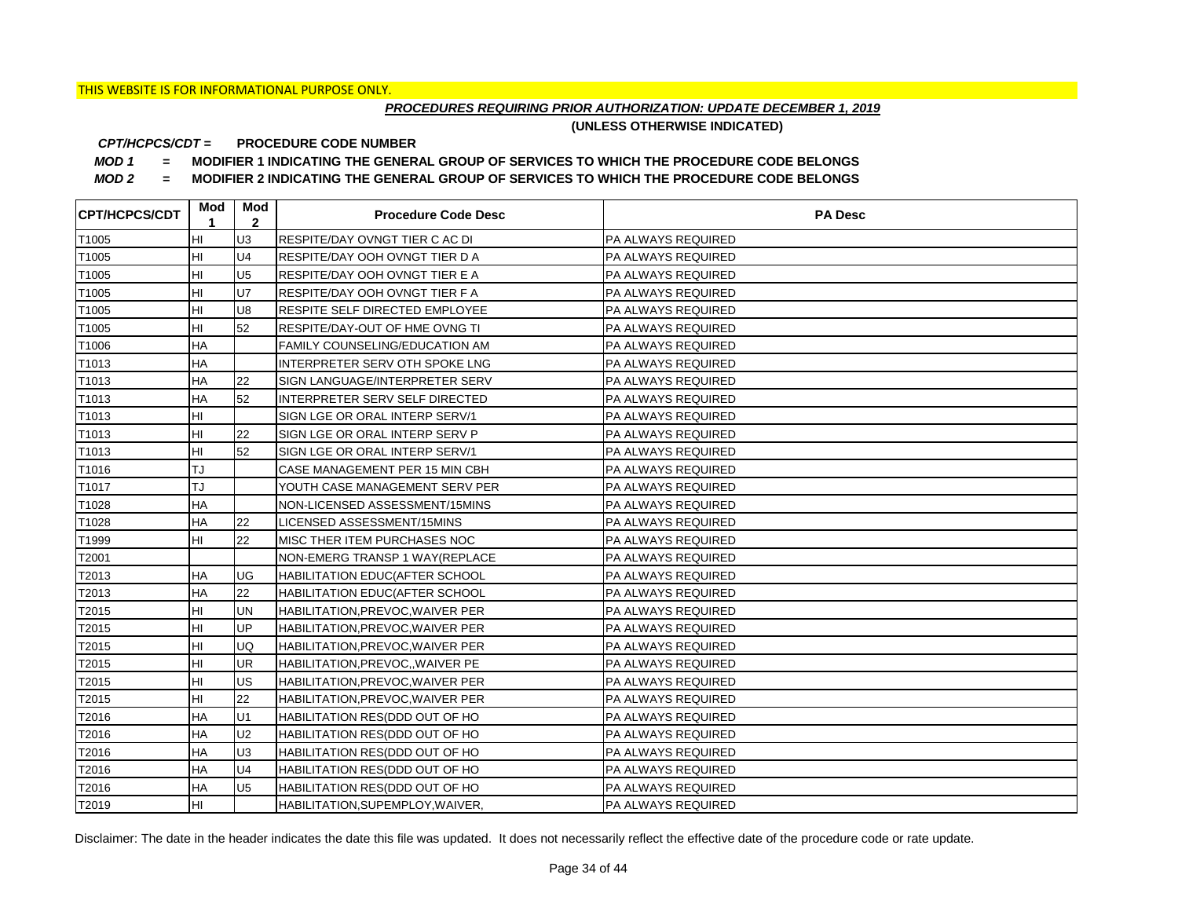# *PROCEDURES REQUIRING PRIOR AUTHORIZATION: UPDATE DECEMBER 1, 2019*

**(UNLESS OTHERWISE INDICATED)**

#### **PROCEDURE CODE NUMBER** *CPT/HCPCS/CDT =*

*MOD 1 =* **MODIFIER 1 INDICATING THE GENERAL GROUP OF SERVICES TO WHICH THE PROCEDURE CODE BELONGS**

*MOD 2 =* **MODIFIER 2 INDICATING THE GENERAL GROUP OF SERVICES TO WHICH THE PROCEDURE CODE BELONGS**

| <b>CPT/HCPCS/CDT</b> | Mod<br>1  | Mod<br>$\mathbf{2}$ | <b>Procedure Code Desc</b>        | <b>PA Desc</b>            |
|----------------------|-----------|---------------------|-----------------------------------|---------------------------|
| T1005                | HI        | U <sub>3</sub>      | RESPITE/DAY OVNGT TIER C AC DI    | PA ALWAYS REQUIRED        |
| T1005                | HI        | U <sub>4</sub>      | RESPITE/DAY OOH OVNGT TIER D A    | <b>PA ALWAYS REQUIRED</b> |
| T1005                | HI        | U <sub>5</sub>      | RESPITE/DAY OOH OVNGT TIER E A    | <b>PA ALWAYS REQUIRED</b> |
| T1005                | HI        | <b>U7</b>           | RESPITE/DAY OOH OVNGT TIER F A    | PA ALWAYS REQUIRED        |
| T1005                | HI        | U <sub>8</sub>      | RESPITE SELF DIRECTED EMPLOYEE    | PA ALWAYS REQUIRED        |
| T1005                | HI        | 52                  | RESPITE/DAY-OUT OF HME OVNG TI    | PA ALWAYS REQUIRED        |
| T1006                | <b>HA</b> |                     | FAMILY COUNSELING/EDUCATION AM    | PA ALWAYS REQUIRED        |
| T1013                | HA        |                     | INTERPRETER SERV OTH SPOKE LNG    | PA ALWAYS REQUIRED        |
| T1013                | HA        | 22                  | SIGN LANGUAGE/INTERPRETER SERV    | PA ALWAYS REQUIRED        |
| T1013                | HA        | 52                  | INTERPRETER SERV SELF DIRECTED    | PA ALWAYS REQUIRED        |
| T1013                | HI        |                     | SIGN LGE OR ORAL INTERP SERV/1    | PA ALWAYS REQUIRED        |
| T1013                | HI        | 22                  | SIGN LGE OR ORAL INTERP SERV P    | PA ALWAYS REQUIRED        |
| T1013                | HI        | 52                  | SIGN LGE OR ORAL INTERP SERV/1    | <b>PA ALWAYS REQUIRED</b> |
| T1016                | TJ        |                     | CASE MANAGEMENT PER 15 MIN CBH    | <b>PA ALWAYS REQUIRED</b> |
| T1017                | TJ        |                     | YOUTH CASE MANAGEMENT SERV PER    | <b>PA ALWAYS REQUIRED</b> |
| T1028                | <b>HA</b> |                     | NON-LICENSED ASSESSMENT/15MINS    | PA ALWAYS REQUIRED        |
| T1028                | <b>HA</b> | 22                  | LICENSED ASSESSMENT/15MINS        | PA ALWAYS REQUIRED        |
| T1999                | HI        | 22                  | MISC THER ITEM PURCHASES NOC      | PA ALWAYS REQUIRED        |
| T2001                |           |                     | NON-EMERG TRANSP 1 WAY(REPLACE    | <b>PA ALWAYS REQUIRED</b> |
| T2013                | НA        | <b>UG</b>           | HABILITATION EDUC(AFTER SCHOOL    | PA ALWAYS REQUIRED        |
| T2013                | <b>HA</b> | 22                  | HABILITATION EDUC(AFTER SCHOOL    | PA ALWAYS REQUIRED        |
| T2015                | HI        | <b>UN</b>           | HABILITATION, PREVOC, WAIVER PER  | PA ALWAYS REQUIRED        |
| T2015                | HI        | <b>UP</b>           | HABILITATION, PREVOC, WAIVER PER  | PA ALWAYS REQUIRED        |
| T2015                | HI        | <b>UQ</b>           | HABILITATION, PREVOC, WAIVER PER  | <b>PA ALWAYS REQUIRED</b> |
| T2015                | HI        | <b>UR</b>           | HABILITATION, PREVOC, , WAIVER PE | <b>PA ALWAYS REQUIRED</b> |
| T2015                | HI        | lus                 | HABILITATION, PREVOC, WAIVER PER  | <b>PA ALWAYS REQUIRED</b> |
| T2015                | HI        | 22                  | HABILITATION, PREVOC, WAIVER PER  | <b>PA ALWAYS REQUIRED</b> |
| T2016                | HA        | U1                  | HABILITATION RES(DDD OUT OF HO    | PA ALWAYS REQUIRED        |
| T2016                | HA        | U <sub>2</sub>      | HABILITATION RES(DDD OUT OF HO    | PA ALWAYS REQUIRED        |
| T2016                | <b>HA</b> | U <sub>3</sub>      | HABILITATION RES(DDD OUT OF HO    | PA ALWAYS REQUIRED        |
| T2016                | HA        | U <sub>4</sub>      | HABILITATION RES(DDD OUT OF HO    | PA ALWAYS REQUIRED        |
| T2016                | HA        | U <sub>5</sub>      | HABILITATION RES(DDD OUT OF HO    | PA ALWAYS REQUIRED        |
| T2019                | Iнı       |                     | HABILITATION, SUPEMPLOY, WAIVER,  | PA ALWAYS REQUIRED        |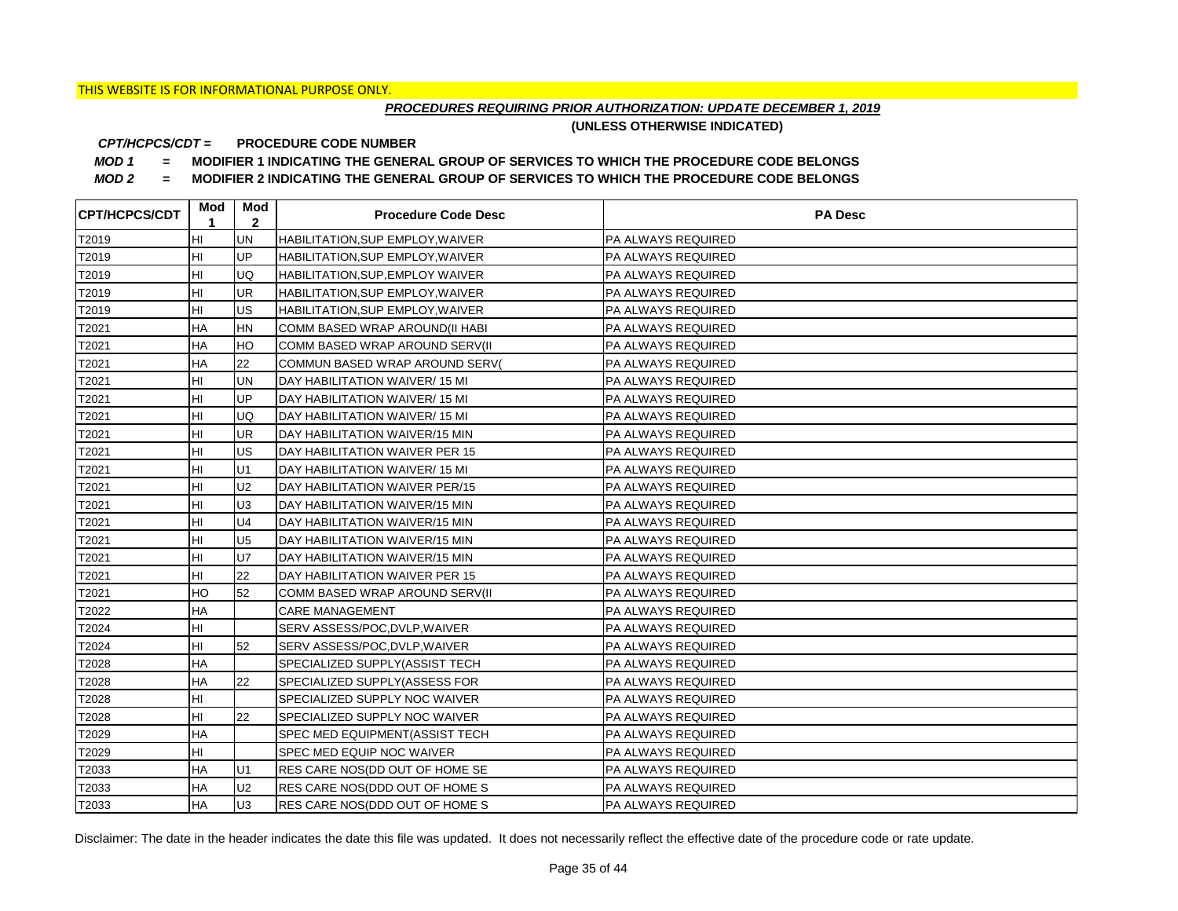# *PROCEDURES REQUIRING PRIOR AUTHORIZATION: UPDATE DECEMBER 1, 2019*

**(UNLESS OTHERWISE INDICATED)**

#### **PROCEDURE CODE NUMBER** *CPT/HCPCS/CDT =*

*MOD 1 =* **MODIFIER 1 INDICATING THE GENERAL GROUP OF SERVICES TO WHICH THE PROCEDURE CODE BELONGS**

*MOD 2 =* **MODIFIER 2 INDICATING THE GENERAL GROUP OF SERVICES TO WHICH THE PROCEDURE CODE BELONGS**

| <b>CPT/HCPCS/CDT</b> | Mod<br>1  | Mod<br>$\mathbf{2}$ | <b>Procedure Code Desc</b>       | <b>PA Desc</b>            |
|----------------------|-----------|---------------------|----------------------------------|---------------------------|
| T2019                | HI        | <b>UN</b>           | HABILITATION, SUP EMPLOY, WAIVER | <b>PA ALWAYS REQUIRED</b> |
| T2019                | HI        | UP                  | HABILITATION, SUP EMPLOY, WAIVER | <b>PA ALWAYS REQUIRED</b> |
| T2019                | HI        | UQ                  | HABILITATION, SUP, EMPLOY WAIVER | PA ALWAYS REQUIRED        |
| T2019                | HI        | UR                  | HABILITATION, SUP EMPLOY, WAIVER | <b>PA ALWAYS REQUIRED</b> |
| T2019                | HI        | US                  | HABILITATION, SUP EMPLOY, WAIVER | PA ALWAYS REQUIRED        |
| T2021                | HA        | <b>HN</b>           | COMM BASED WRAP AROUND(II HABI   | <b>PA ALWAYS REQUIRED</b> |
| T2021                | HA        | HO                  | COMM BASED WRAP AROUND SERV(II   | PA ALWAYS REQUIRED        |
| T2021                | HA        | 22                  | COMMUN BASED WRAP AROUND SERV(   | PA ALWAYS REQUIRED        |
| T2021                | HI        | <b>UN</b>           | DAY HABILITATION WAIVER/15 MI    | PA ALWAYS REQUIRED        |
| T2021                | HI        | UP                  | DAY HABILITATION WAIVER/15 MI    | PA ALWAYS REQUIRED        |
| T2021                | HI        | UQ                  | DAY HABILITATION WAIVER/15 MI    | PA ALWAYS REQUIRED        |
| T2021                | HI        | <b>UR</b>           | DAY HABILITATION WAIVER/15 MIN   | PA ALWAYS REQUIRED        |
| T2021                | HI        | US                  | DAY HABILITATION WAIVER PER 15   | <b>PA ALWAYS REQUIRED</b> |
| T2021                | HI        | U1                  | DAY HABILITATION WAIVER/15 MI    | PA ALWAYS REQUIRED        |
| T2021                | HI        | U <sub>2</sub>      | DAY HABILITATION WAIVER PER/15   | PA ALWAYS REQUIRED        |
| T2021                | HI        | U <sub>3</sub>      | DAY HABILITATION WAIVER/15 MIN   | PA ALWAYS REQUIRED        |
| T2021                | HI        | U <sub>4</sub>      | DAY HABILITATION WAIVER/15 MIN   | PA ALWAYS REQUIRED        |
| T2021                | HI        | U <sub>5</sub>      | DAY HABILITATION WAIVER/15 MIN   | PA ALWAYS REQUIRED        |
| T2021                | HI        | U7                  | DAY HABILITATION WAIVER/15 MIN   | PA ALWAYS REQUIRED        |
| T2021                | HI        | 22                  | DAY HABILITATION WAIVER PER 15   | PA ALWAYS REQUIRED        |
| T2021                | HO        | 52                  | COMM BASED WRAP AROUND SERV(II   | PA ALWAYS REQUIRED        |
| T2022                | HA        |                     | <b>CARE MANAGEMENT</b>           | PA ALWAYS REQUIRED        |
| T2024                | HI        |                     | SERV ASSESS/POC, DVLP, WAIVER    | PA ALWAYS REQUIRED        |
| T2024                | HI        | 52                  | SERV ASSESS/POC, DVLP, WAIVER    | PA ALWAYS REQUIRED        |
| T2028                | HA        |                     | SPECIALIZED SUPPLY(ASSIST TECH   | PA ALWAYS REQUIRED        |
| T2028                | HA        | 22                  | SPECIALIZED SUPPLY(ASSESS FOR    | PA ALWAYS REQUIRED        |
| T2028                | HI        |                     | SPECIALIZED SUPPLY NOC WAIVER    | PA ALWAYS REQUIRED        |
| T2028                | HI        | 22                  | SPECIALIZED SUPPLY NOC WAIVER    | PA ALWAYS REQUIRED        |
| T2029                | HA        |                     | SPEC MED EQUIPMENT(ASSIST TECH   | PA ALWAYS REQUIRED        |
| T2029                | HI        |                     | SPEC MED EQUIP NOC WAIVER        | PA ALWAYS REQUIRED        |
| T2033                | HA        | U1                  | RES CARE NOS(DD OUT OF HOME SE   | PA ALWAYS REQUIRED        |
| T2033                | <b>HA</b> | U <sub>2</sub>      | RES CARE NOS(DDD OUT OF HOME S   | PA ALWAYS REQUIRED        |
| T2033                | <b>HA</b> | <b>UЗ</b>           | RES CARE NOS(DDD OUT OF HOME S   | PA ALWAYS REQUIRED        |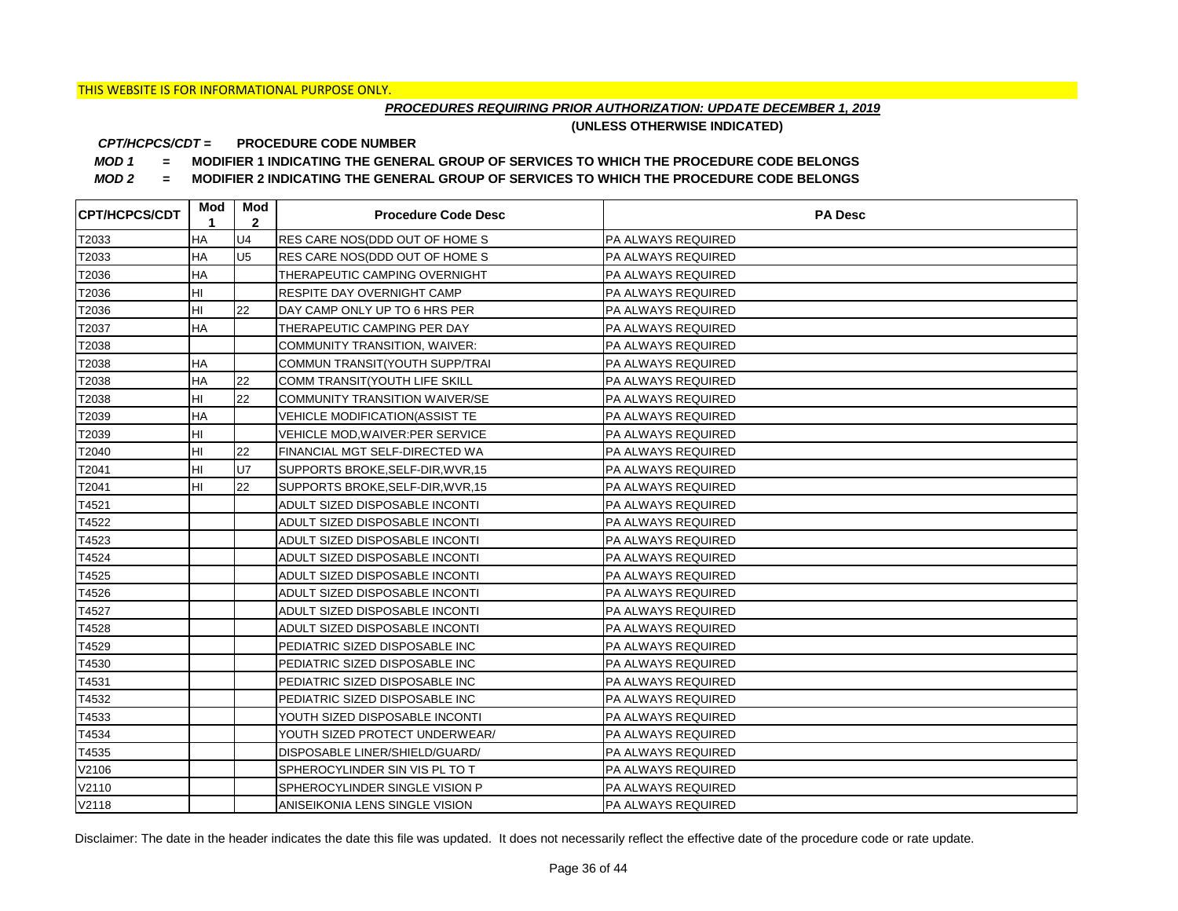# *PROCEDURES REQUIRING PRIOR AUTHORIZATION: UPDATE DECEMBER 1, 2019*

**(UNLESS OTHERWISE INDICATED)**

#### **PROCEDURE CODE NUMBER** *CPT/HCPCS/CDT =*

*MOD 1 =* **MODIFIER 1 INDICATING THE GENERAL GROUP OF SERVICES TO WHICH THE PROCEDURE CODE BELONGS**

*MOD 2 =* **MODIFIER 2 INDICATING THE GENERAL GROUP OF SERVICES TO WHICH THE PROCEDURE CODE BELONGS**

| <b>CPT/HCPCS/CDT</b> | Mod<br>1  | Mod<br>$\mathbf{2}$ | <b>Procedure Code Desc</b>              | <b>PA Desc</b>            |
|----------------------|-----------|---------------------|-----------------------------------------|---------------------------|
| T2033                | ΗA        | U <sub>4</sub>      | RES CARE NOS(DDD OUT OF HOME S          | <b>PA ALWAYS REQUIRED</b> |
| T2033                | HA        | U <sub>5</sub>      | RES CARE NOS(DDD OUT OF HOME S          | <b>PA ALWAYS REQUIRED</b> |
| T2036                | <b>HA</b> |                     | THERAPEUTIC CAMPING OVERNIGHT           | <b>PA ALWAYS REQUIRED</b> |
| T2036                | HI        |                     | RESPITE DAY OVERNIGHT CAMP              | <b>PA ALWAYS REQUIRED</b> |
| T2036                | HI        | 22                  | DAY CAMP ONLY UP TO 6 HRS PER           | PA ALWAYS REQUIRED        |
| T2037                | HA        |                     | THERAPEUTIC CAMPING PER DAY             | <b>PA ALWAYS REQUIRED</b> |
| T2038                |           |                     | COMMUNITY TRANSITION, WAIVER:           | <b>PA ALWAYS REQUIRED</b> |
| T2038                | HA        |                     | COMMUN TRANSIT(YOUTH SUPP/TRAI          | <b>PA ALWAYS REQUIRED</b> |
| T2038                | <b>HA</b> | 22                  | COMM TRANSIT(YOUTH LIFE SKILL           | <b>PA ALWAYS REQUIRED</b> |
| T2038                | HI        | 22                  | COMMUNITY TRANSITION WAIVER/SE          | <b>PA ALWAYS REQUIRED</b> |
| T2039                | HA        |                     | <b>VEHICLE MODIFICATION(ASSIST TE</b>   | PA ALWAYS REQUIRED        |
| T2039                | HI        |                     | <b>VEHICLE MOD, WAIVER: PER SERVICE</b> | <b>PA ALWAYS REQUIRED</b> |
| T2040                | HI        | 22                  | FINANCIAL MGT SELF-DIRECTED WA          | <b>PA ALWAYS REQUIRED</b> |
| T2041                | HI        | U7                  | SUPPORTS BROKE, SELF-DIR, WVR, 15       | <b>PA ALWAYS REQUIRED</b> |
| T2041                | HI        | 22                  | SUPPORTS BROKE, SELF-DIR, WVR, 15       | PA ALWAYS REQUIRED        |
| T4521                |           |                     | ADULT SIZED DISPOSABLE INCONTI          | PA ALWAYS REQUIRED        |
| T4522                |           |                     | ADULT SIZED DISPOSABLE INCONTI          | PA ALWAYS REQUIRED        |
| T4523                |           |                     | ADULT SIZED DISPOSABLE INCONTI          | PA ALWAYS REQUIRED        |
| T4524                |           |                     | ADULT SIZED DISPOSABLE INCONTI          | PA ALWAYS REQUIRED        |
| T4525                |           |                     | ADULT SIZED DISPOSABLE INCONTI          | <b>PA ALWAYS REQUIRED</b> |
| T4526                |           |                     | ADULT SIZED DISPOSABLE INCONTI          | PA ALWAYS REQUIRED        |
| T4527                |           |                     | ADULT SIZED DISPOSABLE INCONTI          | PA ALWAYS REQUIRED        |
| T4528                |           |                     | ADULT SIZED DISPOSABLE INCONTI          | PA ALWAYS REQUIRED        |
| T4529                |           |                     | PEDIATRIC SIZED DISPOSABLE INC          | PA ALWAYS REQUIRED        |
| T4530                |           |                     | PEDIATRIC SIZED DISPOSABLE INC          | <b>PA ALWAYS REQUIRED</b> |
| T4531                |           |                     | PEDIATRIC SIZED DISPOSABLE INC          | PA ALWAYS REQUIRED        |
| T4532                |           |                     | PEDIATRIC SIZED DISPOSABLE INC          | PA ALWAYS REQUIRED        |
| T4533                |           |                     | YOUTH SIZED DISPOSABLE INCONTI          | PA ALWAYS REQUIRED        |
| T4534                |           |                     | YOUTH SIZED PROTECT UNDERWEAR/          | PA ALWAYS REQUIRED        |
| T4535                |           |                     | DISPOSABLE LINER/SHIELD/GUARD/          | PA ALWAYS REQUIRED        |
| V2106                |           |                     | SPHEROCYLINDER SIN VIS PL TO T          | PA ALWAYS REQUIRED        |
| V2110                |           |                     | SPHEROCYLINDER SINGLE VISION P          | PA ALWAYS REQUIRED        |
| V2118                |           |                     | ANISEIKONIA LENS SINGLE VISION          | <b>PA ALWAYS REQUIRED</b> |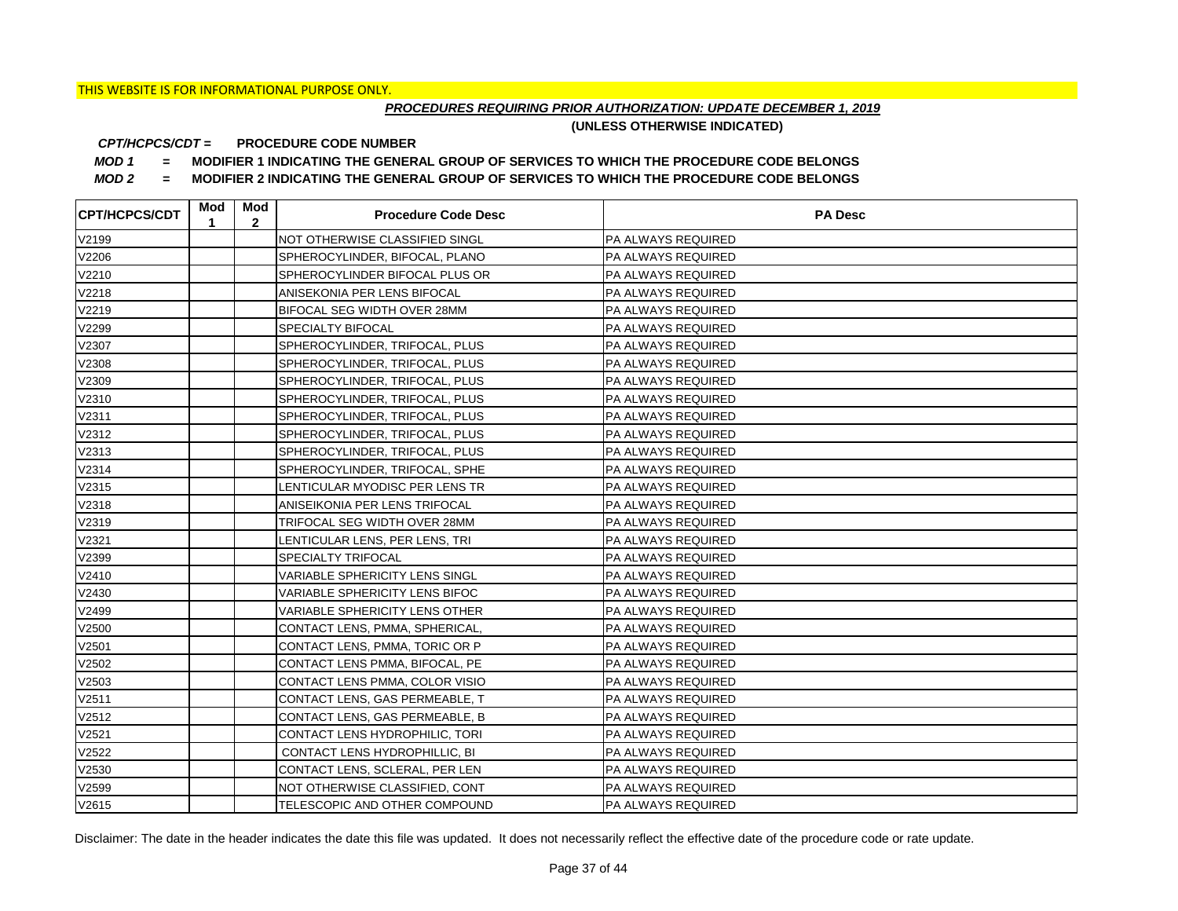# *PROCEDURES REQUIRING PRIOR AUTHORIZATION: UPDATE DECEMBER 1, 2019*

**(UNLESS OTHERWISE INDICATED)**

#### **PROCEDURE CODE NUMBER** *CPT/HCPCS/CDT =*

*MOD 1 =* **MODIFIER 1 INDICATING THE GENERAL GROUP OF SERVICES TO WHICH THE PROCEDURE CODE BELONGS**

*MOD 2 =* **MODIFIER 2 INDICATING THE GENERAL GROUP OF SERVICES TO WHICH THE PROCEDURE CODE BELONGS**

| <b>CPT/HCPCS/CDT</b> | Mod<br>1 | Mod<br>$\mathbf{2}$ | <b>Procedure Code Desc</b>            | <b>PA Desc</b>     |
|----------------------|----------|---------------------|---------------------------------------|--------------------|
| V2199                |          |                     | NOT OTHERWISE CLASSIFIED SINGL        | PA ALWAYS REQUIRED |
| V2206                |          |                     | SPHEROCYLINDER, BIFOCAL, PLANO        | PA ALWAYS REQUIRED |
| V2210                |          |                     | SPHEROCYLINDER BIFOCAL PLUS OR        | PA ALWAYS REQUIRED |
| V2218                |          |                     | ANISEKONIA PER LENS BIFOCAL           | PA ALWAYS REQUIRED |
| V2219                |          |                     | BIFOCAL SEG WIDTH OVER 28MM           | PA ALWAYS REQUIRED |
| V2299                |          |                     | <b>SPECIALTY BIFOCAL</b>              | PA ALWAYS REQUIRED |
| V2307                |          |                     | SPHEROCYLINDER, TRIFOCAL, PLUS        | PA ALWAYS REQUIRED |
| V2308                |          |                     | SPHEROCYLINDER, TRIFOCAL, PLUS        | PA ALWAYS REQUIRED |
| V2309                |          |                     | SPHEROCYLINDER, TRIFOCAL, PLUS        | PA ALWAYS REQUIRED |
| V2310                |          |                     | SPHEROCYLINDER, TRIFOCAL, PLUS        | PA ALWAYS REQUIRED |
| V2311                |          |                     | SPHEROCYLINDER, TRIFOCAL, PLUS        | PA ALWAYS REQUIRED |
| V2312                |          |                     | SPHEROCYLINDER, TRIFOCAL, PLUS        | PA ALWAYS REQUIRED |
| V2313                |          |                     | SPHEROCYLINDER, TRIFOCAL, PLUS        | PA ALWAYS REQUIRED |
| V2314                |          |                     | SPHEROCYLINDER, TRIFOCAL, SPHE        | PA ALWAYS REQUIRED |
| V2315                |          |                     | LENTICULAR MYODISC PER LENS TR        | PA ALWAYS REQUIRED |
| V2318                |          |                     | ANISEIKONIA PER LENS TRIFOCAL         | PA ALWAYS REQUIRED |
| V2319                |          |                     | TRIFOCAL SEG WIDTH OVER 28MM          | PA ALWAYS REQUIRED |
| V2321                |          |                     | LENTICULAR LENS, PER LENS, TRI        | PA ALWAYS REQUIRED |
| V2399                |          |                     | <b>SPECIALTY TRIFOCAL</b>             | PA ALWAYS REQUIRED |
| V2410                |          |                     | <b>VARIABLE SPHERICITY LENS SINGL</b> | PA ALWAYS REQUIRED |
| V2430                |          |                     | VARIABLE SPHERICITY LENS BIFOC        | PA ALWAYS REQUIRED |
| V2499                |          |                     | <b>VARIABLE SPHERICITY LENS OTHER</b> | PA ALWAYS REQUIRED |
| V2500                |          |                     | CONTACT LENS, PMMA, SPHERICAL,        | PA ALWAYS REQUIRED |
| V2501                |          |                     | CONTACT LENS, PMMA, TORIC OR P        | PA ALWAYS REQUIRED |
| V2502                |          |                     | CONTACT LENS PMMA, BIFOCAL, PE        | PA ALWAYS REQUIRED |
| V2503                |          |                     | CONTACT LENS PMMA, COLOR VISIO        | PA ALWAYS REQUIRED |
| V2511                |          |                     | CONTACT LENS, GAS PERMEABLE, T        | PA ALWAYS REQUIRED |
| V2512                |          |                     | CONTACT LENS, GAS PERMEABLE, B        | PA ALWAYS REQUIRED |
| V2521                |          |                     | CONTACT LENS HYDROPHILIC, TORI        | PA ALWAYS REQUIRED |
| V2522                |          |                     | CONTACT LENS HYDROPHILLIC, BI         | PA ALWAYS REQUIRED |
| V2530                |          |                     | CONTACT LENS, SCLERAL, PER LEN        | PA ALWAYS REQUIRED |
| V2599                |          |                     | NOT OTHERWISE CLASSIFIED, CONT        | PA ALWAYS REQUIRED |
| V2615                |          |                     | TELESCOPIC AND OTHER COMPOUND         | PA ALWAYS REQUIRED |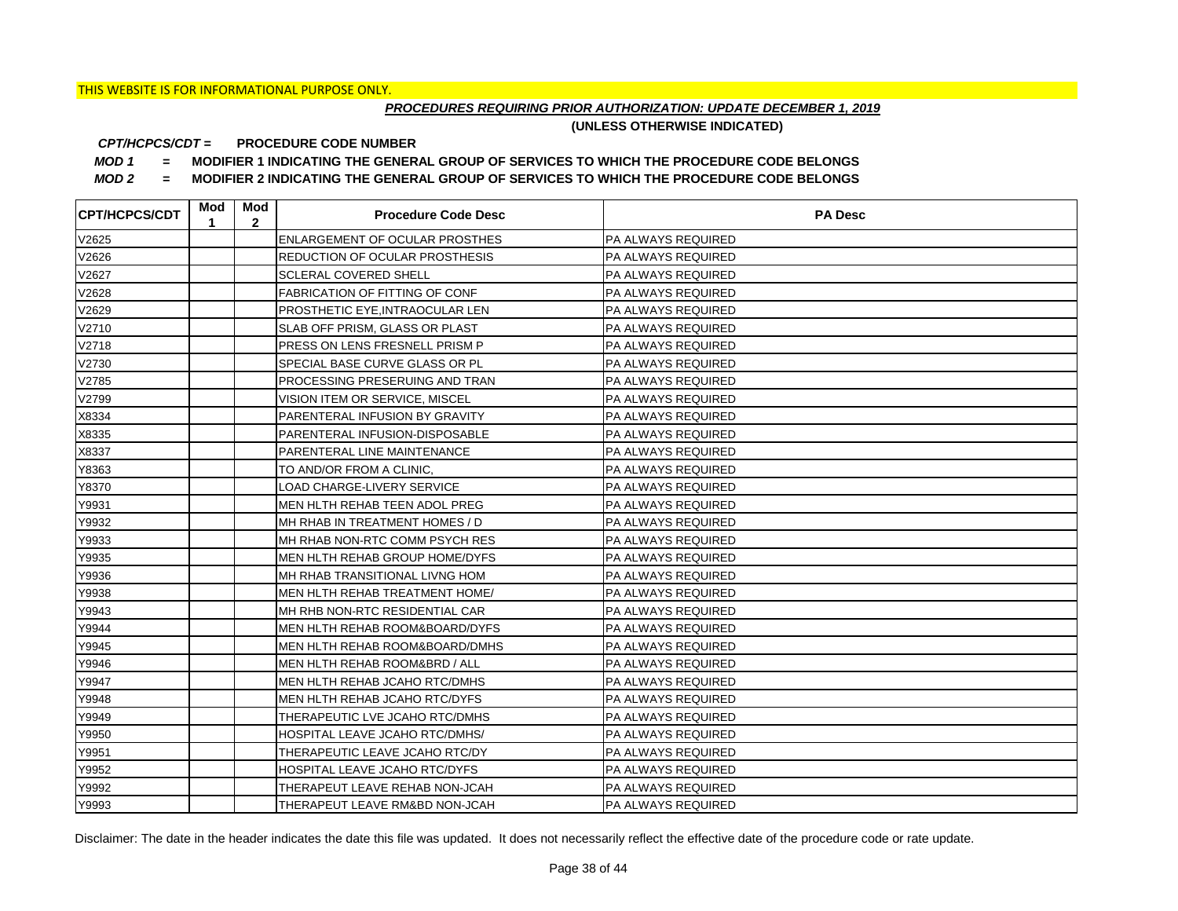# *PROCEDURES REQUIRING PRIOR AUTHORIZATION: UPDATE DECEMBER 1, 2019*

**(UNLESS OTHERWISE INDICATED)**

#### **PROCEDURE CODE NUMBER** *CPT/HCPCS/CDT =*

*MOD 1 =* **MODIFIER 1 INDICATING THE GENERAL GROUP OF SERVICES TO WHICH THE PROCEDURE CODE BELONGS**

*MOD 2 =* **MODIFIER 2 INDICATING THE GENERAL GROUP OF SERVICES TO WHICH THE PROCEDURE CODE BELONGS**

| <b>CPT/HCPCS/CDT</b> | Mod<br>1 | Mod<br>$\mathbf{2}$ | <b>Procedure Code Desc</b>            | <b>PA Desc</b>            |
|----------------------|----------|---------------------|---------------------------------------|---------------------------|
| V2625                |          |                     | <b>ENLARGEMENT OF OCULAR PROSTHES</b> | PA ALWAYS REQUIRED        |
| V2626                |          |                     | REDUCTION OF OCULAR PROSTHESIS        | <b>PA ALWAYS REQUIRED</b> |
| V2627                |          |                     | <b>SCLERAL COVERED SHELL</b>          | <b>PA ALWAYS REQUIRED</b> |
| V2628                |          |                     | FABRICATION OF FITTING OF CONF        | <b>PA ALWAYS REQUIRED</b> |
| V2629                |          |                     | PROSTHETIC EYE, INTRAOCULAR LEN       | PA ALWAYS REQUIRED        |
| V2710                |          |                     | SLAB OFF PRISM, GLASS OR PLAST        | PA ALWAYS REQUIRED        |
| V2718                |          |                     | PRESS ON LENS FRESNELL PRISM P        | PA ALWAYS REQUIRED        |
| V2730                |          |                     | SPECIAL BASE CURVE GLASS OR PL        | PA ALWAYS REQUIRED        |
| V2785                |          |                     | PROCESSING PRESERUING AND TRAN        | PA ALWAYS REQUIRED        |
| V2799                |          |                     | VISION ITEM OR SERVICE, MISCEL        | <b>PA ALWAYS REQUIRED</b> |
| X8334                |          |                     | PARENTERAL INFUSION BY GRAVITY        | PA ALWAYS REQUIRED        |
| X8335                |          |                     | PARENTERAL INFUSION-DISPOSABLE        | PA ALWAYS REQUIRED        |
| X8337                |          |                     | PARENTERAL LINE MAINTENANCE           | PA ALWAYS REQUIRED        |
| Y8363                |          |                     | TO AND/OR FROM A CLINIC,              | <b>PA ALWAYS REQUIRED</b> |
| Y8370                |          |                     | <b>LOAD CHARGE-LIVERY SERVICE</b>     | <b>PA ALWAYS REQUIRED</b> |
| Y9931                |          |                     | MEN HLTH REHAB TEEN ADOL PREG         | <b>PA ALWAYS REQUIRED</b> |
| Y9932                |          |                     | MH RHAB IN TREATMENT HOMES / D        | PA ALWAYS REQUIRED        |
| Y9933                |          |                     | MH RHAB NON-RTC COMM PSYCH RES        | <b>PA ALWAYS REQUIRED</b> |
| Y9935                |          |                     | MEN HLTH REHAB GROUP HOME/DYFS        | <b>PA ALWAYS REQUIRED</b> |
| Y9936                |          |                     | MH RHAB TRANSITIONAL LIVNG HOM        | <b>PA ALWAYS REQUIRED</b> |
| Y9938                |          |                     | MEN HLTH REHAB TREATMENT HOME/        | <b>PA ALWAYS REQUIRED</b> |
| Y9943                |          |                     | MH RHB NON-RTC RESIDENTIAL CAR        | <b>PA ALWAYS REQUIRED</b> |
| Y9944                |          |                     | MEN HLTH REHAB ROOM&BOARD/DYFS        | <b>PA ALWAYS REQUIRED</b> |
| Y9945                |          |                     | MEN HLTH REHAB ROOM&BOARD/DMHS        | PA ALWAYS REQUIRED        |
| Y9946                |          |                     | MEN HLTH REHAB ROOM&BRD / ALL         | <b>PA ALWAYS REQUIRED</b> |
| Y9947                |          |                     | MEN HLTH REHAB JCAHO RTC/DMHS         | <b>PA ALWAYS REQUIRED</b> |
| Y9948                |          |                     | MEN HLTH REHAB JCAHO RTC/DYFS         | <b>PA ALWAYS REQUIRED</b> |
| Y9949                |          |                     | THERAPEUTIC LVE JCAHO RTC/DMHS        | <b>PA ALWAYS REQUIRED</b> |
| Y9950                |          |                     | HOSPITAL LEAVE JCAHO RTC/DMHS/        | <b>PA ALWAYS REQUIRED</b> |
| Y9951                |          |                     | THERAPEUTIC LEAVE JCAHO RTC/DY        | PA ALWAYS REQUIRED        |
| Y9952                |          |                     | HOSPITAL LEAVE JCAHO RTC/DYFS         | PA ALWAYS REQUIRED        |
| Y9992                |          |                     | THERAPEUT LEAVE REHAB NON-JCAH        | <b>PA ALWAYS REQUIRED</b> |
| Y9993                |          |                     | THERAPEUT LEAVE RM&BD NON-JCAH        | <b>PA ALWAYS REQUIRED</b> |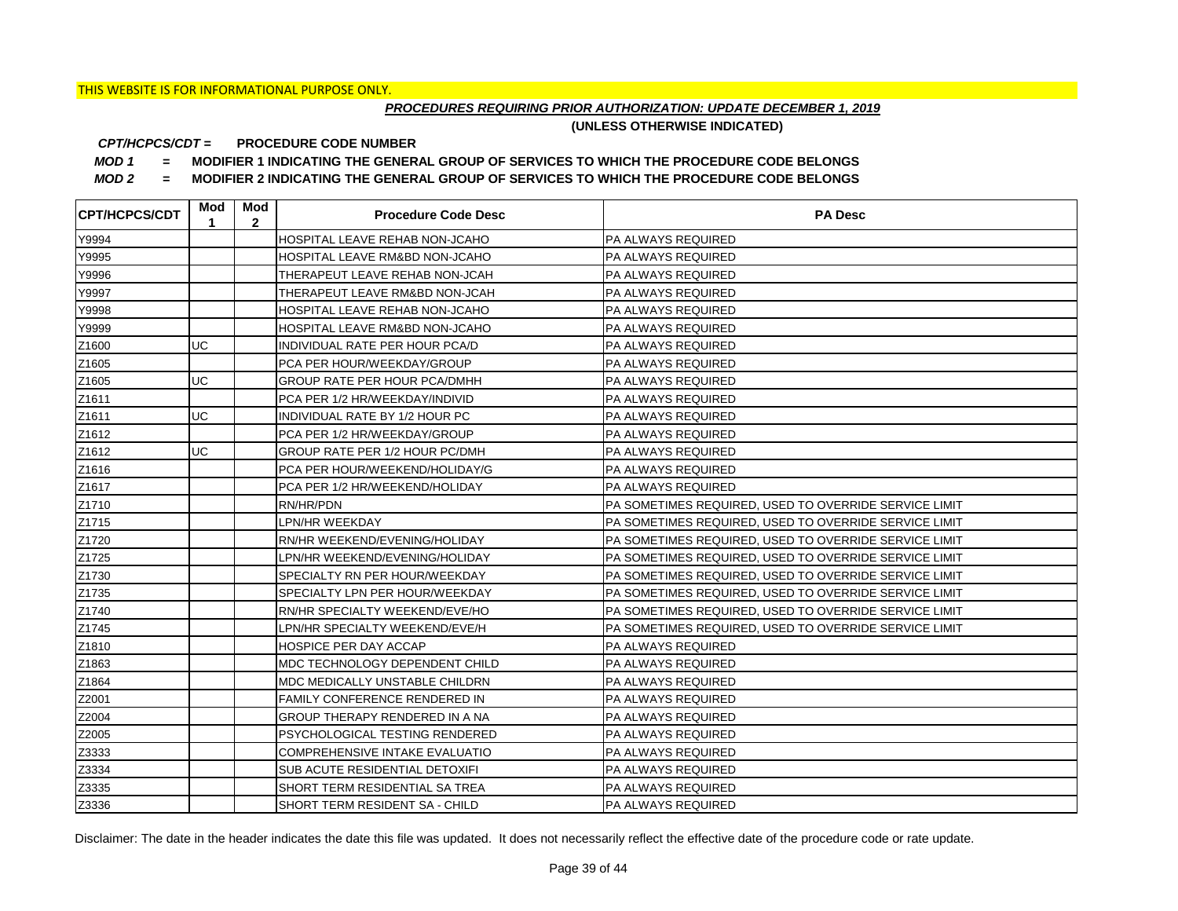# *PROCEDURES REQUIRING PRIOR AUTHORIZATION: UPDATE DECEMBER 1, 2019*

**(UNLESS OTHERWISE INDICATED)**

#### **PROCEDURE CODE NUMBER** *CPT/HCPCS/CDT =*

*MOD 1 =* **MODIFIER 1 INDICATING THE GENERAL GROUP OF SERVICES TO WHICH THE PROCEDURE CODE BELONGS**

*MOD 2 =* **MODIFIER 2 INDICATING THE GENERAL GROUP OF SERVICES TO WHICH THE PROCEDURE CODE BELONGS**

| <b>CPT/HCPCS/CDT</b> | Mod<br>1 | Mod<br>$\mathbf{2}$ | <b>Procedure Code Desc</b>          | <b>PA Desc</b>                                        |
|----------------------|----------|---------------------|-------------------------------------|-------------------------------------------------------|
| Y9994                |          |                     | HOSPITAL LEAVE REHAB NON-JCAHO      | <b>PA ALWAYS REQUIRED</b>                             |
| Y9995                |          |                     | HOSPITAL LEAVE RM&BD NON-JCAHO      | <b>PA ALWAYS REQUIRED</b>                             |
| Y9996                |          |                     | THERAPEUT LEAVE REHAB NON-JCAH      | <b>PA ALWAYS REQUIRED</b>                             |
| Y9997                |          |                     | THERAPEUT LEAVE RM&BD NON-JCAH      | <b>PA ALWAYS REQUIRED</b>                             |
| Y9998                |          |                     | HOSPITAL LEAVE REHAB NON-JCAHO      | PA ALWAYS REQUIRED                                    |
| Y9999                |          |                     | HOSPITAL LEAVE RM&BD NON-JCAHO      | PA ALWAYS REQUIRED                                    |
| Z1600                | UC       |                     | INDIVIDUAL RATE PER HOUR PCA/D      | <b>PA ALWAYS REQUIRED</b>                             |
| Z1605                |          |                     | PCA PER HOUR/WEEKDAY/GROUP          | <b>PA ALWAYS REQUIRED</b>                             |
| Z1605                | UC       |                     | <b>GROUP RATE PER HOUR PCA/DMHH</b> | <b>PA ALWAYS REQUIRED</b>                             |
| Z1611                |          |                     | PCA PER 1/2 HR/WEEKDAY/INDIVID      | <b>PA ALWAYS REQUIRED</b>                             |
| Z1611                | UC       |                     | INDIVIDUAL RATE BY 1/2 HOUR PC      | PA ALWAYS REQUIRED                                    |
| Z1612                |          |                     | PCA PER 1/2 HR/WEEKDAY/GROUP        | <b>PA ALWAYS REQUIRED</b>                             |
| Z1612                | UC       |                     | GROUP RATE PER 1/2 HOUR PC/DMH      | <b>PA ALWAYS REQUIRED</b>                             |
| Z1616                |          |                     | PCA PER HOUR/WEEKEND/HOLIDAY/G      | <b>PA ALWAYS REQUIRED</b>                             |
| Z1617                |          |                     | PCA PER 1/2 HR/WEEKEND/HOLIDAY      | PA ALWAYS REQUIRED                                    |
| Z1710                |          |                     | RN/HR/PDN                           | PA SOMETIMES REQUIRED, USED TO OVERRIDE SERVICE LIMIT |
| Z1715                |          |                     | LPN/HR WEEKDAY                      | PA SOMETIMES REQUIRED, USED TO OVERRIDE SERVICE LIMIT |
| Z1720                |          |                     | RN/HR WEEKEND/EVENING/HOLIDAY       | PA SOMETIMES REQUIRED, USED TO OVERRIDE SERVICE LIMIT |
| Z1725                |          |                     | LPN/HR WEEKEND/EVENING/HOLIDAY      | PA SOMETIMES REQUIRED, USED TO OVERRIDE SERVICE LIMIT |
| Z1730                |          |                     | SPECIALTY RN PER HOUR/WEEKDAY       | PA SOMETIMES REQUIRED, USED TO OVERRIDE SERVICE LIMIT |
| Z1735                |          |                     | SPECIALTY LPN PER HOUR/WEEKDAY      | PA SOMETIMES REQUIRED, USED TO OVERRIDE SERVICE LIMIT |
| Z1740                |          |                     | RN/HR SPECIALTY WEEKEND/EVE/HO      | PA SOMETIMES REQUIRED, USED TO OVERRIDE SERVICE LIMIT |
| Z1745                |          |                     | LPN/HR SPECIALTY WEEKEND/EVE/H      | PA SOMETIMES REQUIRED, USED TO OVERRIDE SERVICE LIMIT |
| Z1810                |          |                     | HOSPICE PER DAY ACCAP               | PA ALWAYS REQUIRED                                    |
| Z1863                |          |                     | MDC TECHNOLOGY DEPENDENT CHILD      | <b>PA ALWAYS REQUIRED</b>                             |
| Z1864                |          |                     | MDC MEDICALLY UNSTABLE CHILDRN      | PA ALWAYS REQUIRED                                    |
| Z2001                |          |                     | FAMILY CONFERENCE RENDERED IN       | PA ALWAYS REQUIRED                                    |
| Z2004                |          |                     | GROUP THERAPY RENDERED IN A NA      | PA ALWAYS REQUIRED                                    |
| Z2005                |          |                     | PSYCHOLOGICAL TESTING RENDERED      | PA ALWAYS REQUIRED                                    |
| Z3333                |          |                     | COMPREHENSIVE INTAKE EVALUATIO      | PA ALWAYS REQUIRED                                    |
| Z3334                |          |                     | SUB ACUTE RESIDENTIAL DETOXIFI      | PA ALWAYS REQUIRED                                    |
| Z3335                |          |                     | SHORT TERM RESIDENTIAL SA TREA      | <b>PA ALWAYS REQUIRED</b>                             |
| Z3336                |          |                     | SHORT TERM RESIDENT SA - CHILD      | PA ALWAYS REQUIRED                                    |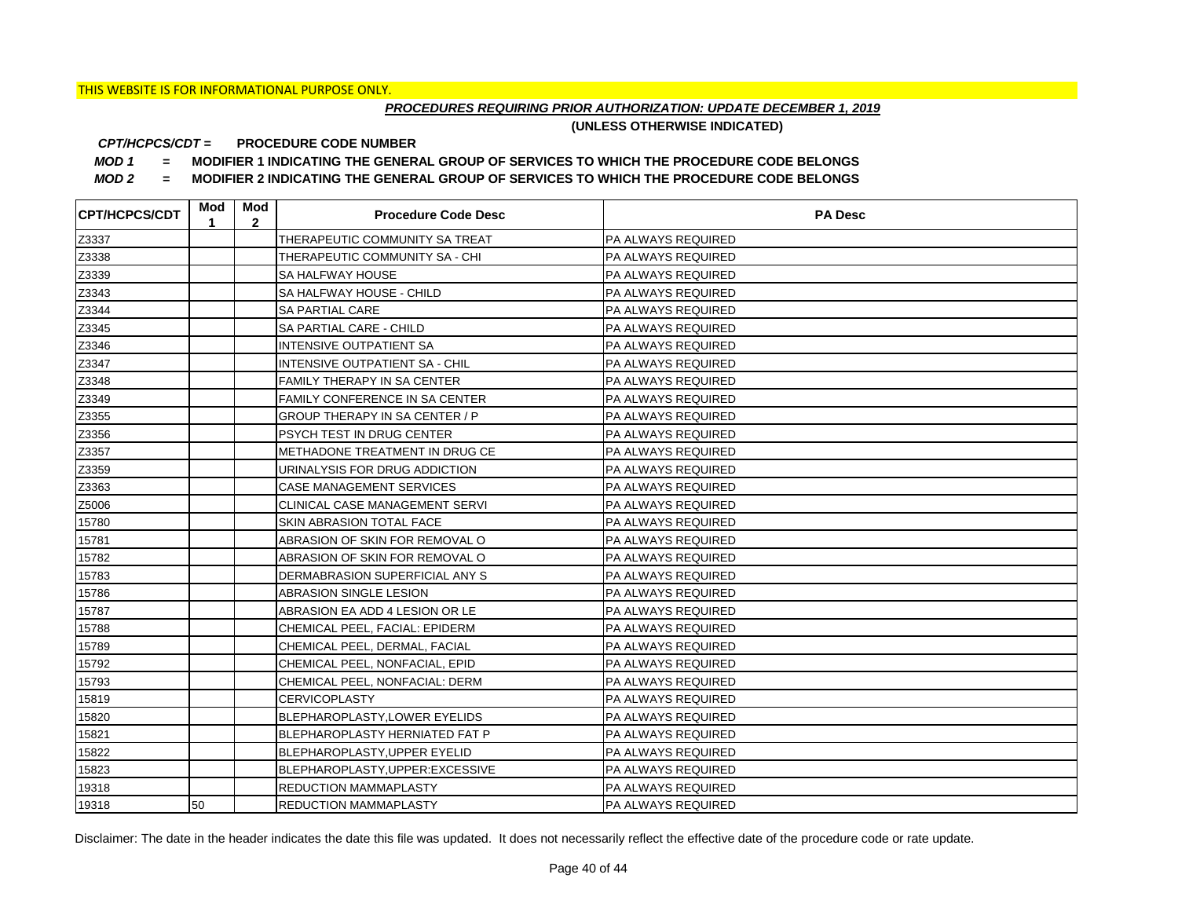# *PROCEDURES REQUIRING PRIOR AUTHORIZATION: UPDATE DECEMBER 1, 2019*

**(UNLESS OTHERWISE INDICATED)**

#### **PROCEDURE CODE NUMBER** *CPT/HCPCS/CDT =*

*MOD 1 =* **MODIFIER 1 INDICATING THE GENERAL GROUP OF SERVICES TO WHICH THE PROCEDURE CODE BELONGS**

*MOD 2 =* **MODIFIER 2 INDICATING THE GENERAL GROUP OF SERVICES TO WHICH THE PROCEDURE CODE BELONGS**

| <b>CPT/HCPCS/CDT</b> | Mod<br>1 | Mod<br>$\mathbf{2}$ | <b>Procedure Code Desc</b>            | <b>PA Desc</b>            |
|----------------------|----------|---------------------|---------------------------------------|---------------------------|
| Z3337                |          |                     | THERAPEUTIC COMMUNITY SA TREAT        | PA ALWAYS REQUIRED        |
| Z3338                |          |                     | THERAPEUTIC COMMUNITY SA - CHI        | <b>PA ALWAYS REQUIRED</b> |
| Z3339                |          |                     | <b>SA HALFWAY HOUSE</b>               | PA ALWAYS REQUIRED        |
| Z3343                |          |                     | SA HALFWAY HOUSE - CHILD              | PA ALWAYS REQUIRED        |
| Z3344                |          |                     | <b>SA PARTIAL CARE</b>                | PA ALWAYS REQUIRED        |
| Z3345                |          |                     | SA PARTIAL CARE - CHILD               | PA ALWAYS REQUIRED        |
| Z3346                |          |                     | <b>INTENSIVE OUTPATIENT SA</b>        | PA ALWAYS REQUIRED        |
| Z3347                |          |                     | INTENSIVE OUTPATIENT SA - CHIL        | PA ALWAYS REQUIRED        |
| Z3348                |          |                     | FAMILY THERAPY IN SA CENTER           | PA ALWAYS REQUIRED        |
| Z3349                |          |                     | FAMILY CONFERENCE IN SA CENTER        | PA ALWAYS REQUIRED        |
| Z3355                |          |                     | GROUP THERAPY IN SA CENTER / P        | PA ALWAYS REQUIRED        |
| Z3356                |          |                     | PSYCH TEST IN DRUG CENTER             | PA ALWAYS REQUIRED        |
| Z3357                |          |                     | METHADONE TREATMENT IN DRUG CE        | PA ALWAYS REQUIRED        |
| Z3359                |          |                     | URINALYSIS FOR DRUG ADDICTION         | PA ALWAYS REQUIRED        |
| Z3363                |          |                     | <b>CASE MANAGEMENT SERVICES</b>       | PA ALWAYS REQUIRED        |
| Z5006                |          |                     | CLINICAL CASE MANAGEMENT SERVI        | PA ALWAYS REQUIRED        |
| 15780                |          |                     | SKIN ABRASION TOTAL FACE              | PA ALWAYS REQUIRED        |
| 15781                |          |                     | ABRASION OF SKIN FOR REMOVAL O        | PA ALWAYS REQUIRED        |
| 15782                |          |                     | ABRASION OF SKIN FOR REMOVAL O        | PA ALWAYS REQUIRED        |
| 15783                |          |                     | DERMABRASION SUPERFICIAL ANY S        | PA ALWAYS REQUIRED        |
| 15786                |          |                     | <b>ABRASION SINGLE LESION</b>         | PA ALWAYS REQUIRED        |
| 15787                |          |                     | ABRASION EA ADD 4 LESION OR LE        | PA ALWAYS REQUIRED        |
| 15788                |          |                     | CHEMICAL PEEL, FACIAL: EPIDERM        | PA ALWAYS REQUIRED        |
| 15789                |          |                     | CHEMICAL PEEL, DERMAL, FACIAL         | PA ALWAYS REQUIRED        |
| 15792                |          |                     | CHEMICAL PEEL, NONFACIAL, EPID        | PA ALWAYS REQUIRED        |
| 15793                |          |                     | CHEMICAL PEEL, NONFACIAL: DERM        | PA ALWAYS REQUIRED        |
| 15819                |          |                     | <b>CERVICOPLASTY</b>                  | PA ALWAYS REQUIRED        |
| 15820                |          |                     | BLEPHAROPLASTY, LOWER EYELIDS         | PA ALWAYS REQUIRED        |
| 15821                |          |                     | <b>BLEPHAROPLASTY HERNIATED FAT P</b> | PA ALWAYS REQUIRED        |
| 15822                |          |                     | BLEPHAROPLASTY, UPPER EYELID          | PA ALWAYS REQUIRED        |
| 15823                |          |                     | BLEPHAROPLASTY, UPPER: EXCESSIVE      | PA ALWAYS REQUIRED        |
| 19318                |          |                     | <b>REDUCTION MAMMAPLASTY</b>          | PA ALWAYS REQUIRED        |
| 19318                | 50       |                     | <b>REDUCTION MAMMAPLASTY</b>          | <b>PA ALWAYS REQUIRED</b> |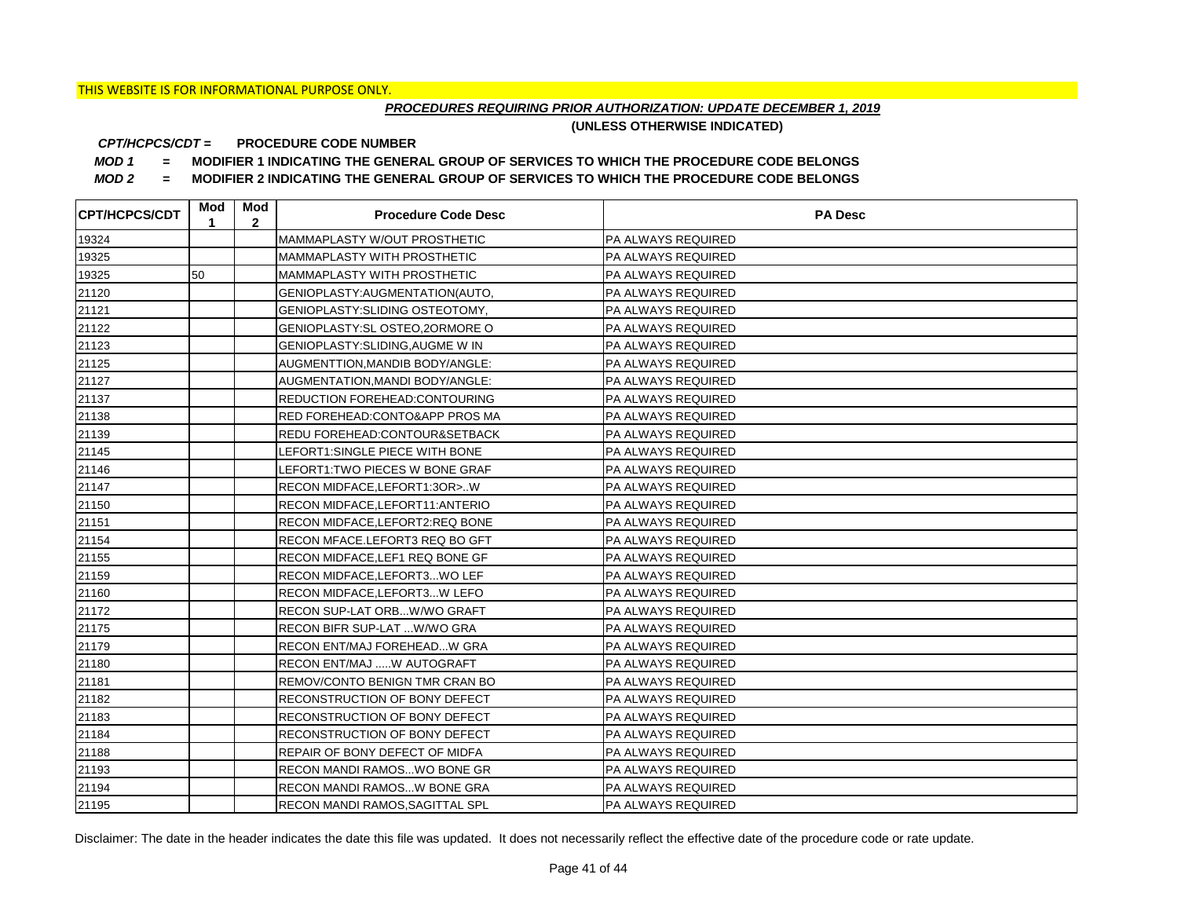# *PROCEDURES REQUIRING PRIOR AUTHORIZATION: UPDATE DECEMBER 1, 2019*

**(UNLESS OTHERWISE INDICATED)**

#### **PROCEDURE CODE NUMBER** *CPT/HCPCS/CDT =*

*MOD 1 =* **MODIFIER 1 INDICATING THE GENERAL GROUP OF SERVICES TO WHICH THE PROCEDURE CODE BELONGS**

*MOD 2 =* **MODIFIER 2 INDICATING THE GENERAL GROUP OF SERVICES TO WHICH THE PROCEDURE CODE BELONGS**

| <b>CPT/HCPCS/CDT</b> | Mod<br>1 | Mod<br>$\mathbf{2}$ | <b>Procedure Code Desc</b>       | <b>PA Desc</b>            |
|----------------------|----------|---------------------|----------------------------------|---------------------------|
| 19324                |          |                     | MAMMAPLASTY W/OUT PROSTHETIC     | <b>PA ALWAYS REQUIRED</b> |
| 19325                |          |                     | MAMMAPLASTY WITH PROSTHETIC      | <b>PA ALWAYS REQUIRED</b> |
| 19325                | 50       |                     | MAMMAPLASTY WITH PROSTHETIC      | <b>PA ALWAYS REQUIRED</b> |
| 21120                |          |                     | GENIOPLASTY: AUGMENTATION (AUTO, | <b>PA ALWAYS REQUIRED</b> |
| 21121                |          |                     | GENIOPLASTY: SLIDING OSTEOTOMY,  | PA ALWAYS REQUIRED        |
| 21122                |          |                     | GENIOPLASTY: SL OSTEO, 20RMORE O | PA ALWAYS REQUIRED        |
| 21123                |          |                     | GENIOPLASTY: SLIDING, AUGME W IN | <b>PA ALWAYS REQUIRED</b> |
| 21125                |          |                     | AUGMENTTION, MANDIB BODY/ANGLE:  | <b>PA ALWAYS REQUIRED</b> |
| 21127                |          |                     | AUGMENTATION, MANDI BODY/ANGLE:  | <b>PA ALWAYS REQUIRED</b> |
| 21137                |          |                     | REDUCTION FOREHEAD:CONTOURING    | <b>PA ALWAYS REQUIRED</b> |
| 21138                |          |                     | RED FOREHEAD: CONTO&APP PROS MA  | PA ALWAYS REQUIRED        |
| 21139                |          |                     | REDU FOREHEAD: CONTOUR& SETBACK  | <b>PA ALWAYS REQUIRED</b> |
| 21145                |          |                     | LEFORT1:SINGLE PIECE WITH BONE   | <b>PA ALWAYS REQUIRED</b> |
| 21146                |          |                     | LEFORT1: TWO PIECES W BONE GRAF  | <b>PA ALWAYS REQUIRED</b> |
| 21147                |          |                     | RECON MIDFACE, LEFORT1:30R>W     | PA ALWAYS REQUIRED        |
| 21150                |          |                     | RECON MIDFACE, LEFORT11: ANTERIO | PA ALWAYS REQUIRED        |
| 21151                |          |                     | RECON MIDFACE, LEFORT2: REQ BONE | PA ALWAYS REQUIRED        |
| 21154                |          |                     | RECON MFACE.LEFORT3 REQ BO GFT   | PA ALWAYS REQUIRED        |
| 21155                |          |                     | RECON MIDFACE, LEF1 REQ BONE GF  | PA ALWAYS REQUIRED        |
| 21159                |          |                     | RECON MIDFACE, LEFORT3 WO LEF    | PA ALWAYS REQUIRED        |
| 21160                |          |                     | RECON MIDFACE, LEFORT3W LEFO     | PA ALWAYS REQUIRED        |
| 21172                |          |                     | RECON SUP-LAT ORBW/WO GRAFT      | PA ALWAYS REQUIRED        |
| 21175                |          |                     | RECON BIFR SUP-LAT W/WO GRA      | PA ALWAYS REQUIRED        |
| 21179                |          |                     | RECON ENT/MAJ FOREHEADW GRA      | PA ALWAYS REQUIRED        |
| 21180                |          |                     | RECON ENT/MAJ W AUTOGRAFT        | <b>PA ALWAYS REQUIRED</b> |
| 21181                |          |                     | REMOV/CONTO BENIGN TMR CRAN BO   | PA ALWAYS REQUIRED        |
| 21182                |          |                     | RECONSTRUCTION OF BONY DEFECT    | PA ALWAYS REQUIRED        |
| 21183                |          |                     | RECONSTRUCTION OF BONY DEFECT    | PA ALWAYS REQUIRED        |
| 21184                |          |                     | RECONSTRUCTION OF BONY DEFECT    | PA ALWAYS REQUIRED        |
| 21188                |          |                     | REPAIR OF BONY DEFECT OF MIDFA   | PA ALWAYS REQUIRED        |
| 21193                |          |                     | RECON MANDI RAMOSWO BONE GR      | PA ALWAYS REQUIRED        |
| 21194                |          |                     | RECON MANDI RAMOS  W BONE GRA    | PA ALWAYS REQUIRED        |
| 21195                |          |                     | RECON MANDI RAMOS, SAGITTAL SPL  | <b>PA ALWAYS REQUIRED</b> |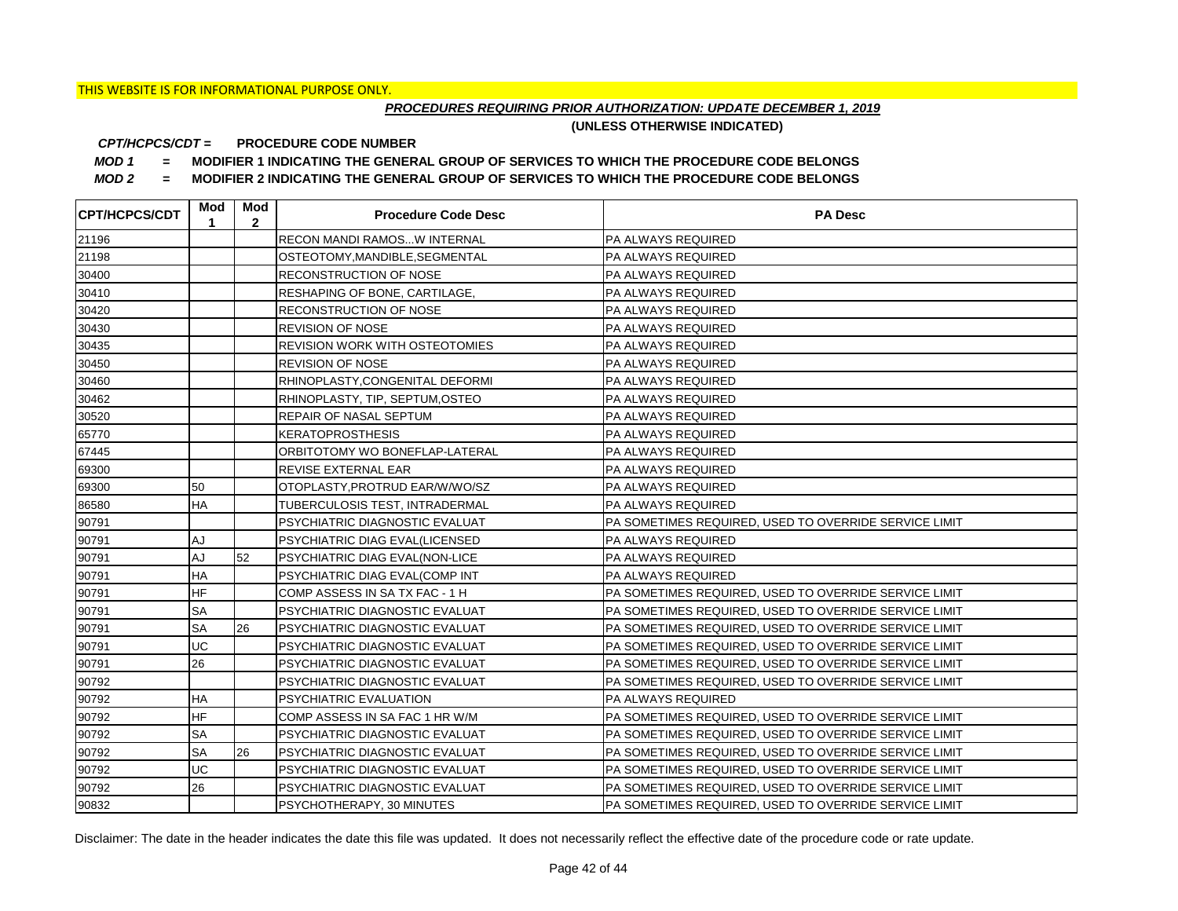# *PROCEDURES REQUIRING PRIOR AUTHORIZATION: UPDATE DECEMBER 1, 2019*

**(UNLESS OTHERWISE INDICATED)**

#### **PROCEDURE CODE NUMBER** *CPT/HCPCS/CDT =*

*MOD 1 =* **MODIFIER 1 INDICATING THE GENERAL GROUP OF SERVICES TO WHICH THE PROCEDURE CODE BELONGS**

*MOD 2 =* **MODIFIER 2 INDICATING THE GENERAL GROUP OF SERVICES TO WHICH THE PROCEDURE CODE BELONGS**

| <b>CPT/HCPCS/CDT</b> | Mod<br>1  | Mod<br>$\mathbf{2}$ | <b>Procedure Code Desc</b>      | <b>PA Desc</b>                                        |
|----------------------|-----------|---------------------|---------------------------------|-------------------------------------------------------|
| 21196                |           |                     | RECON MANDI RAMOSW INTERNAL     | <b>PA ALWAYS REQUIRED</b>                             |
| 21198                |           |                     | OSTEOTOMY, MANDIBLE, SEGMENTAL  | PA ALWAYS REQUIRED                                    |
| 30400                |           |                     | RECONSTRUCTION OF NOSE          | <b>PA ALWAYS REQUIRED</b>                             |
| 30410                |           |                     | RESHAPING OF BONE, CARTILAGE,   | PA ALWAYS REQUIRED                                    |
| 30420                |           |                     | RECONSTRUCTION OF NOSE          | PA ALWAYS REQUIRED                                    |
| 30430                |           |                     | <b>REVISION OF NOSE</b>         | PA ALWAYS REQUIRED                                    |
| 30435                |           |                     | REVISION WORK WITH OSTEOTOMIES  | <b>PA ALWAYS REQUIRED</b>                             |
| 30450                |           |                     | <b>REVISION OF NOSE</b>         | PA ALWAYS REQUIRED                                    |
| 30460                |           |                     | RHINOPLASTY, CONGENITAL DEFORMI | <b>PA ALWAYS REQUIRED</b>                             |
| 30462                |           |                     | RHINOPLASTY, TIP, SEPTUM, OSTEO | PA ALWAYS REQUIRED                                    |
| 30520                |           |                     | REPAIR OF NASAL SEPTUM          | PA ALWAYS REQUIRED                                    |
| 65770                |           |                     | <b>KERATOPROSTHESIS</b>         | PA ALWAYS REQUIRED                                    |
| 67445                |           |                     | ORBITOTOMY WO BONEFLAP-LATERAL  | <b>PA ALWAYS REQUIRED</b>                             |
| 69300                |           |                     | REVISE EXTERNAL EAR             | <b>PA ALWAYS REQUIRED</b>                             |
| 69300                | 50        |                     | OTOPLASTY, PROTRUD EAR/W/WO/SZ  | <b>PA ALWAYS REQUIRED</b>                             |
| 86580                | <b>HA</b> |                     | TUBERCULOSIS TEST. INTRADERMAL  | <b>PA ALWAYS REQUIRED</b>                             |
| 90791                |           |                     | PSYCHIATRIC DIAGNOSTIC EVALUAT  | PA SOMETIMES REQUIRED, USED TO OVERRIDE SERVICE LIMIT |
| 90791                | AJ        |                     | PSYCHIATRIC DIAG EVAL(LICENSED  | <b>PA ALWAYS REQUIRED</b>                             |
| 90791                | AJ        | 52                  | PSYCHIATRIC DIAG EVAL(NON-LICE  | <b>PA ALWAYS REQUIRED</b>                             |
| 90791                | HA        |                     | PSYCHIATRIC DIAG EVAL(COMP INT  | PA ALWAYS REQUIRED                                    |
| 90791                | <b>HF</b> |                     | COMP ASSESS IN SA TX FAC - 1 H  | PA SOMETIMES REQUIRED, USED TO OVERRIDE SERVICE LIMIT |
| 90791                | <b>SA</b> |                     | PSYCHIATRIC DIAGNOSTIC EVALUAT  | PA SOMETIMES REQUIRED, USED TO OVERRIDE SERVICE LIMIT |
| 90791                | <b>SA</b> | 26                  | PSYCHIATRIC DIAGNOSTIC EVALUAT  | PA SOMETIMES REQUIRED, USED TO OVERRIDE SERVICE LIMIT |
| 90791                | UC        |                     | PSYCHIATRIC DIAGNOSTIC EVALUAT  | PA SOMETIMES REQUIRED, USED TO OVERRIDE SERVICE LIMIT |
| 90791                | 26        |                     | PSYCHIATRIC DIAGNOSTIC EVALUAT  | PA SOMETIMES REQUIRED, USED TO OVERRIDE SERVICE LIMIT |
| 90792                |           |                     | PSYCHIATRIC DIAGNOSTIC EVALUAT  | PA SOMETIMES REQUIRED, USED TO OVERRIDE SERVICE LIMIT |
| 90792                | HA        |                     | PSYCHIATRIC EVALUATION          | PA ALWAYS REQUIRED                                    |
| 90792                | <b>HF</b> |                     | COMP ASSESS IN SA FAC 1 HR W/M  | PA SOMETIMES REQUIRED, USED TO OVERRIDE SERVICE LIMIT |
| 90792                | <b>SA</b> |                     | PSYCHIATRIC DIAGNOSTIC EVALUAT  | PA SOMETIMES REQUIRED, USED TO OVERRIDE SERVICE LIMIT |
| 90792                | <b>SA</b> | 26                  | PSYCHIATRIC DIAGNOSTIC EVALUAT  | PA SOMETIMES REQUIRED, USED TO OVERRIDE SERVICE LIMIT |
| 90792                | UC        |                     | PSYCHIATRIC DIAGNOSTIC EVALUAT  | PA SOMETIMES REQUIRED, USED TO OVERRIDE SERVICE LIMIT |
| 90792                | 26        |                     | PSYCHIATRIC DIAGNOSTIC EVALUAT  | PA SOMETIMES REQUIRED, USED TO OVERRIDE SERVICE LIMIT |
| 90832                |           |                     | PSYCHOTHERAPY, 30 MINUTES       | PA SOMETIMES REQUIRED, USED TO OVERRIDE SERVICE LIMIT |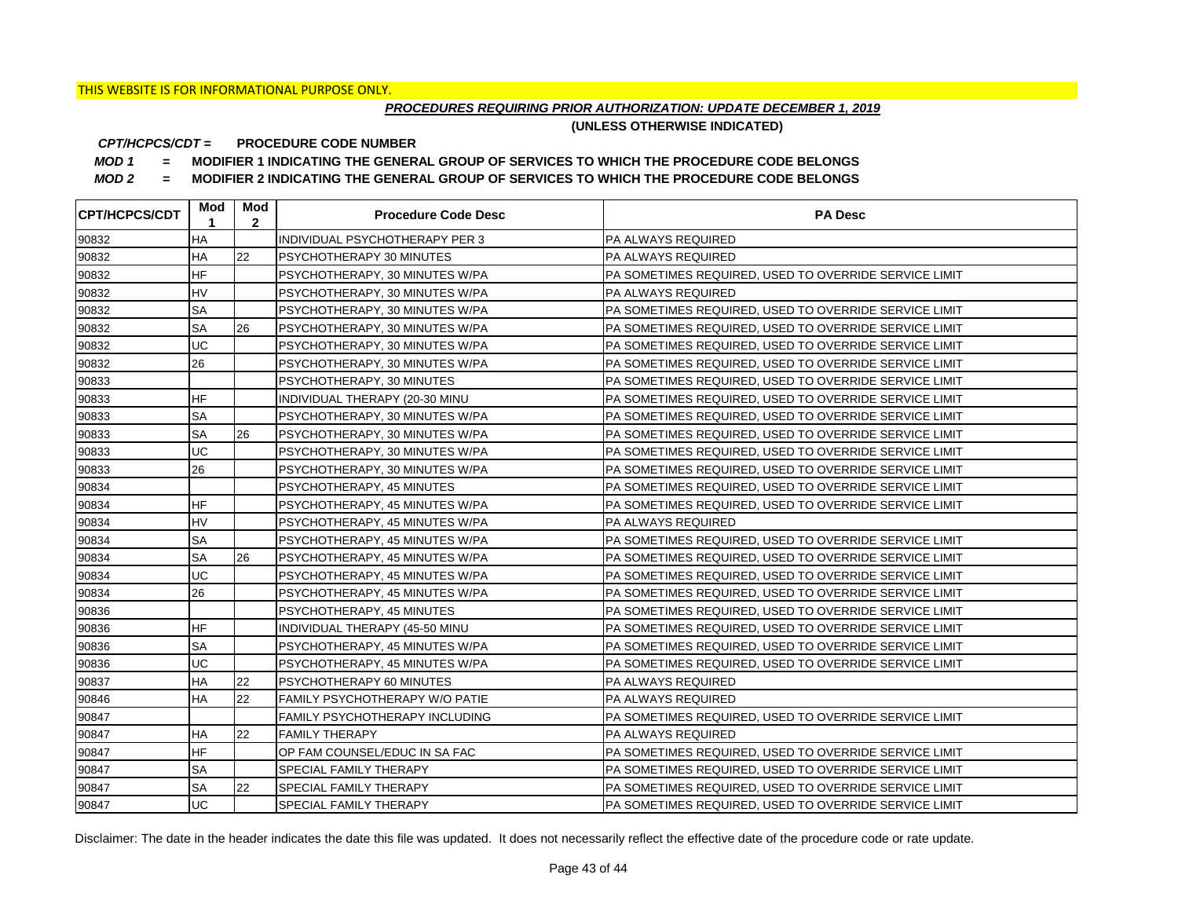# *PROCEDURES REQUIRING PRIOR AUTHORIZATION: UPDATE DECEMBER 1, 2019*

**(UNLESS OTHERWISE INDICATED)**

#### **PROCEDURE CODE NUMBER** *CPT/HCPCS/CDT =*

*MOD 1 =* **MODIFIER 1 INDICATING THE GENERAL GROUP OF SERVICES TO WHICH THE PROCEDURE CODE BELONGS**

*MOD 2 =* **MODIFIER 2 INDICATING THE GENERAL GROUP OF SERVICES TO WHICH THE PROCEDURE CODE BELONGS**

| <b>CPT/HCPCS/CDT</b> | Mod<br>1  | Mod<br>$\overline{2}$ | <b>Procedure Code Desc</b>            | <b>PA Desc</b>                                        |
|----------------------|-----------|-----------------------|---------------------------------------|-------------------------------------------------------|
| 90832                | <b>HA</b> |                       | <b>INDIVIDUAL PSYCHOTHERAPY PER 3</b> | <b>PA ALWAYS REQUIRED</b>                             |
| 90832                | <b>HA</b> | 22                    | PSYCHOTHERAPY 30 MINUTES              | <b>PA ALWAYS REQUIRED</b>                             |
| 90832                | <b>HF</b> |                       | PSYCHOTHERAPY, 30 MINUTES W/PA        | PA SOMETIMES REQUIRED, USED TO OVERRIDE SERVICE LIMIT |
| 90832                | <b>HV</b> |                       | PSYCHOTHERAPY, 30 MINUTES W/PA        | PA ALWAYS REQUIRED                                    |
| 90832                | SA        |                       | PSYCHOTHERAPY, 30 MINUTES W/PA        | PA SOMETIMES REQUIRED, USED TO OVERRIDE SERVICE LIMIT |
| 90832                | <b>SA</b> | 26                    | PSYCHOTHERAPY, 30 MINUTES W/PA        | PA SOMETIMES REQUIRED, USED TO OVERRIDE SERVICE LIMIT |
| 90832                | UC        |                       | PSYCHOTHERAPY, 30 MINUTES W/PA        | PA SOMETIMES REQUIRED, USED TO OVERRIDE SERVICE LIMIT |
| 90832                | 26        |                       | PSYCHOTHERAPY, 30 MINUTES W/PA        | PA SOMETIMES REQUIRED, USED TO OVERRIDE SERVICE LIMIT |
| 90833                |           |                       | PSYCHOTHERAPY, 30 MINUTES             | PA SOMETIMES REQUIRED, USED TO OVERRIDE SERVICE LIMIT |
| 90833                | <b>HF</b> |                       | INDIVIDUAL THERAPY (20-30 MINU        | PA SOMETIMES REQUIRED, USED TO OVERRIDE SERVICE LIMIT |
| 90833                | <b>SA</b> |                       | PSYCHOTHERAPY, 30 MINUTES W/PA        | PA SOMETIMES REQUIRED, USED TO OVERRIDE SERVICE LIMIT |
| 90833                | <b>SA</b> | 26                    | PSYCHOTHERAPY, 30 MINUTES W/PA        | PA SOMETIMES REQUIRED, USED TO OVERRIDE SERVICE LIMIT |
| 90833                | UC        |                       | PSYCHOTHERAPY, 30 MINUTES W/PA        | PA SOMETIMES REQUIRED, USED TO OVERRIDE SERVICE LIMIT |
| 90833                | 26        |                       | PSYCHOTHERAPY, 30 MINUTES W/PA        | PA SOMETIMES REQUIRED, USED TO OVERRIDE SERVICE LIMIT |
| 90834                |           |                       | PSYCHOTHERAPY, 45 MINUTES             | PA SOMETIMES REQUIRED, USED TO OVERRIDE SERVICE LIMIT |
| 90834                | <b>HF</b> |                       | PSYCHOTHERAPY, 45 MINUTES W/PA        | PA SOMETIMES REQUIRED, USED TO OVERRIDE SERVICE LIMIT |
| 90834                | <b>HV</b> |                       | PSYCHOTHERAPY, 45 MINUTES W/PA        | <b>PA ALWAYS REQUIRED</b>                             |
| 90834                | <b>SA</b> |                       | PSYCHOTHERAPY, 45 MINUTES W/PA        | PA SOMETIMES REQUIRED, USED TO OVERRIDE SERVICE LIMIT |
| 90834                | <b>SA</b> | 26                    | PSYCHOTHERAPY, 45 MINUTES W/PA        | PA SOMETIMES REQUIRED, USED TO OVERRIDE SERVICE LIMIT |
| 90834                | UC        |                       | PSYCHOTHERAPY, 45 MINUTES W/PA        | PA SOMETIMES REQUIRED, USED TO OVERRIDE SERVICE LIMIT |
| 90834                | 26        |                       | PSYCHOTHERAPY, 45 MINUTES W/PA        | PA SOMETIMES REQUIRED, USED TO OVERRIDE SERVICE LIMIT |
| 90836                |           |                       | PSYCHOTHERAPY, 45 MINUTES             | PA SOMETIMES REQUIRED, USED TO OVERRIDE SERVICE LIMIT |
| 90836                | <b>HF</b> |                       | INDIVIDUAL THERAPY (45-50 MINU        | PA SOMETIMES REQUIRED, USED TO OVERRIDE SERVICE LIMIT |
| 90836                | <b>SA</b> |                       | PSYCHOTHERAPY, 45 MINUTES W/PA        | PA SOMETIMES REQUIRED, USED TO OVERRIDE SERVICE LIMIT |
| 90836                | UC        |                       | PSYCHOTHERAPY, 45 MINUTES W/PA        | PA SOMETIMES REQUIRED, USED TO OVERRIDE SERVICE LIMIT |
| 90837                | <b>HA</b> | 22                    | PSYCHOTHERAPY 60 MINUTES              | <b>PA ALWAYS REQUIRED</b>                             |
| 90846                | <b>HA</b> | 22                    | FAMILY PSYCHOTHERAPY W/O PATIE        | PA ALWAYS REQUIRED                                    |
| 90847                |           |                       | FAMILY PSYCHOTHERAPY INCLUDING        | PA SOMETIMES REQUIRED, USED TO OVERRIDE SERVICE LIMIT |
| 90847                | HA        | 22                    | <b>FAMILY THERAPY</b>                 | PA ALWAYS REQUIRED                                    |
| 90847                | <b>HF</b> |                       | OP FAM COUNSEL/EDUC IN SA FAC         | PA SOMETIMES REQUIRED, USED TO OVERRIDE SERVICE LIMIT |
| 90847                | <b>SA</b> |                       | SPECIAL FAMILY THERAPY                | PA SOMETIMES REQUIRED, USED TO OVERRIDE SERVICE LIMIT |
| 90847                | <b>SA</b> | 22                    | SPECIAL FAMILY THERAPY                | PA SOMETIMES REQUIRED, USED TO OVERRIDE SERVICE LIMIT |
| 90847                | UC        |                       | <b>SPECIAL FAMILY THERAPY</b>         | PA SOMETIMES REQUIRED, USED TO OVERRIDE SERVICE LIMIT |